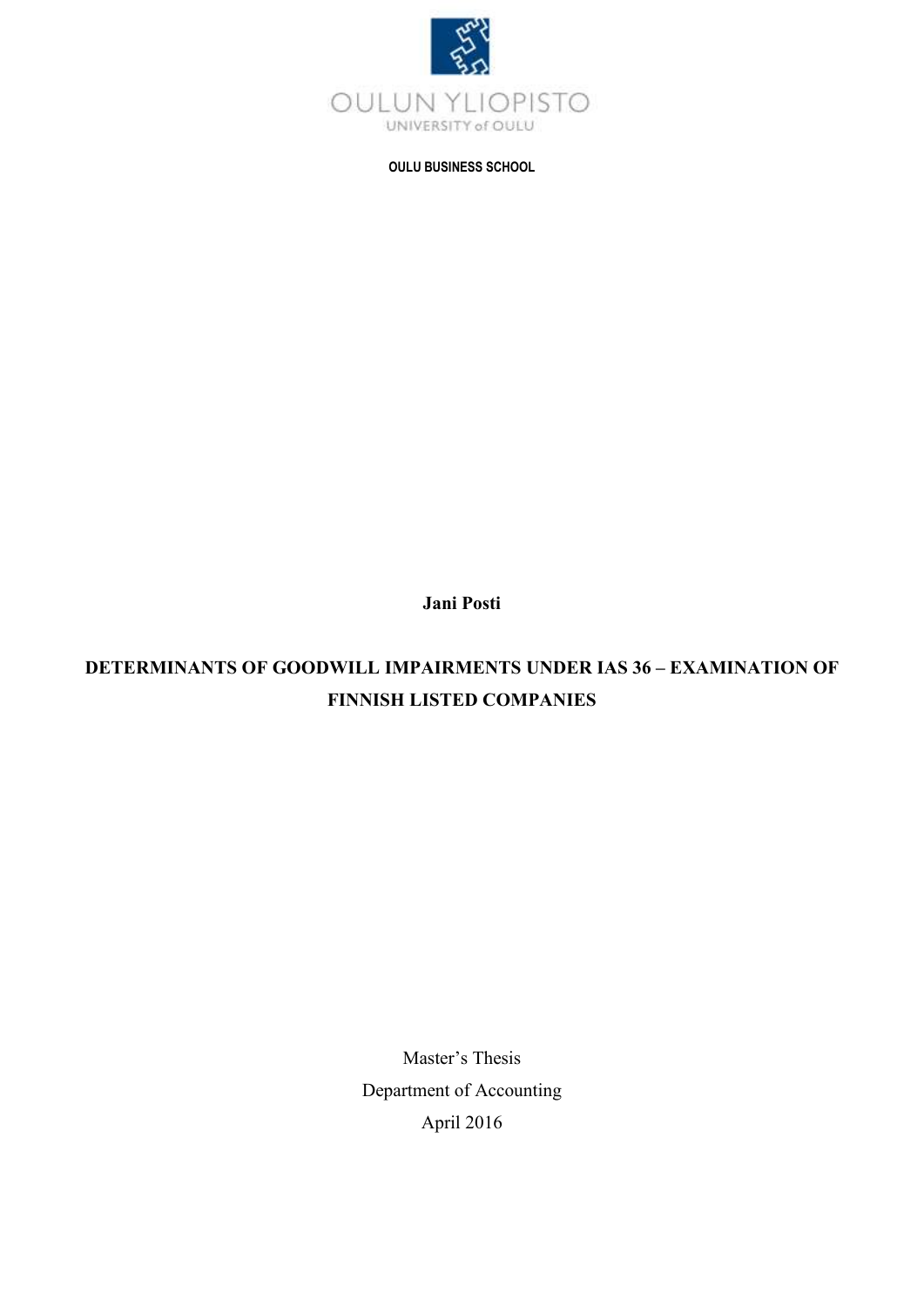

**OULU BUSINESS SCHOOL**

**Jani Posti**

# **DETERMINANTS OF GOODWILL IMPAIRMENTS UNDER IAS 36 – EXAMINATION OF FINNISH LISTED COMPANIES**

Master's Thesis Department of Accounting April 2016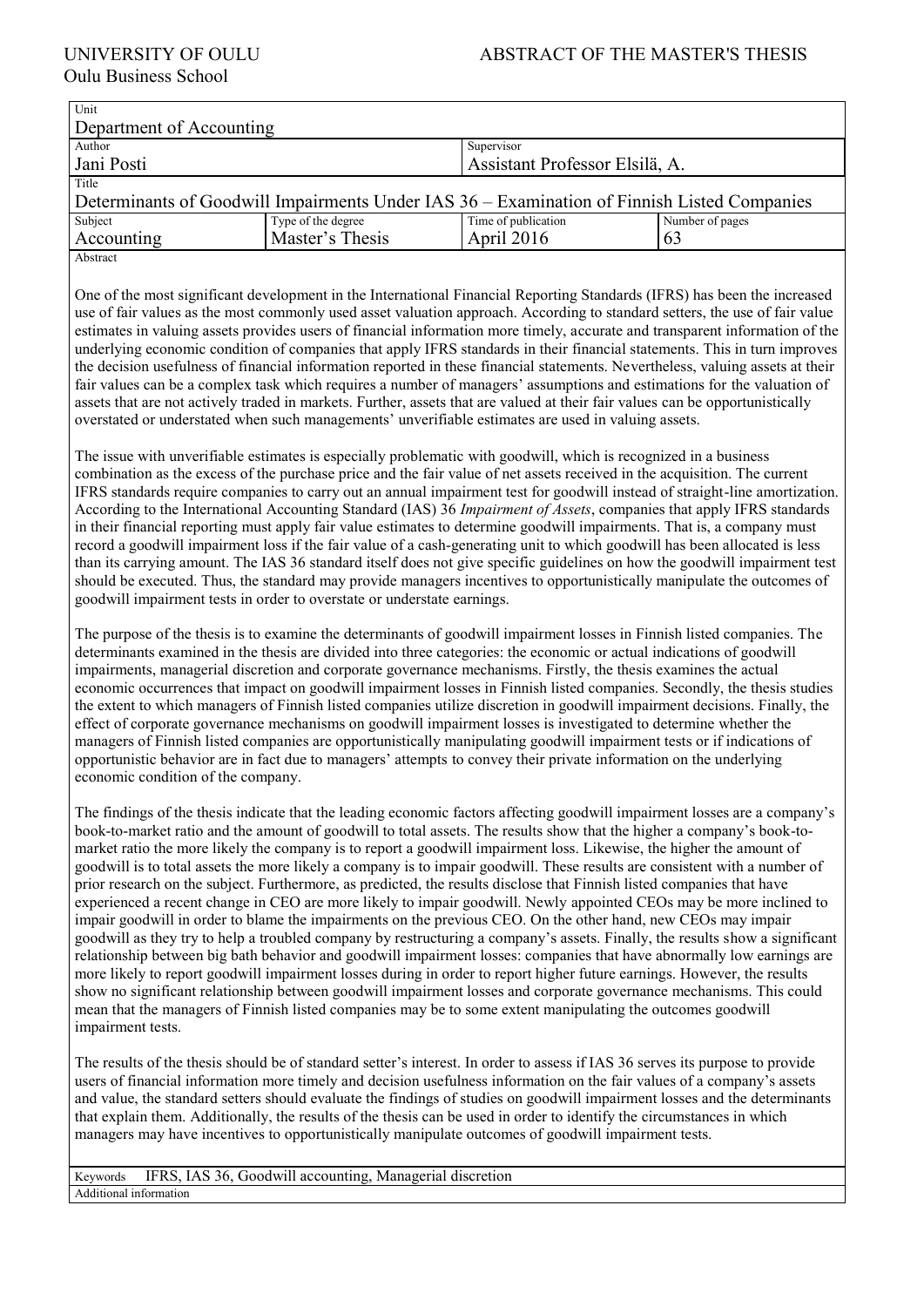Oulu Business School

| Unit                     |                                                                                             |                                |                 |  |  |  |  |  |  |
|--------------------------|---------------------------------------------------------------------------------------------|--------------------------------|-----------------|--|--|--|--|--|--|
| Department of Accounting |                                                                                             |                                |                 |  |  |  |  |  |  |
| Author                   | Supervisor                                                                                  |                                |                 |  |  |  |  |  |  |
| Jani Posti               |                                                                                             | Assistant Professor Elsilä, A. |                 |  |  |  |  |  |  |
| Title                    |                                                                                             |                                |                 |  |  |  |  |  |  |
|                          | Determinants of Goodwill Impairments Under IAS 36 – Examination of Finnish Listed Companies |                                |                 |  |  |  |  |  |  |
| Subject                  | Type of the degree                                                                          | Time of publication            | Number of pages |  |  |  |  |  |  |
| Accounting               | Master's Thesis                                                                             | April 2016                     | 63              |  |  |  |  |  |  |
| Abstract                 |                                                                                             |                                |                 |  |  |  |  |  |  |

One of the most significant development in the International Financial Reporting Standards (IFRS) has been the increased use of fair values as the most commonly used asset valuation approach. According to standard setters, the use of fair value estimates in valuing assets provides users of financial information more timely, accurate and transparent information of the underlying economic condition of companies that apply IFRS standards in their financial statements. This in turn improves the decision usefulness of financial information reported in these financial statements. Nevertheless, valuing assets at their fair values can be a complex task which requires a number of managers' assumptions and estimations for the valuation of assets that are not actively traded in markets. Further, assets that are valued at their fair values can be opportunistically overstated or understated when such managements' unverifiable estimates are used in valuing assets.

The issue with unverifiable estimates is especially problematic with goodwill, which is recognized in a business combination as the excess of the purchase price and the fair value of net assets received in the acquisition. The current IFRS standards require companies to carry out an annual impairment test for goodwill instead of straight-line amortization. According to the International Accounting Standard (IAS) 36 *Impairment of Assets*, companies that apply IFRS standards in their financial reporting must apply fair value estimates to determine goodwill impairments. That is, a company must record a goodwill impairment loss if the fair value of a cash-generating unit to which goodwill has been allocated is less than its carrying amount. The IAS 36 standard itself does not give specific guidelines on how the goodwill impairment test should be executed. Thus, the standard may provide managers incentives to opportunistically manipulate the outcomes of goodwill impairment tests in order to overstate or understate earnings.

The purpose of the thesis is to examine the determinants of goodwill impairment losses in Finnish listed companies. The determinants examined in the thesis are divided into three categories: the economic or actual indications of goodwill impairments, managerial discretion and corporate governance mechanisms. Firstly, the thesis examines the actual economic occurrences that impact on goodwill impairment losses in Finnish listed companies. Secondly, the thesis studies the extent to which managers of Finnish listed companies utilize discretion in goodwill impairment decisions. Finally, the effect of corporate governance mechanisms on goodwill impairment losses is investigated to determine whether the managers of Finnish listed companies are opportunistically manipulating goodwill impairment tests or if indications of opportunistic behavior are in fact due to managers' attempts to convey their private information on the underlying economic condition of the company.

The findings of the thesis indicate that the leading economic factors affecting goodwill impairment losses are a company's book-to-market ratio and the amount of goodwill to total assets. The results show that the higher a company's book-tomarket ratio the more likely the company is to report a goodwill impairment loss. Likewise, the higher the amount of goodwill is to total assets the more likely a company is to impair goodwill. These results are consistent with a number of prior research on the subject. Furthermore, as predicted, the results disclose that Finnish listed companies that have experienced a recent change in CEO are more likely to impair goodwill. Newly appointed CEOs may be more inclined to impair goodwill in order to blame the impairments on the previous CEO. On the other hand, new CEOs may impair goodwill as they try to help a troubled company by restructuring a company's assets. Finally, the results show a significant relationship between big bath behavior and goodwill impairment losses: companies that have abnormally low earnings are more likely to report goodwill impairment losses during in order to report higher future earnings. However, the results show no significant relationship between goodwill impairment losses and corporate governance mechanisms. This could mean that the managers of Finnish listed companies may be to some extent manipulating the outcomes goodwill impairment tests.

The results of the thesis should be of standard setter's interest. In order to assess if IAS 36 serves its purpose to provide users of financial information more timely and decision usefulness information on the fair values of a company's assets and value, the standard setters should evaluate the findings of studies on goodwill impairment losses and the determinants that explain them. Additionally, the results of the thesis can be used in order to identify the circumstances in which managers may have incentives to opportunistically manipulate outcomes of goodwill impairment tests.

Keywords IFRS, IAS 36, Goodwill accounting, Managerial discretion Additional information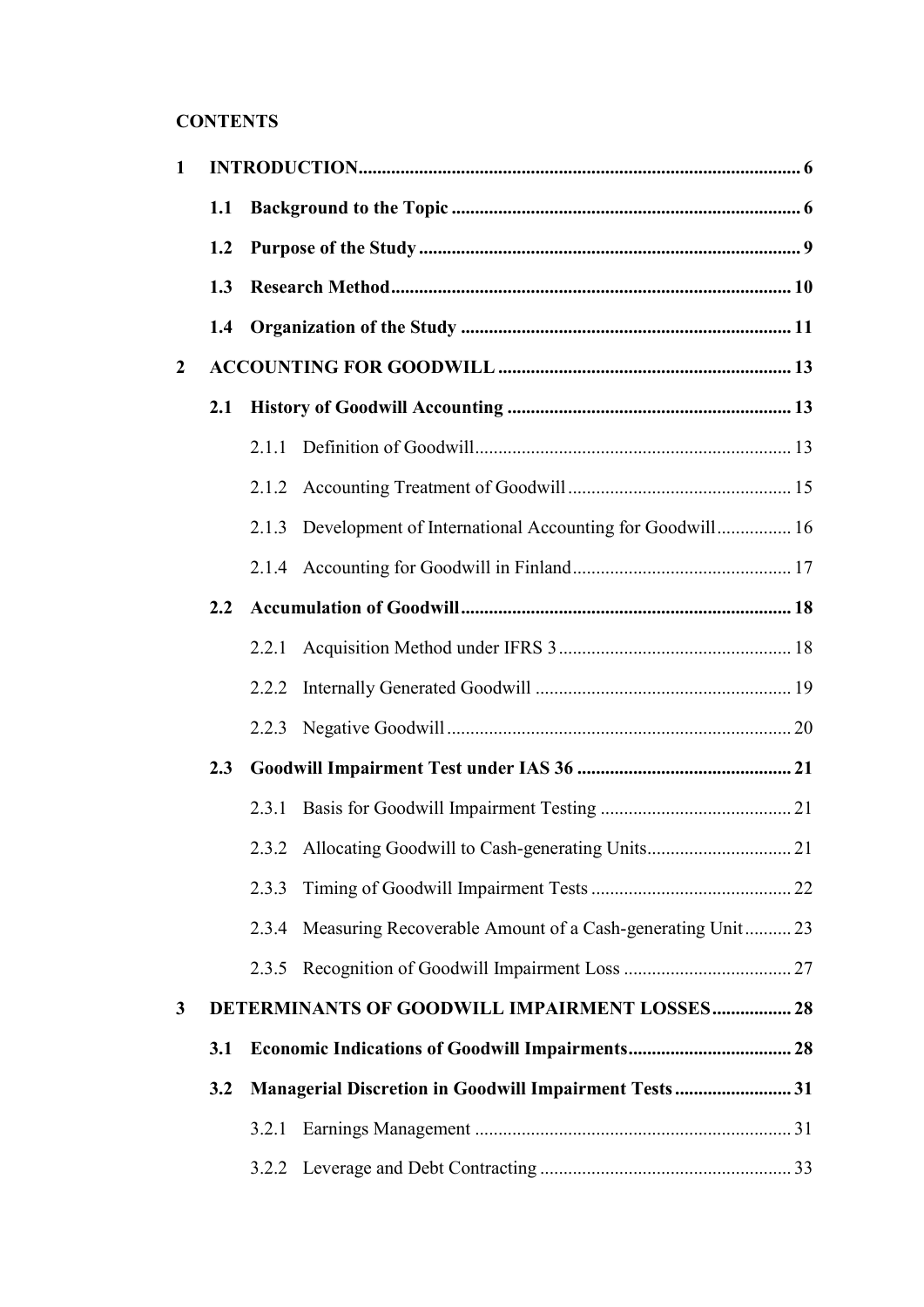## **CONTENTS**

| $\mathbf{1}$   |     |       |                                                               |  |
|----------------|-----|-------|---------------------------------------------------------------|--|
|                | 1.1 |       |                                                               |  |
|                | 1.2 |       |                                                               |  |
|                | 1.3 |       |                                                               |  |
|                | 1.4 |       |                                                               |  |
| $\overline{2}$ |     |       |                                                               |  |
|                | 2.1 |       |                                                               |  |
|                |     |       |                                                               |  |
|                |     |       |                                                               |  |
|                |     |       | 2.1.3 Development of International Accounting for Goodwill 16 |  |
|                |     |       |                                                               |  |
|                | 2.2 |       |                                                               |  |
|                |     |       |                                                               |  |
|                |     | 2.2.2 |                                                               |  |
|                |     |       |                                                               |  |
|                | 2.3 |       |                                                               |  |
|                |     | 2.3.1 |                                                               |  |
|                |     |       |                                                               |  |
|                |     | 2.3.3 |                                                               |  |
|                |     | 2.3.4 | Measuring Recoverable Amount of a Cash-generating Unit 23     |  |
|                |     |       |                                                               |  |
| 3              |     |       | DETERMINANTS OF GOODWILL IMPAIRMENT LOSSES 28                 |  |
|                | 3.1 |       |                                                               |  |
|                | 3.2 |       | <b>Managerial Discretion in Goodwill Impairment Tests31</b>   |  |
|                |     | 3.2.1 |                                                               |  |
|                |     |       |                                                               |  |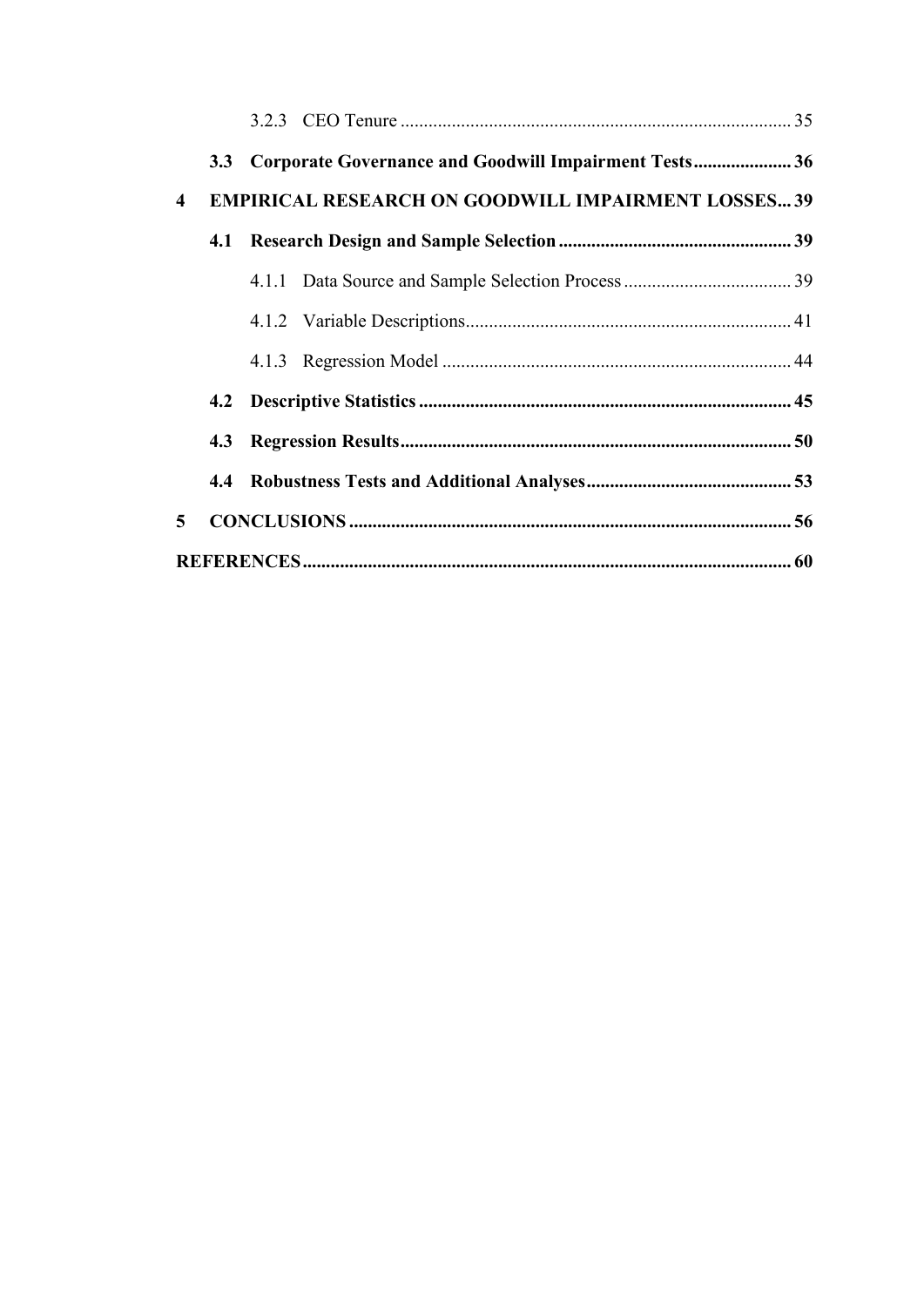|                         |  | 3.3 Corporate Governance and Goodwill Impairment Tests36  |  |
|-------------------------|--|-----------------------------------------------------------|--|
| $\overline{\mathbf{4}}$ |  | <b>EMPIRICAL RESEARCH ON GOODWILL IMPAIRMENT LOSSES39</b> |  |
|                         |  |                                                           |  |
|                         |  |                                                           |  |
|                         |  |                                                           |  |
|                         |  |                                                           |  |
|                         |  |                                                           |  |
|                         |  |                                                           |  |
|                         |  |                                                           |  |
| 5                       |  |                                                           |  |
|                         |  |                                                           |  |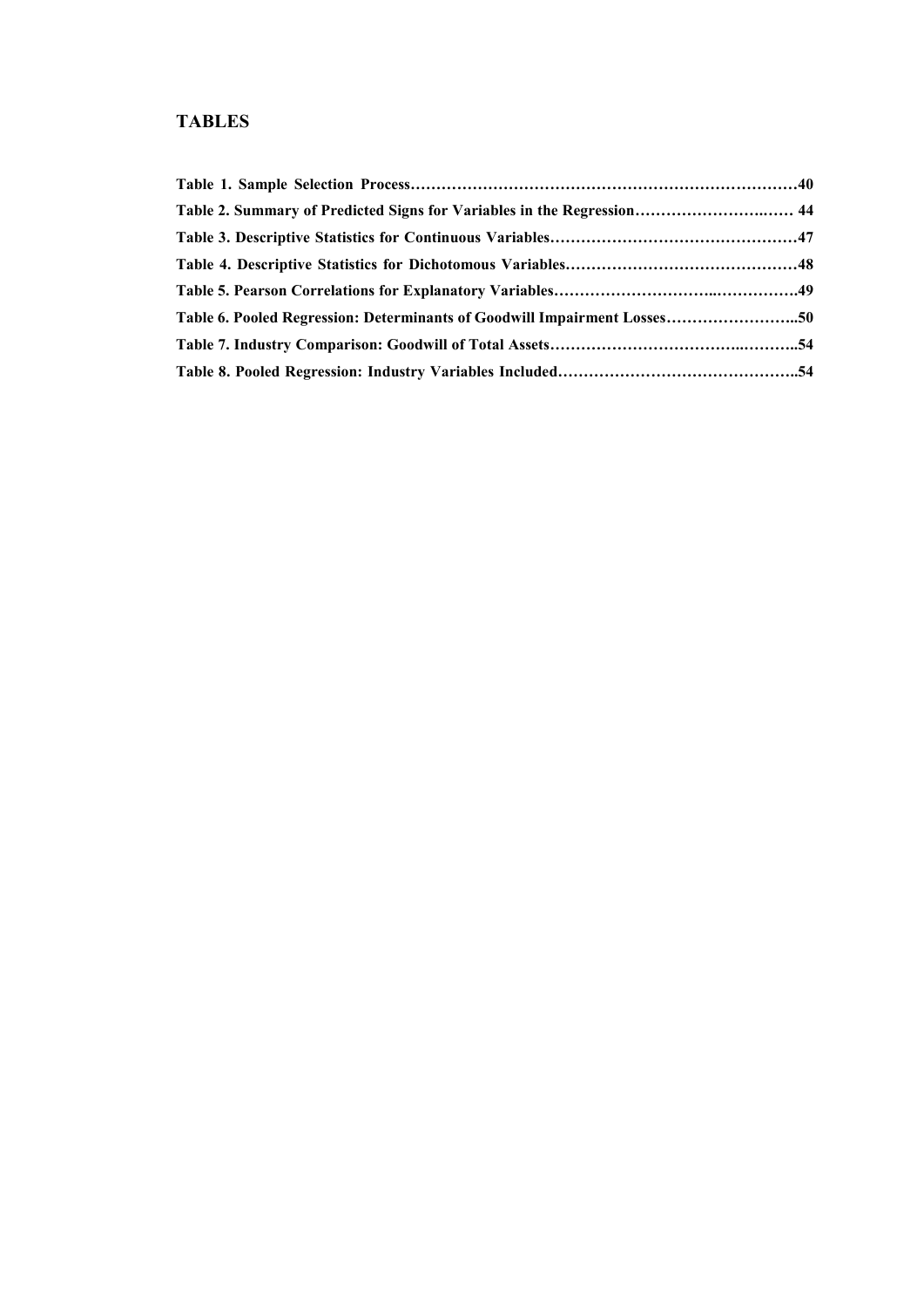## **TABLES**

| Table 2. Summary of Predicted Signs for Variables in the Regression 44   |  |
|--------------------------------------------------------------------------|--|
|                                                                          |  |
|                                                                          |  |
|                                                                          |  |
| Table 6. Pooled Regression: Determinants of Goodwill Impairment Losses50 |  |
|                                                                          |  |
|                                                                          |  |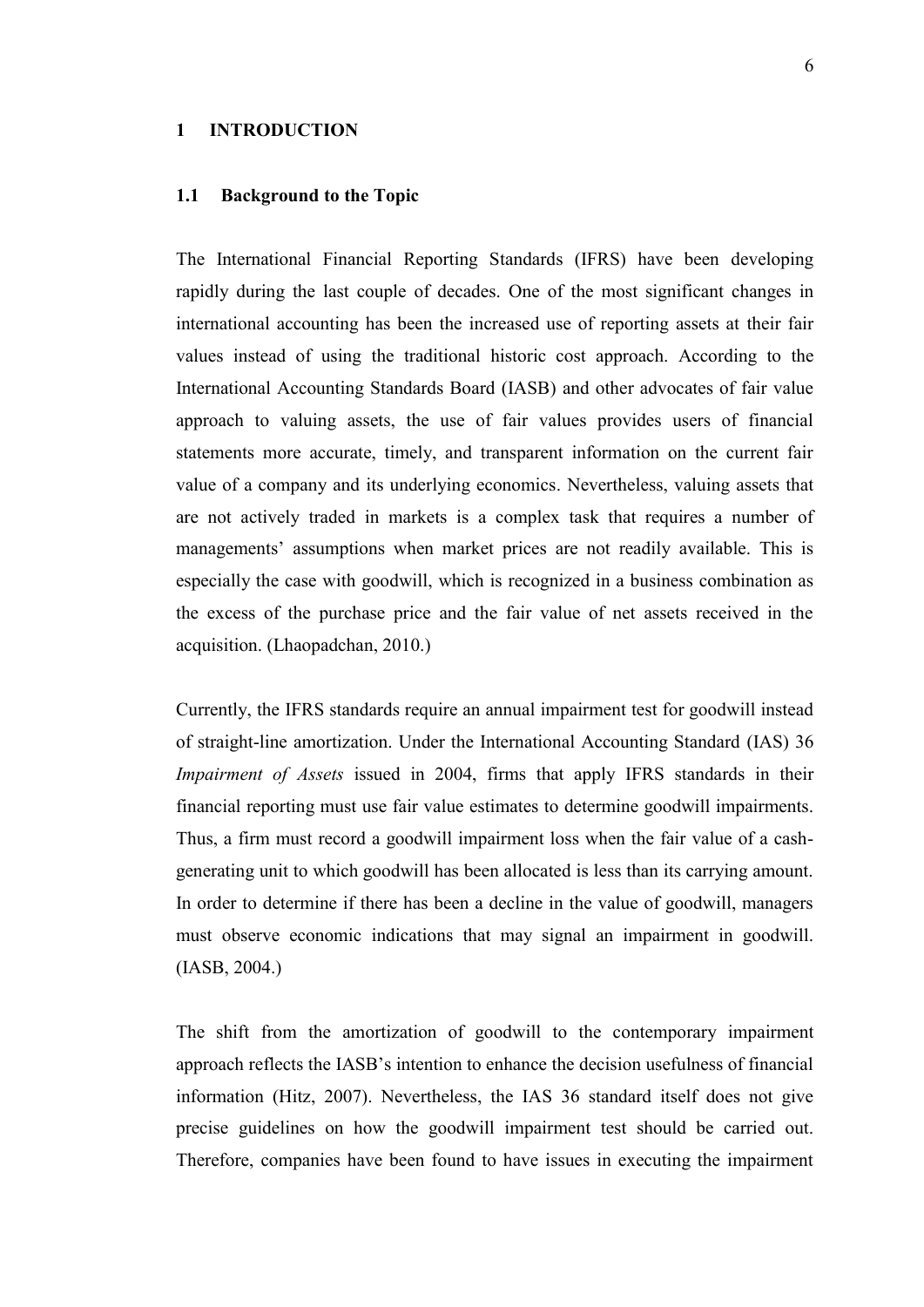#### <span id="page-5-0"></span>**1 INTRODUCTION**

#### <span id="page-5-1"></span>**1.1 Background to the Topic**

The International Financial Reporting Standards (IFRS) have been developing rapidly during the last couple of decades. One of the most significant changes in international accounting has been the increased use of reporting assets at their fair values instead of using the traditional historic cost approach. According to the International Accounting Standards Board (IASB) and other advocates of fair value approach to valuing assets, the use of fair values provides users of financial statements more accurate, timely, and transparent information on the current fair value of a company and its underlying economics. Nevertheless, valuing assets that are not actively traded in markets is a complex task that requires a number of managements' assumptions when market prices are not readily available. This is especially the case with goodwill, which is recognized in a business combination as the excess of the purchase price and the fair value of net assets received in the acquisition. (Lhaopadchan, 2010.)

Currently, the IFRS standards require an annual impairment test for goodwill instead of straight-line amortization. Under the International Accounting Standard (IAS) 36 *Impairment of Assets* issued in 2004, firms that apply IFRS standards in their financial reporting must use fair value estimates to determine goodwill impairments. Thus, a firm must record a goodwill impairment loss when the fair value of a cashgenerating unit to which goodwill has been allocated is less than its carrying amount. In order to determine if there has been a decline in the value of goodwill, managers must observe economic indications that may signal an impairment in goodwill. (IASB, 2004.)

The shift from the amortization of goodwill to the contemporary impairment approach reflects the IASB's intention to enhance the decision usefulness of financial information (Hitz, 2007). Nevertheless, the IAS 36 standard itself does not give precise guidelines on how the goodwill impairment test should be carried out. Therefore, companies have been found to have issues in executing the impairment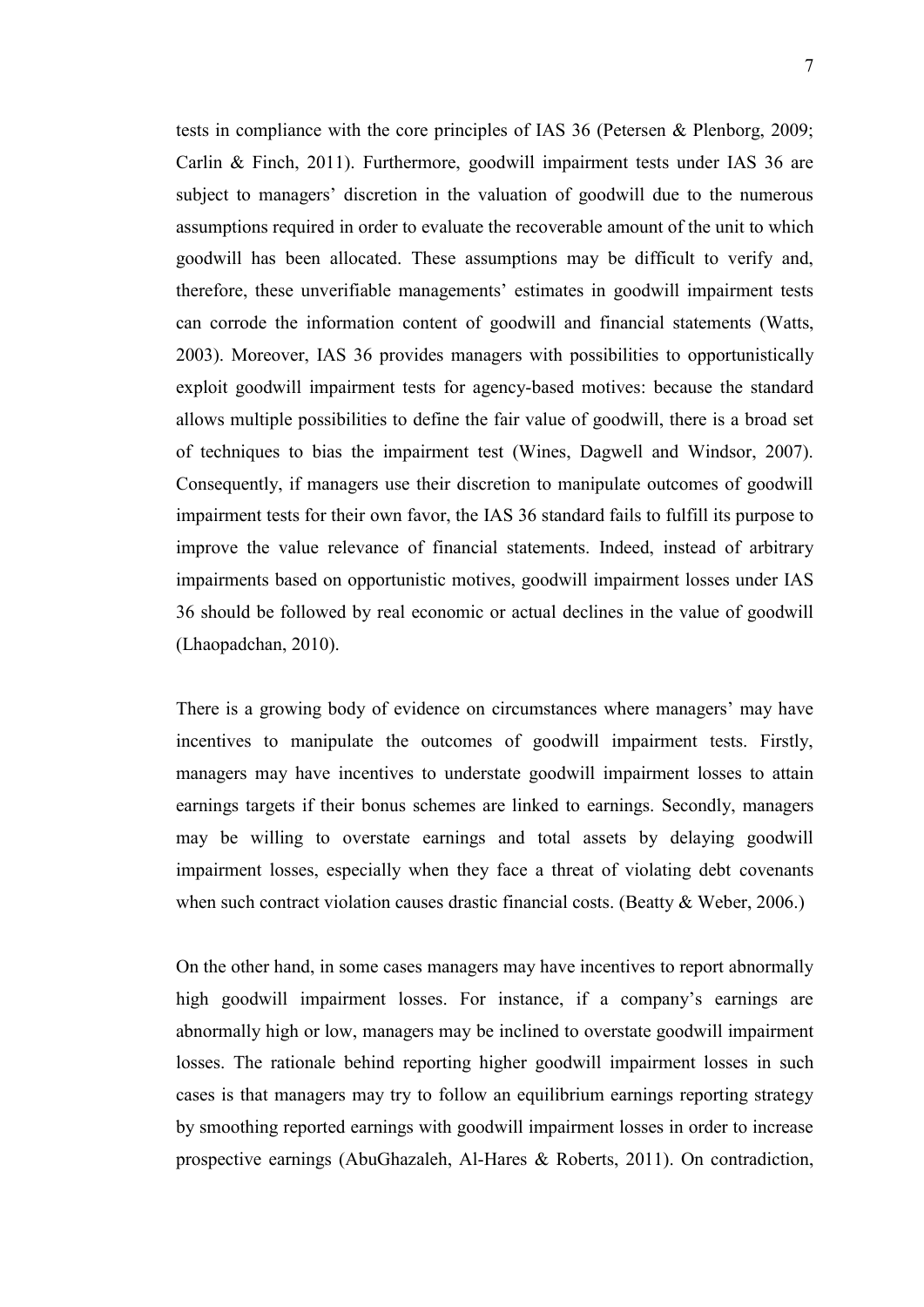tests in compliance with the core principles of IAS 36 (Petersen & Plenborg, 2009; Carlin & Finch, 2011). Furthermore, goodwill impairment tests under IAS 36 are subject to managers' discretion in the valuation of goodwill due to the numerous assumptions required in order to evaluate the recoverable amount of the unit to which goodwill has been allocated. These assumptions may be difficult to verify and, therefore, these unverifiable managements' estimates in goodwill impairment tests can corrode the information content of goodwill and financial statements (Watts, 2003). Moreover, IAS 36 provides managers with possibilities to opportunistically exploit goodwill impairment tests for agency-based motives: because the standard allows multiple possibilities to define the fair value of goodwill, there is a broad set of techniques to bias the impairment test (Wines, Dagwell and Windsor, 2007). Consequently, if managers use their discretion to manipulate outcomes of goodwill impairment tests for their own favor, the IAS 36 standard fails to fulfill its purpose to improve the value relevance of financial statements. Indeed, instead of arbitrary impairments based on opportunistic motives, goodwill impairment losses under IAS 36 should be followed by real economic or actual declines in the value of goodwill (Lhaopadchan, 2010).

There is a growing body of evidence on circumstances where managers' may have incentives to manipulate the outcomes of goodwill impairment tests. Firstly, managers may have incentives to understate goodwill impairment losses to attain earnings targets if their bonus schemes are linked to earnings. Secondly, managers may be willing to overstate earnings and total assets by delaying goodwill impairment losses, especially when they face a threat of violating debt covenants when such contract violation causes drastic financial costs. (Beatty & Weber, 2006.)

On the other hand, in some cases managers may have incentives to report abnormally high goodwill impairment losses. For instance, if a company's earnings are abnormally high or low, managers may be inclined to overstate goodwill impairment losses. The rationale behind reporting higher goodwill impairment losses in such cases is that managers may try to follow an equilibrium earnings reporting strategy by smoothing reported earnings with goodwill impairment losses in order to increase prospective earnings (AbuGhazaleh, Al-Hares & Roberts, 2011). On contradiction,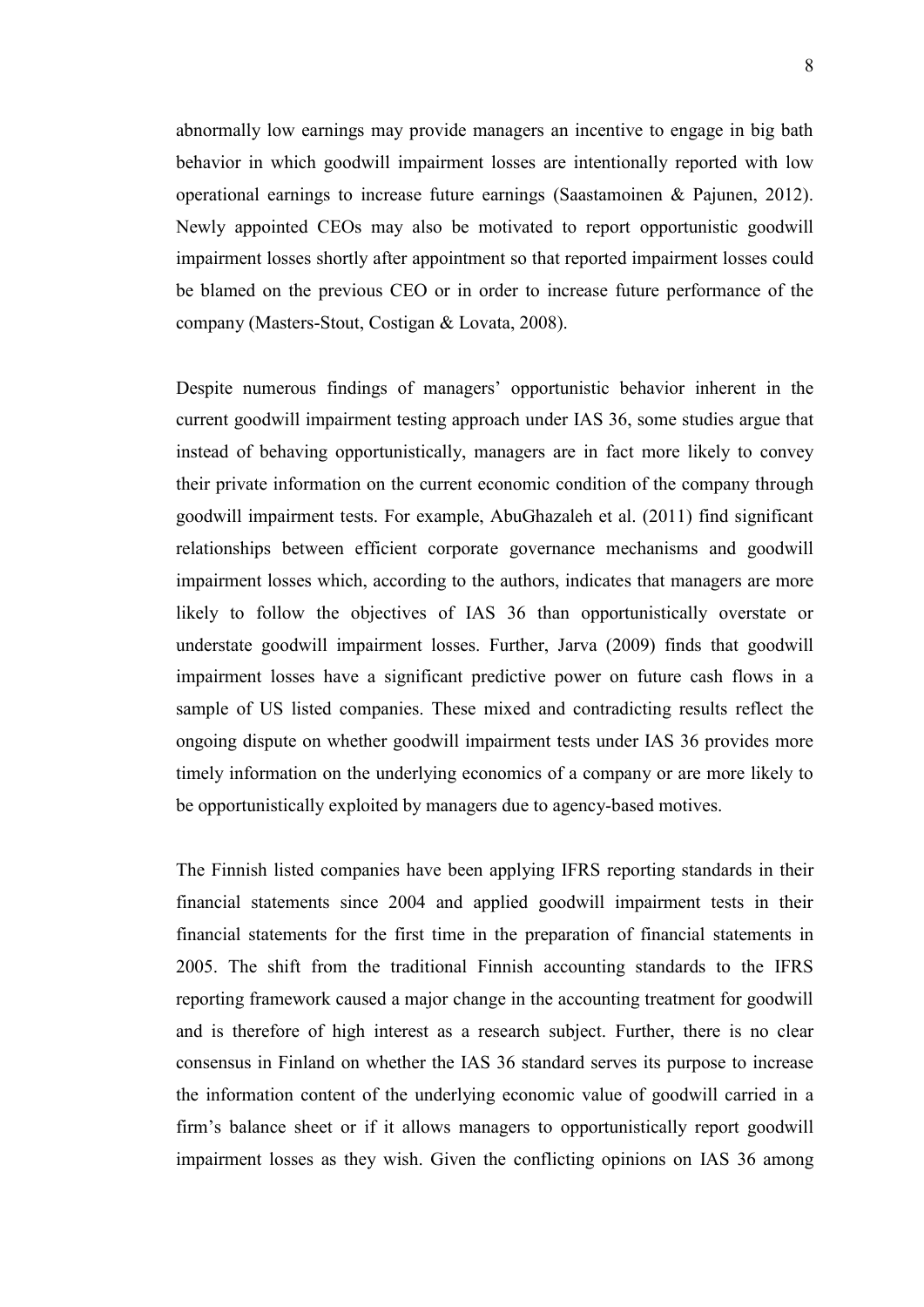abnormally low earnings may provide managers an incentive to engage in big bath behavior in which goodwill impairment losses are intentionally reported with low operational earnings to increase future earnings (Saastamoinen & Pajunen, 2012). Newly appointed CEOs may also be motivated to report opportunistic goodwill impairment losses shortly after appointment so that reported impairment losses could be blamed on the previous CEO or in order to increase future performance of the company (Masters-Stout, Costigan & Lovata, 2008).

Despite numerous findings of managers' opportunistic behavior inherent in the current goodwill impairment testing approach under IAS 36, some studies argue that instead of behaving opportunistically, managers are in fact more likely to convey their private information on the current economic condition of the company through goodwill impairment tests. For example, AbuGhazaleh et al. (2011) find significant relationships between efficient corporate governance mechanisms and goodwill impairment losses which, according to the authors, indicates that managers are more likely to follow the objectives of IAS 36 than opportunistically overstate or understate goodwill impairment losses. Further, Jarva (2009) finds that goodwill impairment losses have a significant predictive power on future cash flows in a sample of US listed companies. These mixed and contradicting results reflect the ongoing dispute on whether goodwill impairment tests under IAS 36 provides more timely information on the underlying economics of a company or are more likely to be opportunistically exploited by managers due to agency-based motives.

The Finnish listed companies have been applying IFRS reporting standards in their financial statements since 2004 and applied goodwill impairment tests in their financial statements for the first time in the preparation of financial statements in 2005. The shift from the traditional Finnish accounting standards to the IFRS reporting framework caused a major change in the accounting treatment for goodwill and is therefore of high interest as a research subject. Further, there is no clear consensus in Finland on whether the IAS 36 standard serves its purpose to increase the information content of the underlying economic value of goodwill carried in a firm's balance sheet or if it allows managers to opportunistically report goodwill impairment losses as they wish. Given the conflicting opinions on IAS 36 among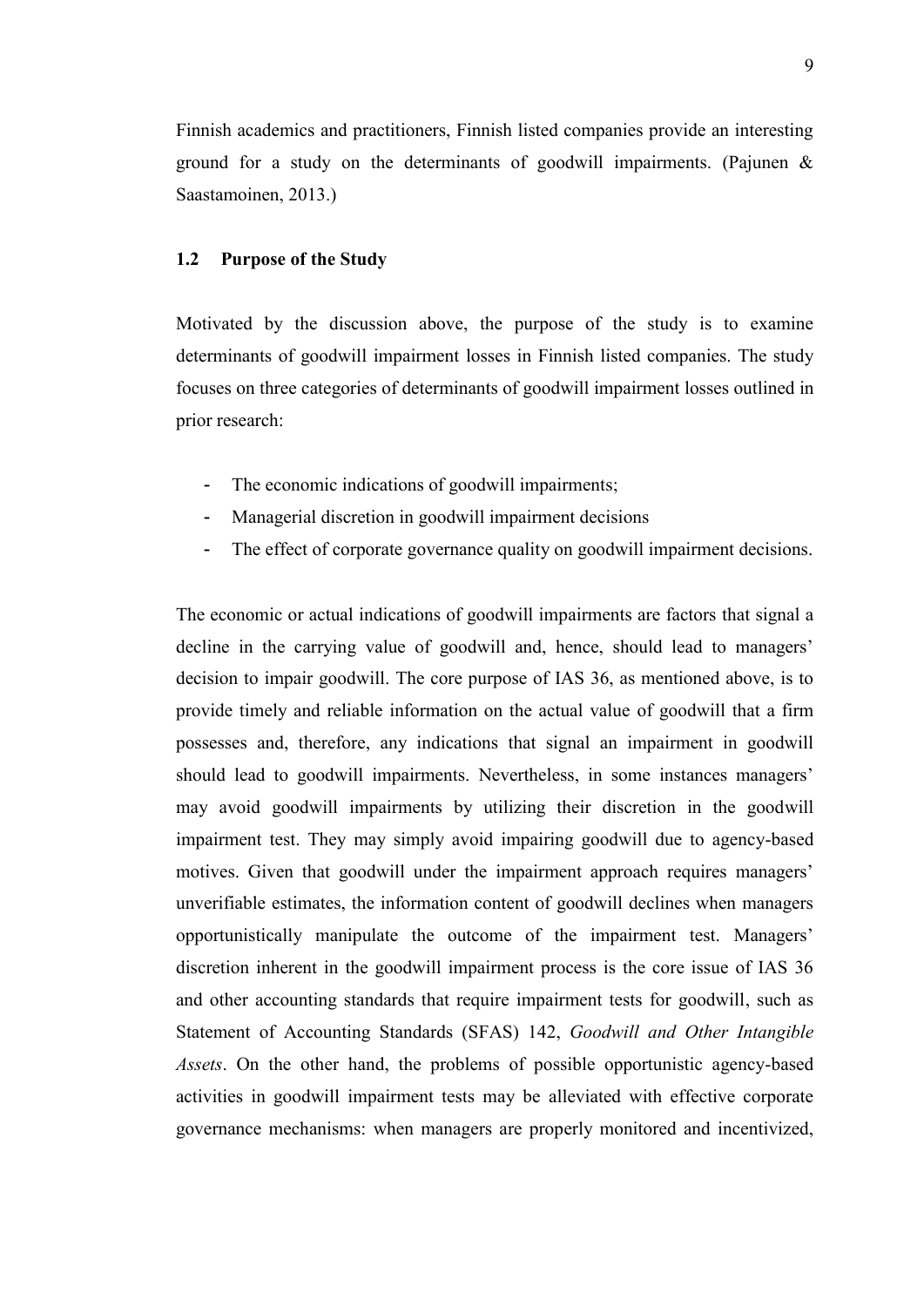Finnish academics and practitioners, Finnish listed companies provide an interesting ground for a study on the determinants of goodwill impairments. (Pajunen & Saastamoinen, 2013.)

#### <span id="page-8-0"></span>**1.2 Purpose of the Study**

Motivated by the discussion above, the purpose of the study is to examine determinants of goodwill impairment losses in Finnish listed companies. The study focuses on three categories of determinants of goodwill impairment losses outlined in prior research:

- The economic indications of goodwill impairments;
- Managerial discretion in goodwill impairment decisions
- The effect of corporate governance quality on goodwill impairment decisions.

The economic or actual indications of goodwill impairments are factors that signal a decline in the carrying value of goodwill and, hence, should lead to managers' decision to impair goodwill. The core purpose of IAS 36, as mentioned above, is to provide timely and reliable information on the actual value of goodwill that a firm possesses and, therefore, any indications that signal an impairment in goodwill should lead to goodwill impairments. Nevertheless, in some instances managers' may avoid goodwill impairments by utilizing their discretion in the goodwill impairment test. They may simply avoid impairing goodwill due to agency-based motives. Given that goodwill under the impairment approach requires managers' unverifiable estimates, the information content of goodwill declines when managers opportunistically manipulate the outcome of the impairment test. Managers' discretion inherent in the goodwill impairment process is the core issue of IAS 36 and other accounting standards that require impairment tests for goodwill, such as Statement of Accounting Standards (SFAS) 142, *Goodwill and Other Intangible Assets*. On the other hand, the problems of possible opportunistic agency-based activities in goodwill impairment tests may be alleviated with effective corporate governance mechanisms: when managers are properly monitored and incentivized,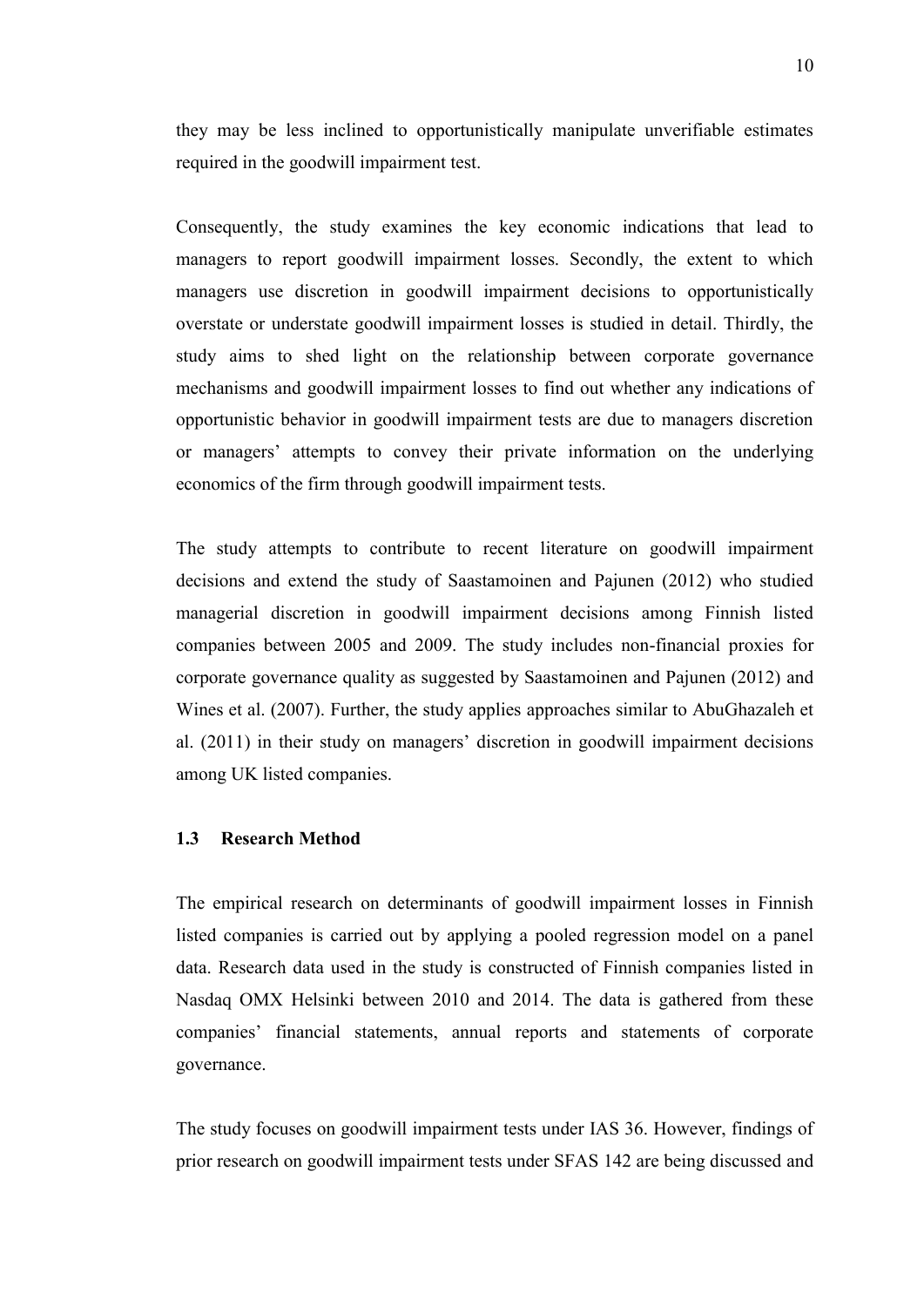they may be less inclined to opportunistically manipulate unverifiable estimates required in the goodwill impairment test.

Consequently, the study examines the key economic indications that lead to managers to report goodwill impairment losses. Secondly, the extent to which managers use discretion in goodwill impairment decisions to opportunistically overstate or understate goodwill impairment losses is studied in detail. Thirdly, the study aims to shed light on the relationship between corporate governance mechanisms and goodwill impairment losses to find out whether any indications of opportunistic behavior in goodwill impairment tests are due to managers discretion or managers' attempts to convey their private information on the underlying economics of the firm through goodwill impairment tests.

The study attempts to contribute to recent literature on goodwill impairment decisions and extend the study of Saastamoinen and Pajunen (2012) who studied managerial discretion in goodwill impairment decisions among Finnish listed companies between 2005 and 2009. The study includes non-financial proxies for corporate governance quality as suggested by Saastamoinen and Pajunen (2012) and Wines et al. (2007). Further, the study applies approaches similar to AbuGhazaleh et al. (2011) in their study on managers' discretion in goodwill impairment decisions among UK listed companies.

#### <span id="page-9-0"></span>**1.3 Research Method**

The empirical research on determinants of goodwill impairment losses in Finnish listed companies is carried out by applying a pooled regression model on a panel data. Research data used in the study is constructed of Finnish companies listed in Nasdaq OMX Helsinki between 2010 and 2014. The data is gathered from these companies' financial statements, annual reports and statements of corporate governance.

The study focuses on goodwill impairment tests under IAS 36. However, findings of prior research on goodwill impairment tests under SFAS 142 are being discussed and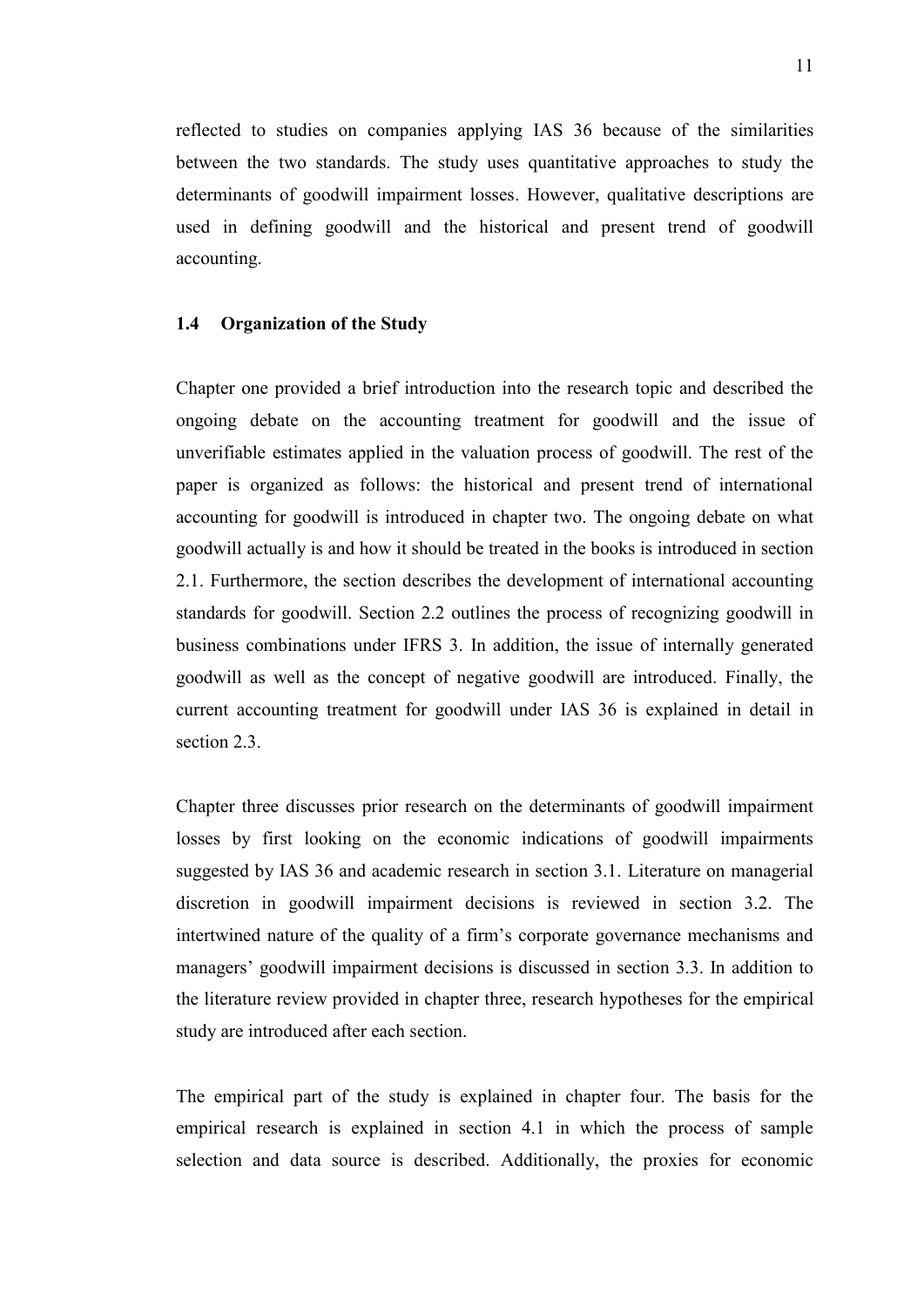reflected to studies on companies applying IAS 36 because of the similarities between the two standards. The study uses quantitative approaches to study the determinants of goodwill impairment losses. However, qualitative descriptions are used in defining goodwill and the historical and present trend of goodwill accounting.

#### <span id="page-10-0"></span>**1.4 Organization of the Study**

Chapter one provided a brief introduction into the research topic and described the ongoing debate on the accounting treatment for goodwill and the issue of unverifiable estimates applied in the valuation process of goodwill. The rest of the paper is organized as follows: the historical and present trend of international accounting for goodwill is introduced in chapter two. The ongoing debate on what goodwill actually is and how it should be treated in the books is introduced in section 2.1. Furthermore, the section describes the development of international accounting standards for goodwill. Section 2.2 outlines the process of recognizing goodwill in business combinations under IFRS 3. In addition, the issue of internally generated goodwill as well as the concept of negative goodwill are introduced. Finally, the current accounting treatment for goodwill under IAS 36 is explained in detail in section 2.3

Chapter three discusses prior research on the determinants of goodwill impairment losses by first looking on the economic indications of goodwill impairments suggested by IAS 36 and academic research in section 3.1. Literature on managerial discretion in goodwill impairment decisions is reviewed in section 3.2. The intertwined nature of the quality of a firm's corporate governance mechanisms and managers' goodwill impairment decisions is discussed in section 3.3. In addition to the literature review provided in chapter three, research hypotheses for the empirical study are introduced after each section.

The empirical part of the study is explained in chapter four. The basis for the empirical research is explained in section 4.1 in which the process of sample selection and data source is described. Additionally, the proxies for economic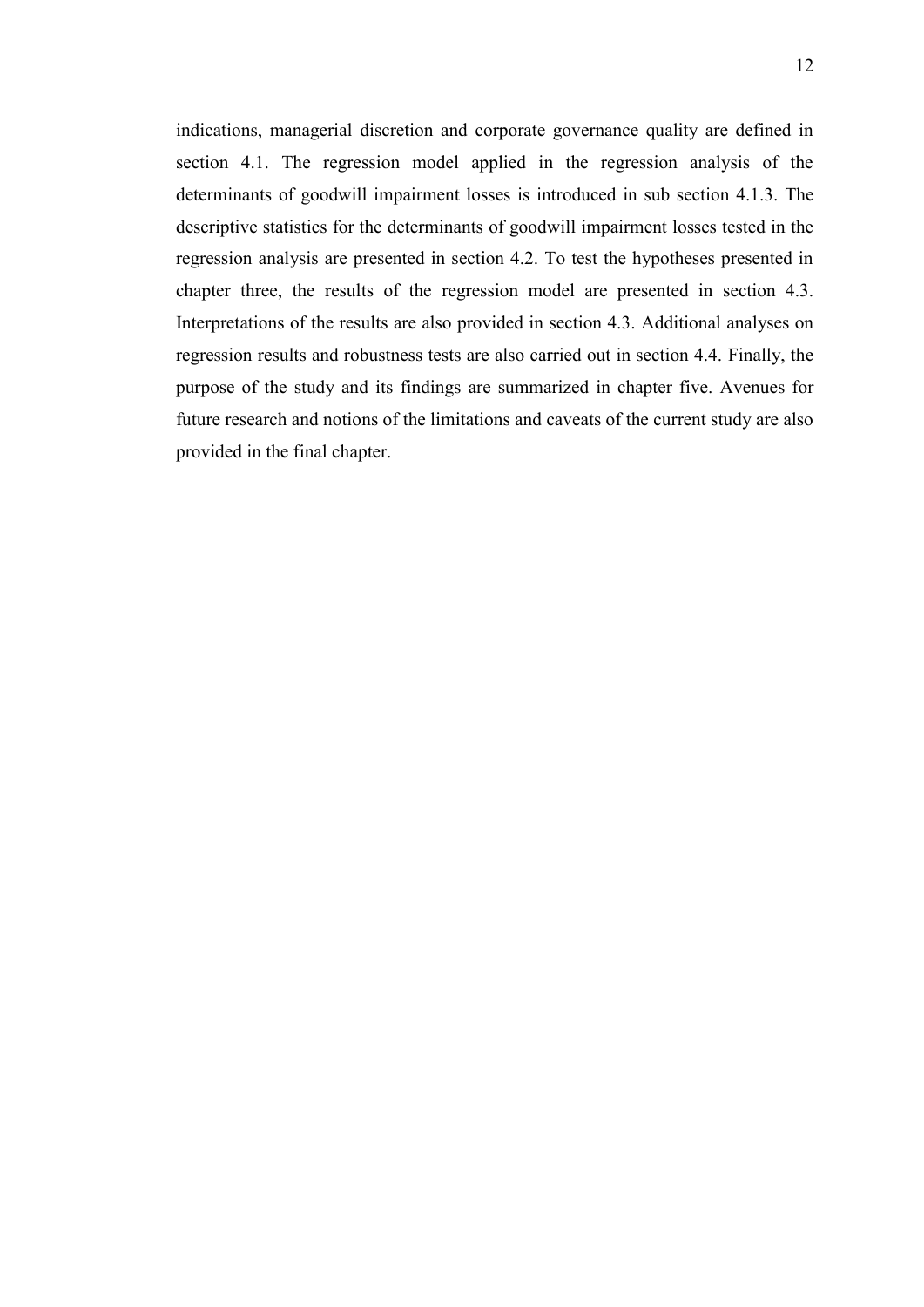indications, managerial discretion and corporate governance quality are defined in section 4.1. The regression model applied in the regression analysis of the determinants of goodwill impairment losses is introduced in sub section 4.1.3. The descriptive statistics for the determinants of goodwill impairment losses tested in the regression analysis are presented in section 4.2. To test the hypotheses presented in chapter three, the results of the regression model are presented in section 4.3. Interpretations of the results are also provided in section 4.3. Additional analyses on regression results and robustness tests are also carried out in section 4.4. Finally, the purpose of the study and its findings are summarized in chapter five. Avenues for future research and notions of the limitations and caveats of the current study are also provided in the final chapter.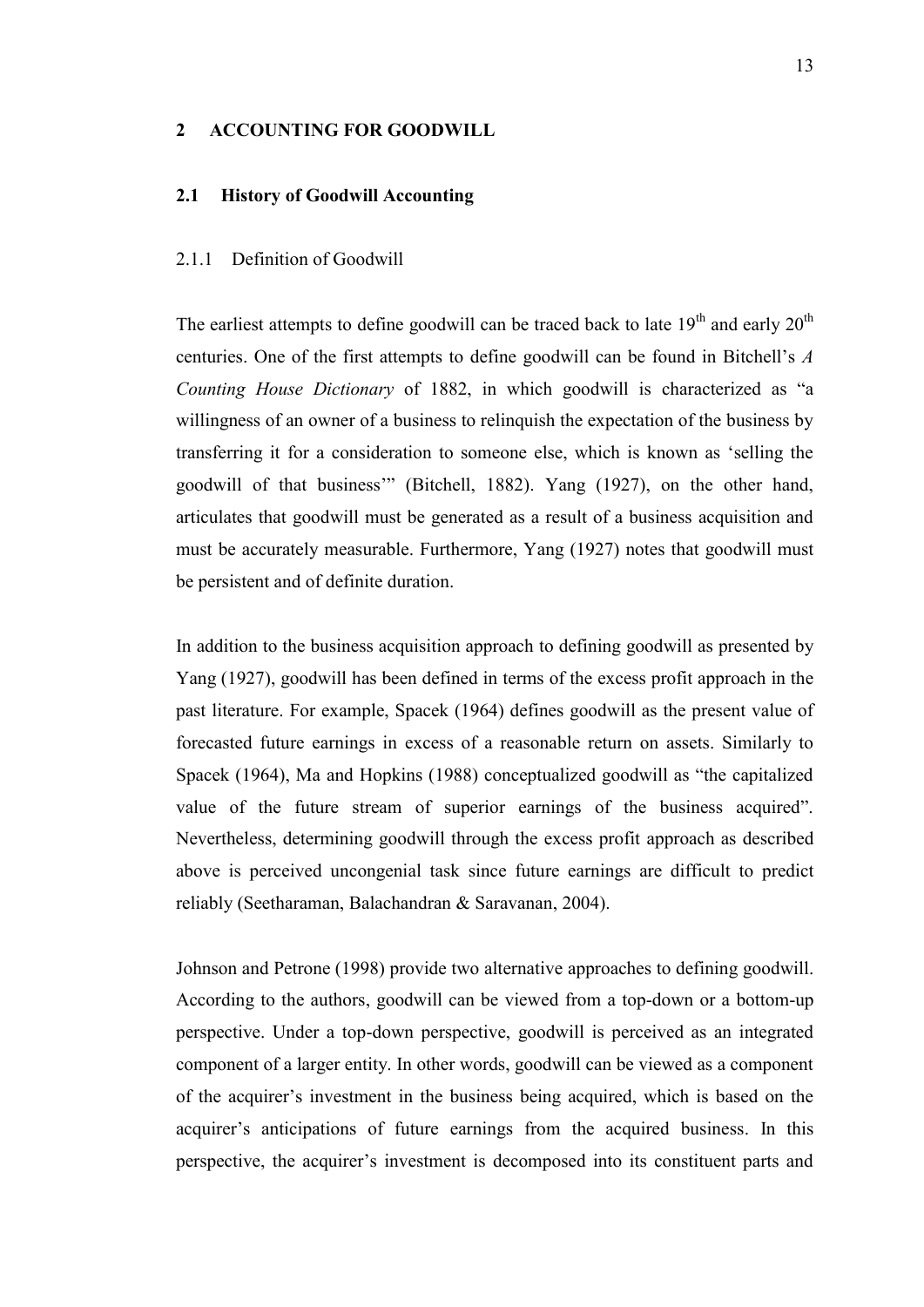#### <span id="page-12-0"></span>**2 ACCOUNTING FOR GOODWILL**

#### <span id="page-12-1"></span>**2.1 History of Goodwill Accounting**

#### <span id="page-12-2"></span>2.1.1 Definition of Goodwill

The earliest attempts to define goodwill can be traced back to late  $19<sup>th</sup>$  and early  $20<sup>th</sup>$ centuries. One of the first attempts to define goodwill can be found in Bitchell's *A Counting House Dictionary* of 1882, in which goodwill is characterized as "a willingness of an owner of a business to relinquish the expectation of the business by transferring it for a consideration to someone else, which is known as 'selling the goodwill of that business'" (Bitchell, 1882). Yang (1927), on the other hand, articulates that goodwill must be generated as a result of a business acquisition and must be accurately measurable. Furthermore, Yang (1927) notes that goodwill must be persistent and of definite duration.

In addition to the business acquisition approach to defining goodwill as presented by Yang (1927), goodwill has been defined in terms of the excess profit approach in the past literature. For example, Spacek (1964) defines goodwill as the present value of forecasted future earnings in excess of a reasonable return on assets. Similarly to Spacek (1964), Ma and Hopkins (1988) conceptualized goodwill as "the capitalized value of the future stream of superior earnings of the business acquired". Nevertheless, determining goodwill through the excess profit approach as described above is perceived uncongenial task since future earnings are difficult to predict reliably (Seetharaman, Balachandran & Saravanan, 2004).

Johnson and Petrone (1998) provide two alternative approaches to defining goodwill. According to the authors, goodwill can be viewed from a top-down or a bottom-up perspective. Under a top-down perspective, goodwill is perceived as an integrated component of a larger entity. In other words, goodwill can be viewed as a component of the acquirer's investment in the business being acquired, which is based on the acquirer's anticipations of future earnings from the acquired business. In this perspective, the acquirer's investment is decomposed into its constituent parts and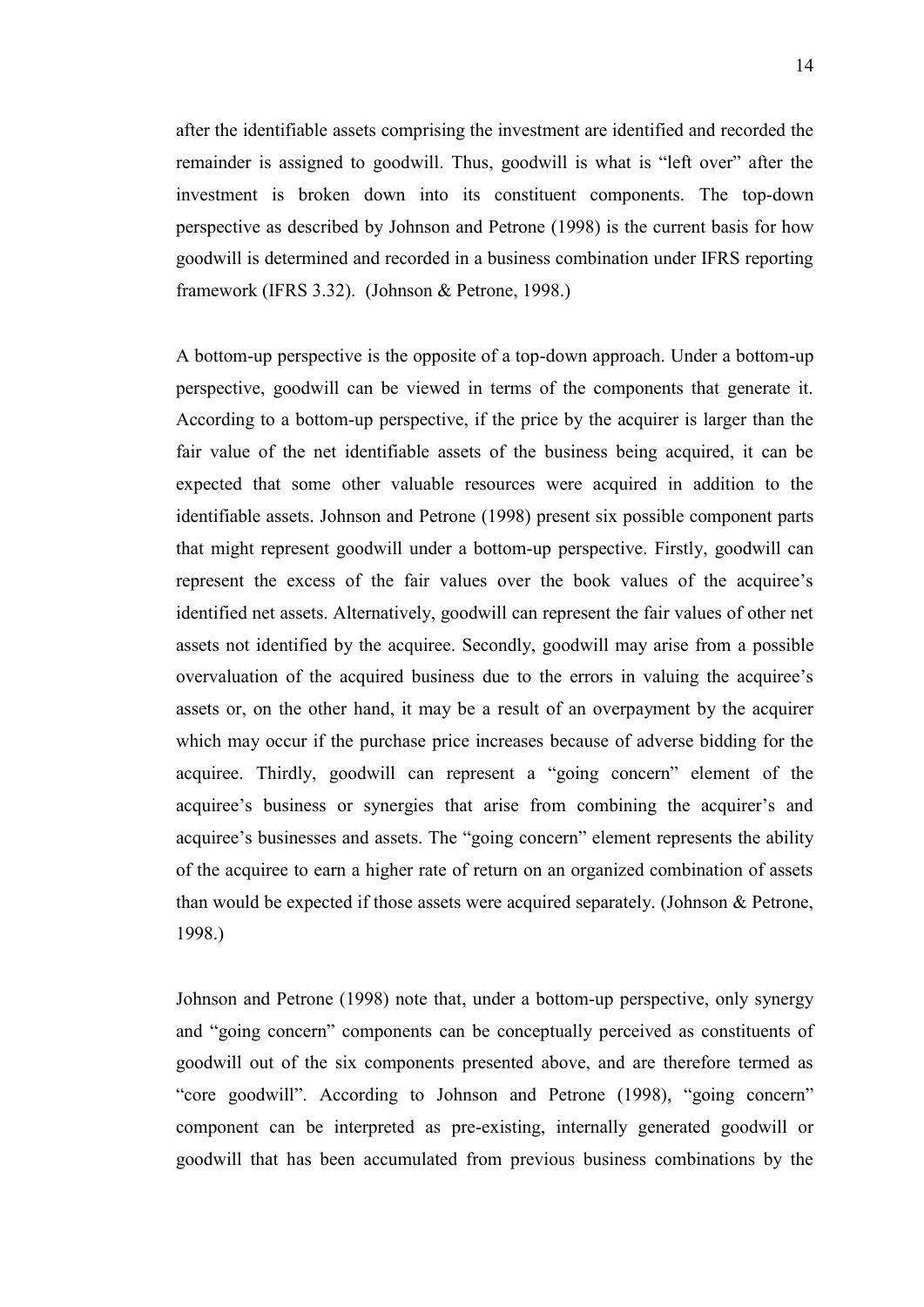after the identifiable assets comprising the investment are identified and recorded the remainder is assigned to goodwill. Thus, goodwill is what is "left over" after the investment is broken down into its constituent components. The top-down

perspective as described by Johnson and Petrone (1998) is the current basis for how goodwill is determined and recorded in a business combination under IFRS reporting framework (IFRS 3.32). (Johnson & Petrone, 1998.)

A bottom-up perspective is the opposite of a top-down approach. Under a bottom-up perspective, goodwill can be viewed in terms of the components that generate it. According to a bottom-up perspective, if the price by the acquirer is larger than the fair value of the net identifiable assets of the business being acquired, it can be expected that some other valuable resources were acquired in addition to the identifiable assets. Johnson and Petrone (1998) present six possible component parts that might represent goodwill under a bottom-up perspective. Firstly, goodwill can represent the excess of the fair values over the book values of the acquiree's identified net assets. Alternatively, goodwill can represent the fair values of other net assets not identified by the acquiree. Secondly, goodwill may arise from a possible overvaluation of the acquired business due to the errors in valuing the acquiree's assets or, on the other hand, it may be a result of an overpayment by the acquirer which may occur if the purchase price increases because of adverse bidding for the acquiree. Thirdly, goodwill can represent a "going concern" element of the acquiree's business or synergies that arise from combining the acquirer's and acquiree's businesses and assets. The "going concern" element represents the ability of the acquiree to earn a higher rate of return on an organized combination of assets than would be expected if those assets were acquired separately. (Johnson & Petrone, 1998.)

Johnson and Petrone (1998) note that, under a bottom-up perspective, only synergy and "going concern" components can be conceptually perceived as constituents of goodwill out of the six components presented above, and are therefore termed as "core goodwill". According to Johnson and Petrone (1998), "going concern" component can be interpreted as pre-existing, internally generated goodwill or goodwill that has been accumulated from previous business combinations by the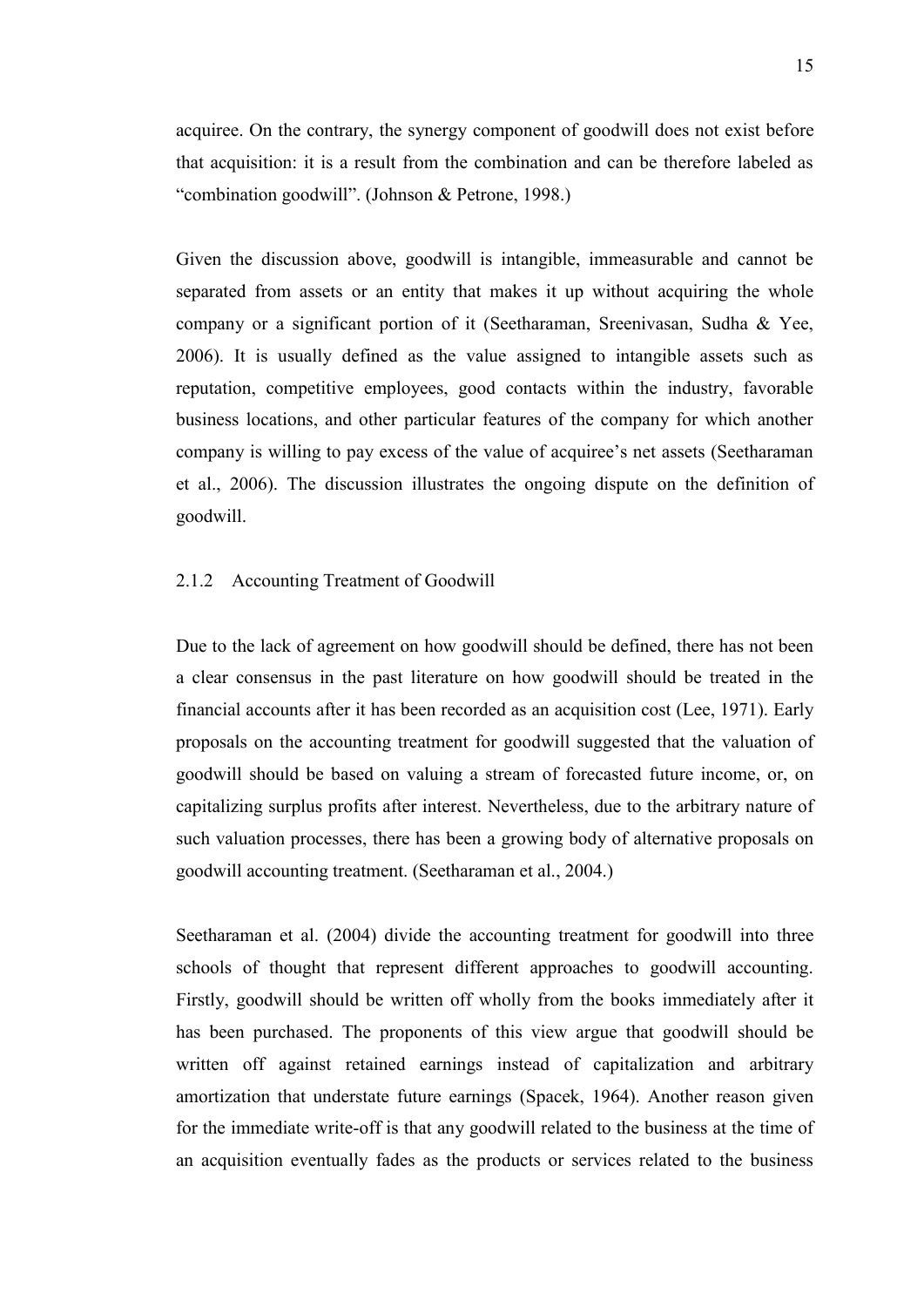acquiree. On the contrary, the synergy component of goodwill does not exist before that acquisition: it is a result from the combination and can be therefore labeled as "combination goodwill". (Johnson & Petrone, 1998.)

Given the discussion above, goodwill is intangible, immeasurable and cannot be separated from assets or an entity that makes it up without acquiring the whole company or a significant portion of it (Seetharaman, Sreenivasan, Sudha & Yee, 2006). It is usually defined as the value assigned to intangible assets such as reputation, competitive employees, good contacts within the industry, favorable business locations, and other particular features of the company for which another company is willing to pay excess of the value of acquiree's net assets (Seetharaman et al., 2006). The discussion illustrates the ongoing dispute on the definition of goodwill.

#### <span id="page-14-0"></span>2.1.2 Accounting Treatment of Goodwill

Due to the lack of agreement on how goodwill should be defined, there has not been a clear consensus in the past literature on how goodwill should be treated in the financial accounts after it has been recorded as an acquisition cost (Lee, 1971). Early proposals on the accounting treatment for goodwill suggested that the valuation of goodwill should be based on valuing a stream of forecasted future income, or, on capitalizing surplus profits after interest. Nevertheless, due to the arbitrary nature of such valuation processes, there has been a growing body of alternative proposals on goodwill accounting treatment. (Seetharaman et al., 2004.)

Seetharaman et al. (2004) divide the accounting treatment for goodwill into three schools of thought that represent different approaches to goodwill accounting. Firstly, goodwill should be written off wholly from the books immediately after it has been purchased. The proponents of this view argue that goodwill should be written off against retained earnings instead of capitalization and arbitrary amortization that understate future earnings (Spacek, 1964). Another reason given for the immediate write-off is that any goodwill related to the business at the time of an acquisition eventually fades as the products or services related to the business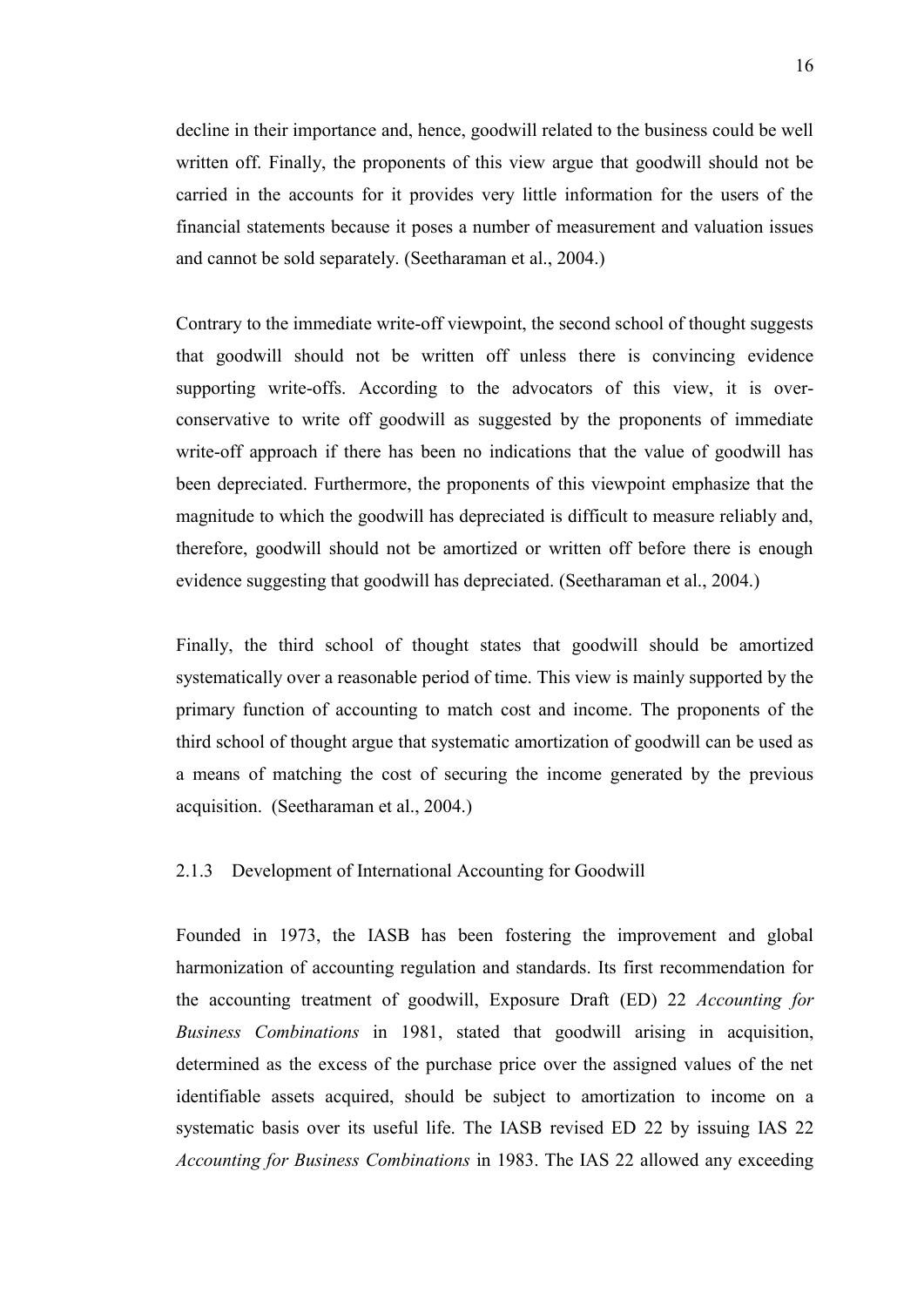decline in their importance and, hence, goodwill related to the business could be well written off. Finally, the proponents of this view argue that goodwill should not be carried in the accounts for it provides very little information for the users of the financial statements because it poses a number of measurement and valuation issues and cannot be sold separately. (Seetharaman et al., 2004.)

Contrary to the immediate write-off viewpoint, the second school of thought suggests that goodwill should not be written off unless there is convincing evidence supporting write-offs. According to the advocators of this view, it is overconservative to write off goodwill as suggested by the proponents of immediate write-off approach if there has been no indications that the value of goodwill has been depreciated. Furthermore, the proponents of this viewpoint emphasize that the magnitude to which the goodwill has depreciated is difficult to measure reliably and, therefore, goodwill should not be amortized or written off before there is enough evidence suggesting that goodwill has depreciated. (Seetharaman et al., 2004.)

Finally, the third school of thought states that goodwill should be amortized systematically over a reasonable period of time. This view is mainly supported by the primary function of accounting to match cost and income. The proponents of the third school of thought argue that systematic amortization of goodwill can be used as a means of matching the cost of securing the income generated by the previous acquisition. (Seetharaman et al., 2004.)

#### <span id="page-15-0"></span>2.1.3 Development of International Accounting for Goodwill

Founded in 1973, the IASB has been fostering the improvement and global harmonization of accounting regulation and standards. Its first recommendation for the accounting treatment of goodwill, Exposure Draft (ED) 22 *Accounting for Business Combinations* in 1981, stated that goodwill arising in acquisition, determined as the excess of the purchase price over the assigned values of the net identifiable assets acquired, should be subject to amortization to income on a systematic basis over its useful life. The IASB revised ED 22 by issuing IAS 22 *Accounting for Business Combinations* in 1983. The IAS 22 allowed any exceeding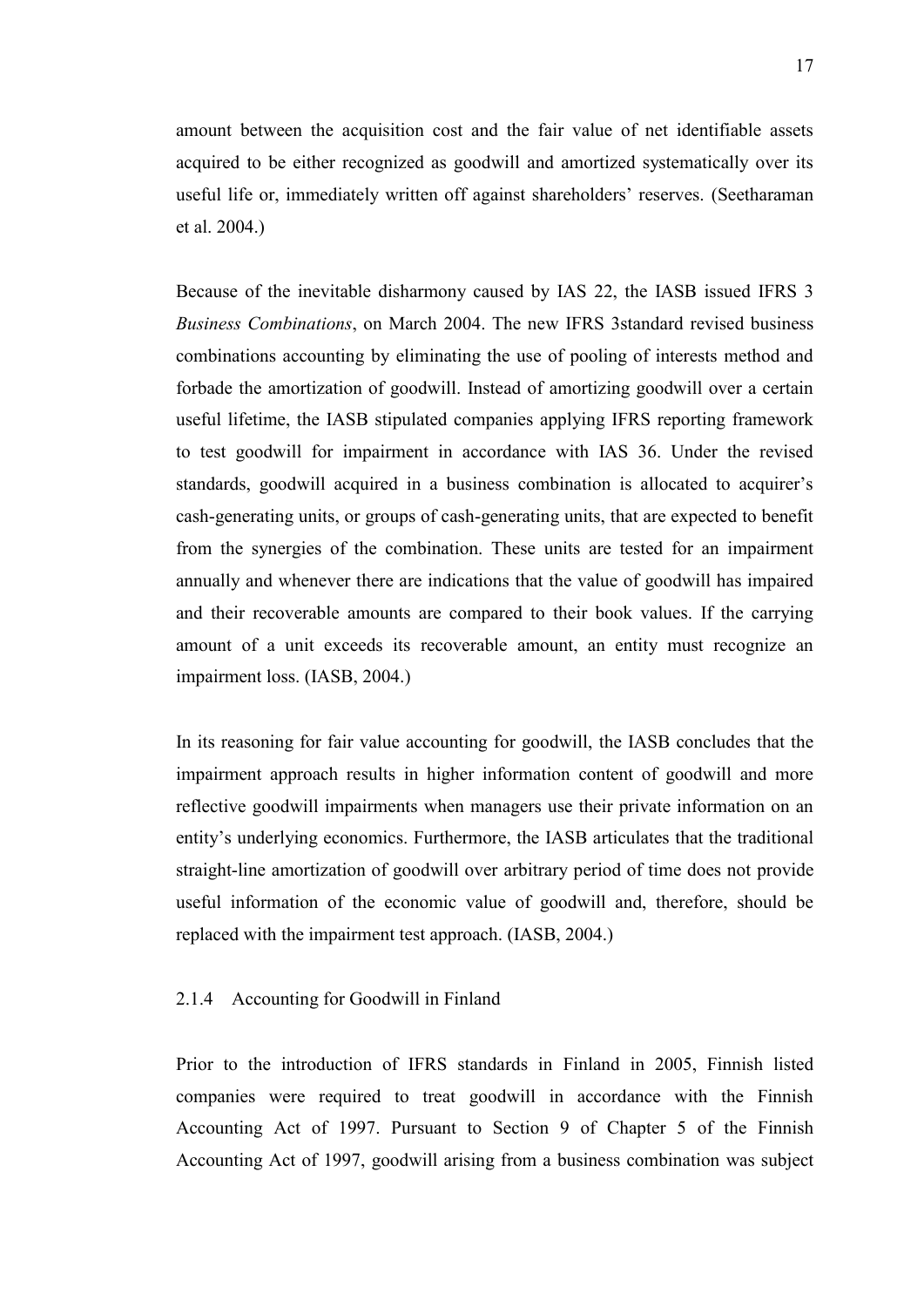amount between the acquisition cost and the fair value of net identifiable assets acquired to be either recognized as goodwill and amortized systematically over its useful life or, immediately written off against shareholders' reserves. (Seetharaman et al. 2004.)

Because of the inevitable disharmony caused by IAS 22, the IASB issued IFRS 3 *Business Combinations*, on March 2004. The new IFRS 3standard revised business combinations accounting by eliminating the use of pooling of interests method and forbade the amortization of goodwill. Instead of amortizing goodwill over a certain useful lifetime, the IASB stipulated companies applying IFRS reporting framework to test goodwill for impairment in accordance with IAS 36. Under the revised standards, goodwill acquired in a business combination is allocated to acquirer's cash-generating units, or groups of cash-generating units, that are expected to benefit from the synergies of the combination. These units are tested for an impairment annually and whenever there are indications that the value of goodwill has impaired and their recoverable amounts are compared to their book values. If the carrying amount of a unit exceeds its recoverable amount, an entity must recognize an impairment loss. (IASB, 2004.)

In its reasoning for fair value accounting for goodwill, the IASB concludes that the impairment approach results in higher information content of goodwill and more reflective goodwill impairments when managers use their private information on an entity's underlying economics. Furthermore, the IASB articulates that the traditional straight-line amortization of goodwill over arbitrary period of time does not provide useful information of the economic value of goodwill and, therefore, should be replaced with the impairment test approach. (IASB, 2004.)

#### <span id="page-16-0"></span>2.1.4 Accounting for Goodwill in Finland

Prior to the introduction of IFRS standards in Finland in 2005, Finnish listed companies were required to treat goodwill in accordance with the Finnish Accounting Act of 1997. Pursuant to Section 9 of Chapter 5 of the Finnish Accounting Act of 1997, goodwill arising from a business combination was subject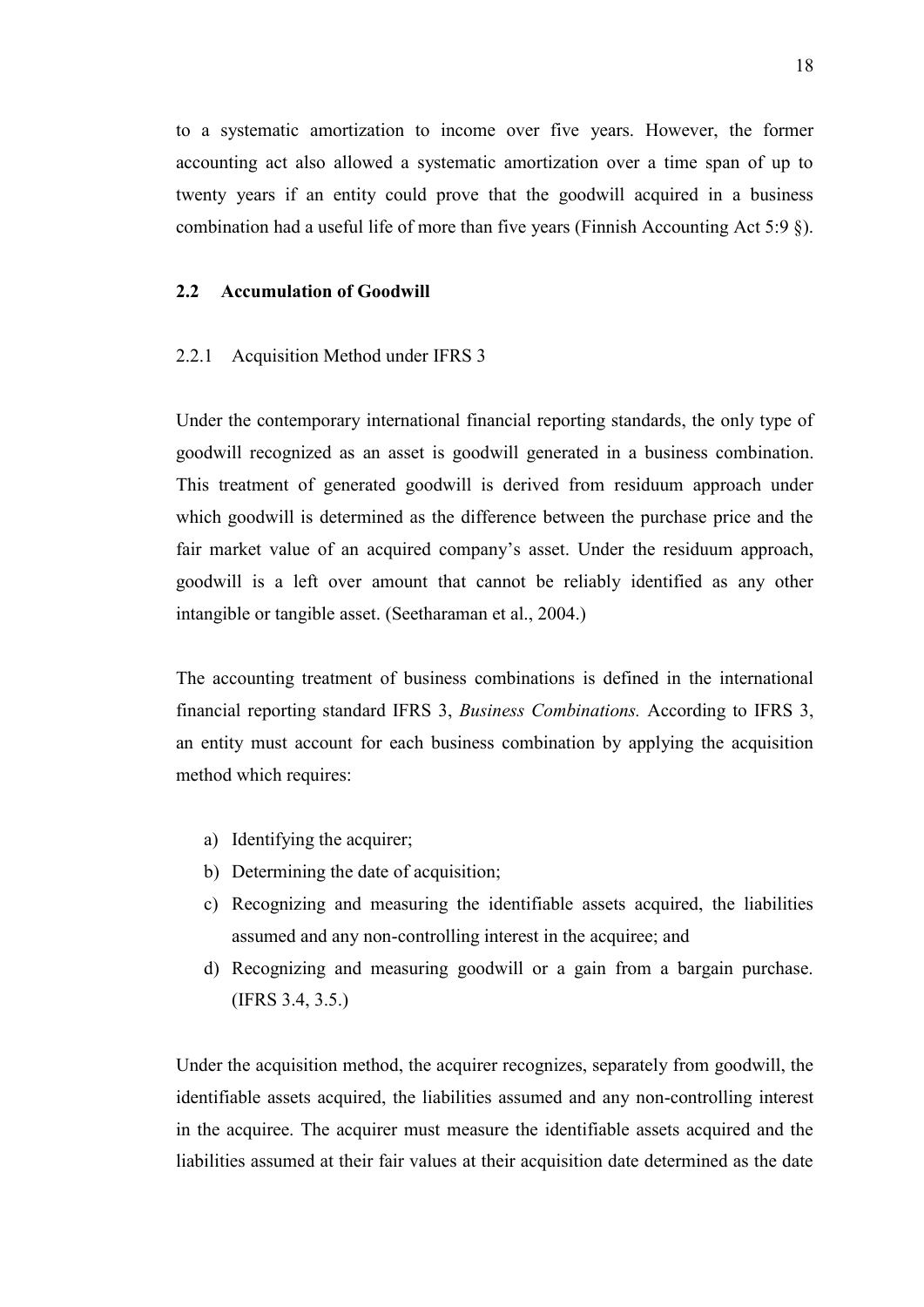to a systematic amortization to income over five years. However, the former accounting act also allowed a systematic amortization over a time span of up to twenty years if an entity could prove that the goodwill acquired in a business combination had a useful life of more than five years (Finnish Accounting Act 5:9 §).

#### <span id="page-17-0"></span>**2.2 Accumulation of Goodwill**

#### <span id="page-17-1"></span>2.2.1 Acquisition Method under IFRS 3

Under the contemporary international financial reporting standards, the only type of goodwill recognized as an asset is goodwill generated in a business combination. This treatment of generated goodwill is derived from residuum approach under which goodwill is determined as the difference between the purchase price and the fair market value of an acquired company's asset. Under the residuum approach, goodwill is a left over amount that cannot be reliably identified as any other intangible or tangible asset. (Seetharaman et al., 2004.)

The accounting treatment of business combinations is defined in the international financial reporting standard IFRS 3, *Business Combinations.* According to IFRS 3, an entity must account for each business combination by applying the acquisition method which requires:

- a) Identifying the acquirer;
- b) Determining the date of acquisition;
- c) Recognizing and measuring the identifiable assets acquired, the liabilities assumed and any non-controlling interest in the acquiree; and
- d) Recognizing and measuring goodwill or a gain from a bargain purchase. (IFRS 3.4, 3.5.)

Under the acquisition method, the acquirer recognizes, separately from goodwill, the identifiable assets acquired, the liabilities assumed and any non-controlling interest in the acquiree. The acquirer must measure the identifiable assets acquired and the liabilities assumed at their fair values at their acquisition date determined as the date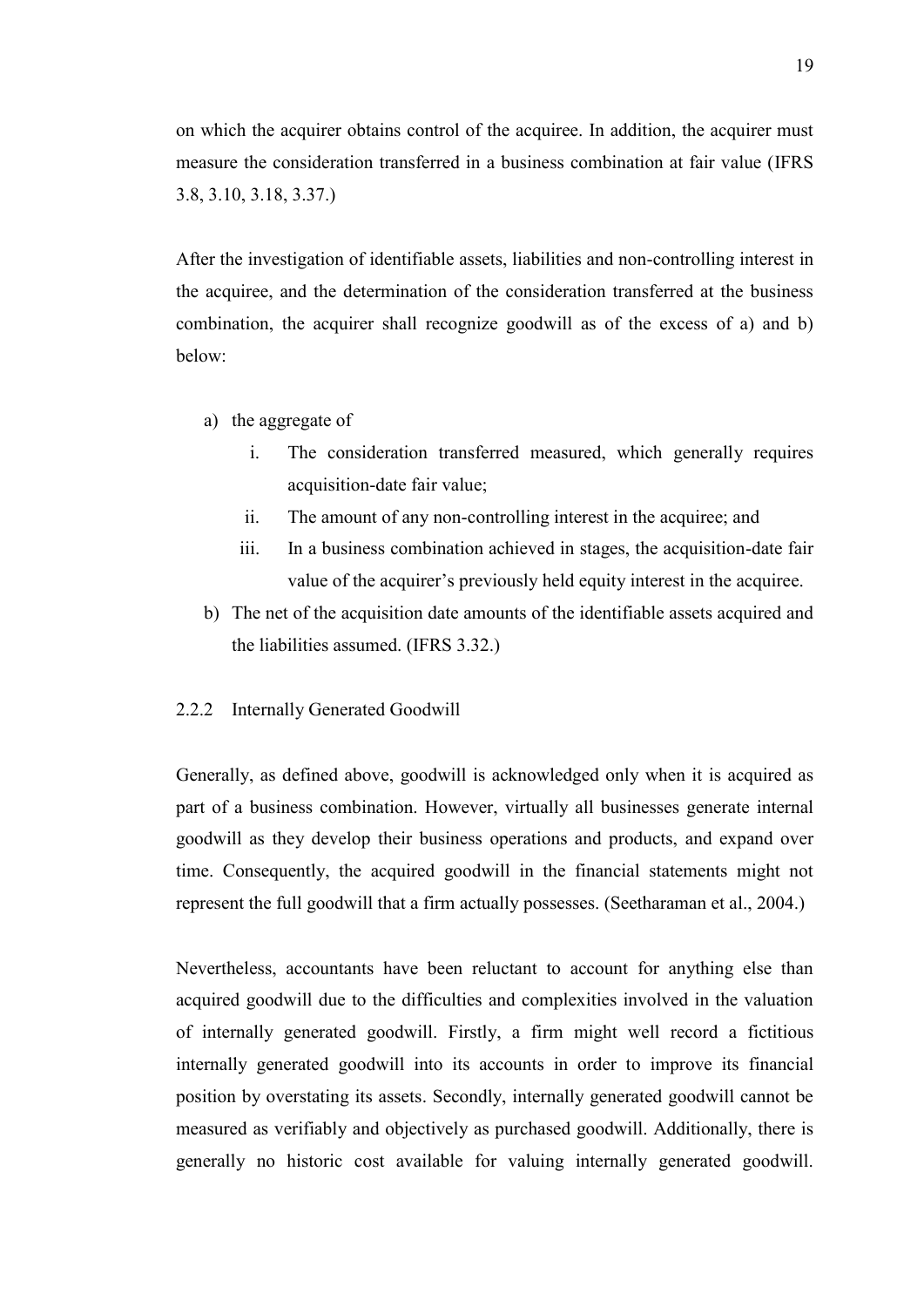on which the acquirer obtains control of the acquiree. In addition, the acquirer must measure the consideration transferred in a business combination at fair value (IFRS 3.8, 3.10, 3.18, 3.37.)

After the investigation of identifiable assets, liabilities and non-controlling interest in the acquiree, and the determination of the consideration transferred at the business combination, the acquirer shall recognize goodwill as of the excess of a) and b) below:

- a) the aggregate of
	- i. The consideration transferred measured, which generally requires acquisition-date fair value;
	- ii. The amount of any non-controlling interest in the acquiree; and
	- iii. In a business combination achieved in stages, the acquisition-date fair value of the acquirer's previously held equity interest in the acquiree.
- b) The net of the acquisition date amounts of the identifiable assets acquired and the liabilities assumed. (IFRS 3.32.)
- <span id="page-18-0"></span>2.2.2 Internally Generated Goodwill

Generally, as defined above, goodwill is acknowledged only when it is acquired as part of a business combination. However, virtually all businesses generate internal goodwill as they develop their business operations and products, and expand over time. Consequently, the acquired goodwill in the financial statements might not represent the full goodwill that a firm actually possesses. (Seetharaman et al., 2004.)

Nevertheless, accountants have been reluctant to account for anything else than acquired goodwill due to the difficulties and complexities involved in the valuation of internally generated goodwill. Firstly, a firm might well record a fictitious internally generated goodwill into its accounts in order to improve its financial position by overstating its assets. Secondly, internally generated goodwill cannot be measured as verifiably and objectively as purchased goodwill. Additionally, there is generally no historic cost available for valuing internally generated goodwill.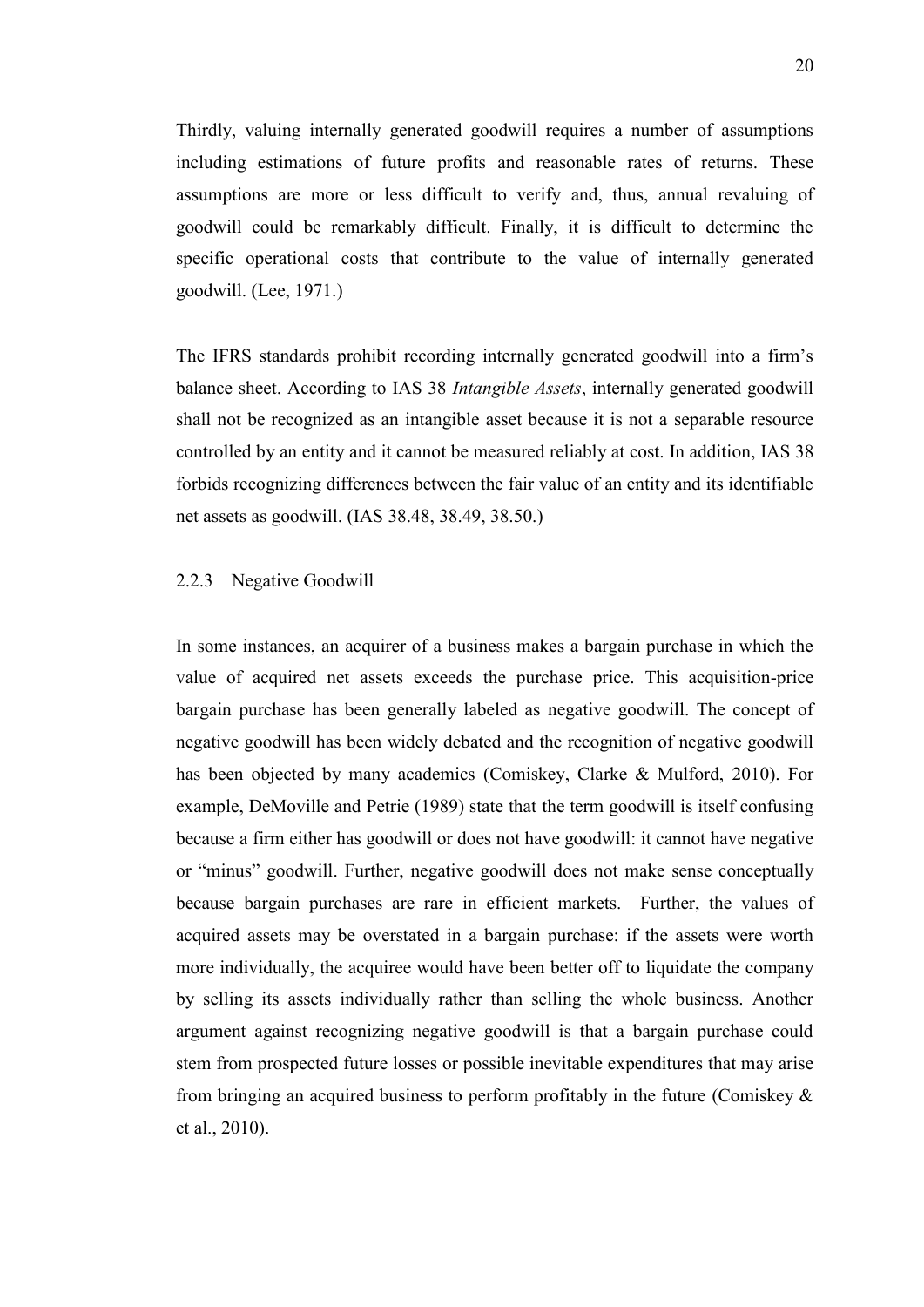Thirdly, valuing internally generated goodwill requires a number of assumptions including estimations of future profits and reasonable rates of returns. These assumptions are more or less difficult to verify and, thus, annual revaluing of goodwill could be remarkably difficult. Finally, it is difficult to determine the specific operational costs that contribute to the value of internally generated goodwill. (Lee, 1971.)

The IFRS standards prohibit recording internally generated goodwill into a firm's balance sheet. According to IAS 38 *Intangible Assets*, internally generated goodwill shall not be recognized as an intangible asset because it is not a separable resource controlled by an entity and it cannot be measured reliably at cost. In addition, IAS 38 forbids recognizing differences between the fair value of an entity and its identifiable net assets as goodwill. (IAS 38.48, 38.49, 38.50.)

#### <span id="page-19-0"></span>2.2.3 Negative Goodwill

In some instances, an acquirer of a business makes a bargain purchase in which the value of acquired net assets exceeds the purchase price. This acquisition-price bargain purchase has been generally labeled as negative goodwill. The concept of negative goodwill has been widely debated and the recognition of negative goodwill has been objected by many academics (Comiskey, Clarke & Mulford, 2010). For example, DeMoville and Petrie (1989) state that the term goodwill is itself confusing because a firm either has goodwill or does not have goodwill: it cannot have negative or "minus" goodwill. Further, negative goodwill does not make sense conceptually because bargain purchases are rare in efficient markets. Further, the values of acquired assets may be overstated in a bargain purchase: if the assets were worth more individually, the acquiree would have been better off to liquidate the company by selling its assets individually rather than selling the whole business. Another argument against recognizing negative goodwill is that a bargain purchase could stem from prospected future losses or possible inevitable expenditures that may arise from bringing an acquired business to perform profitably in the future (Comiskey & et al., 2010).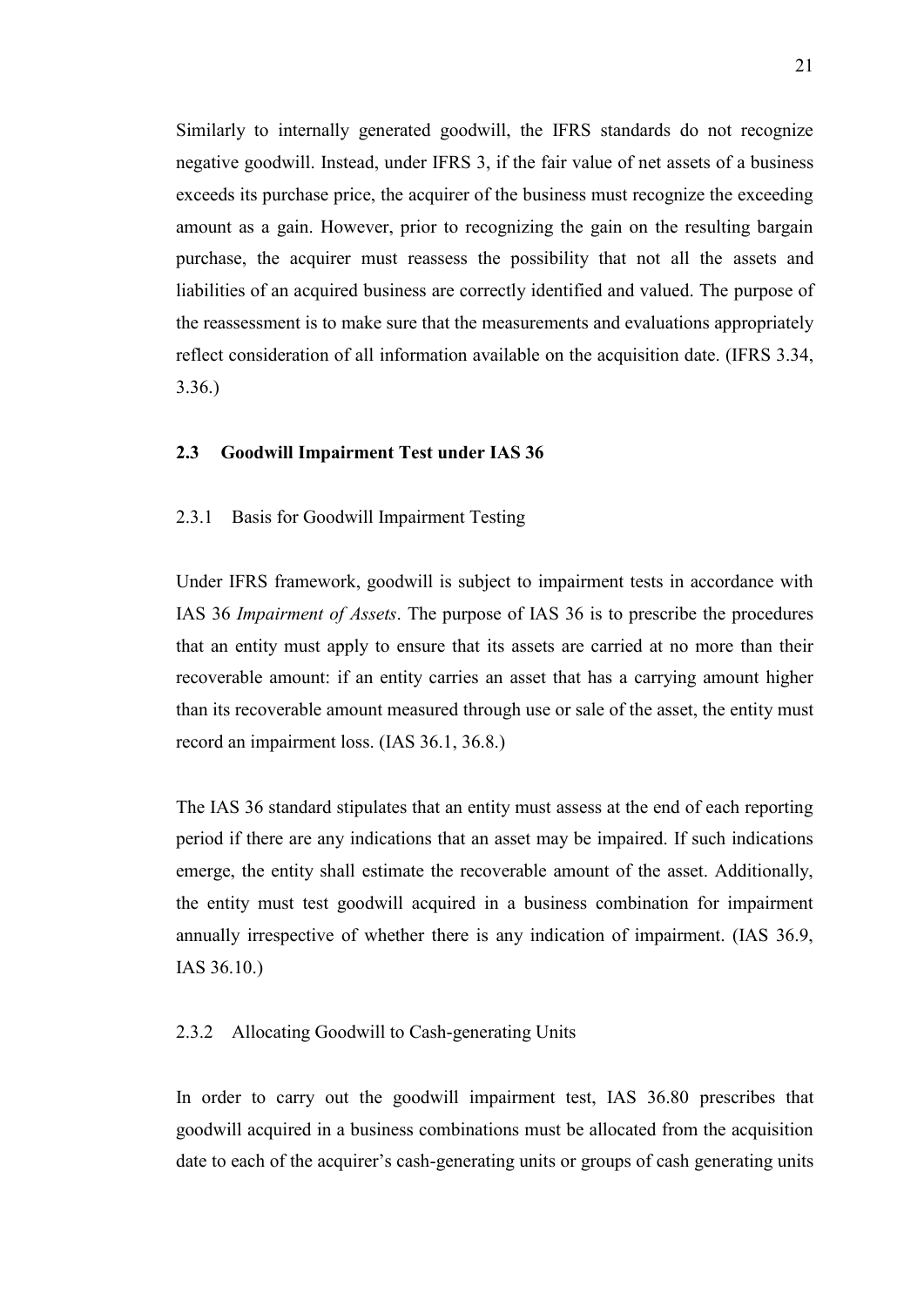Similarly to internally generated goodwill, the IFRS standards do not recognize negative goodwill. Instead, under IFRS 3, if the fair value of net assets of a business exceeds its purchase price, the acquirer of the business must recognize the exceeding amount as a gain. However, prior to recognizing the gain on the resulting bargain purchase, the acquirer must reassess the possibility that not all the assets and liabilities of an acquired business are correctly identified and valued. The purpose of the reassessment is to make sure that the measurements and evaluations appropriately reflect consideration of all information available on the acquisition date. (IFRS 3.34, 3.36.)

#### <span id="page-20-0"></span>**2.3 Goodwill Impairment Test under IAS 36**

#### <span id="page-20-1"></span>2.3.1 Basis for Goodwill Impairment Testing

Under IFRS framework, goodwill is subject to impairment tests in accordance with IAS 36 *Impairment of Assets*. The purpose of IAS 36 is to prescribe the procedures that an entity must apply to ensure that its assets are carried at no more than their recoverable amount: if an entity carries an asset that has a carrying amount higher than its recoverable amount measured through use or sale of the asset, the entity must record an impairment loss. (IAS 36.1, 36.8.)

The IAS 36 standard stipulates that an entity must assess at the end of each reporting period if there are any indications that an asset may be impaired. If such indications emerge, the entity shall estimate the recoverable amount of the asset. Additionally, the entity must test goodwill acquired in a business combination for impairment annually irrespective of whether there is any indication of impairment. (IAS 36.9, IAS 36.10.)

#### <span id="page-20-2"></span>2.3.2 Allocating Goodwill to Cash-generating Units

In order to carry out the goodwill impairment test, IAS 36.80 prescribes that goodwill acquired in a business combinations must be allocated from the acquisition date to each of the acquirer's cash-generating units or groups of cash generating units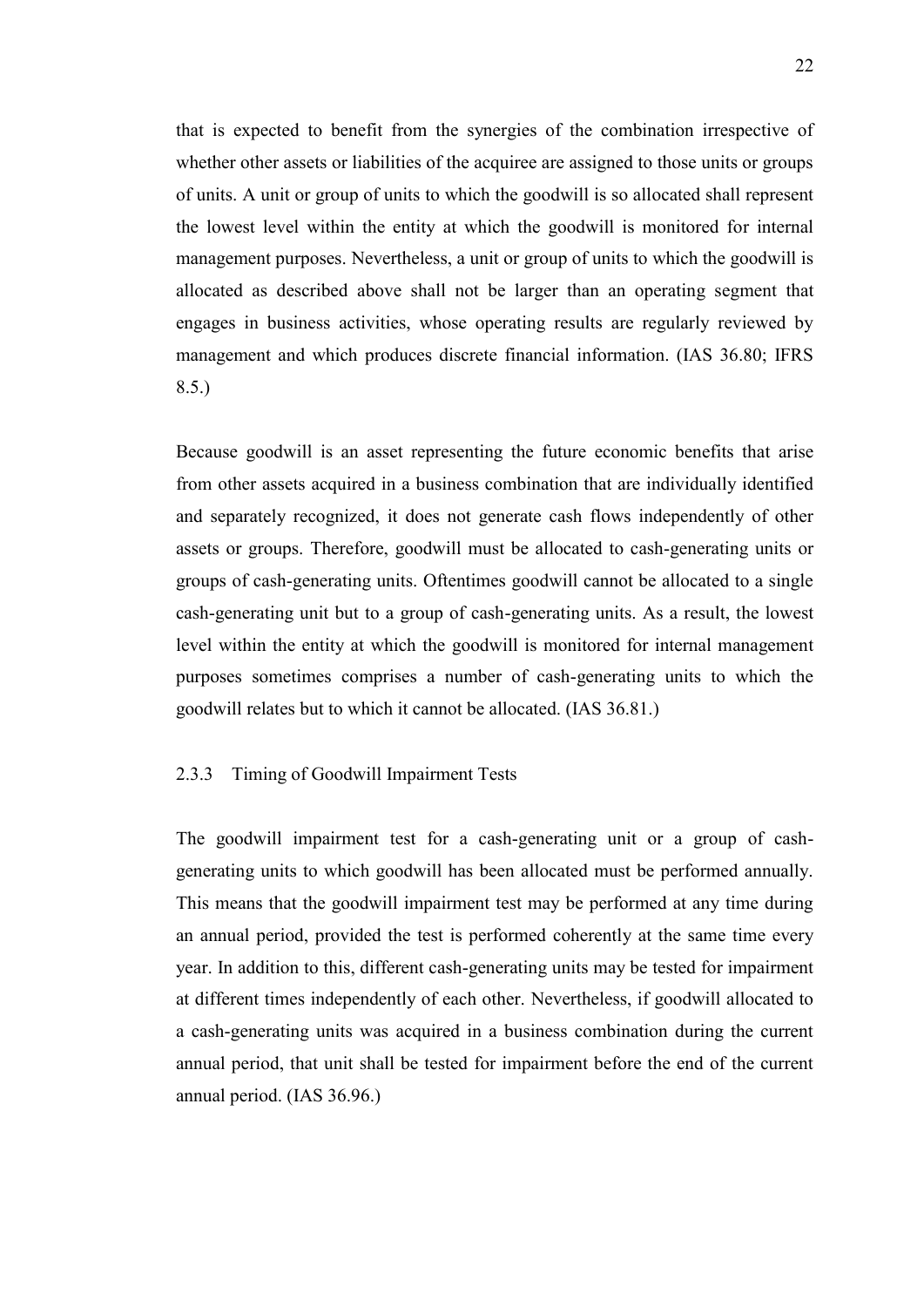that is expected to benefit from the synergies of the combination irrespective of whether other assets or liabilities of the acquiree are assigned to those units or groups of units. A unit or group of units to which the goodwill is so allocated shall represent the lowest level within the entity at which the goodwill is monitored for internal management purposes. Nevertheless, a unit or group of units to which the goodwill is allocated as described above shall not be larger than an operating segment that engages in business activities, whose operating results are regularly reviewed by management and which produces discrete financial information. (IAS 36.80; IFRS 8.5.)

Because goodwill is an asset representing the future economic benefits that arise from other assets acquired in a business combination that are individually identified and separately recognized, it does not generate cash flows independently of other assets or groups. Therefore, goodwill must be allocated to cash-generating units or groups of cash-generating units. Oftentimes goodwill cannot be allocated to a single cash-generating unit but to a group of cash-generating units. As a result, the lowest level within the entity at which the goodwill is monitored for internal management purposes sometimes comprises a number of cash-generating units to which the goodwill relates but to which it cannot be allocated. (IAS 36.81.)

#### <span id="page-21-0"></span>2.3.3 Timing of Goodwill Impairment Tests

The goodwill impairment test for a cash-generating unit or a group of cashgenerating units to which goodwill has been allocated must be performed annually. This means that the goodwill impairment test may be performed at any time during an annual period, provided the test is performed coherently at the same time every year. In addition to this, different cash-generating units may be tested for impairment at different times independently of each other. Nevertheless, if goodwill allocated to a cash-generating units was acquired in a business combination during the current annual period, that unit shall be tested for impairment before the end of the current annual period. (IAS 36.96.)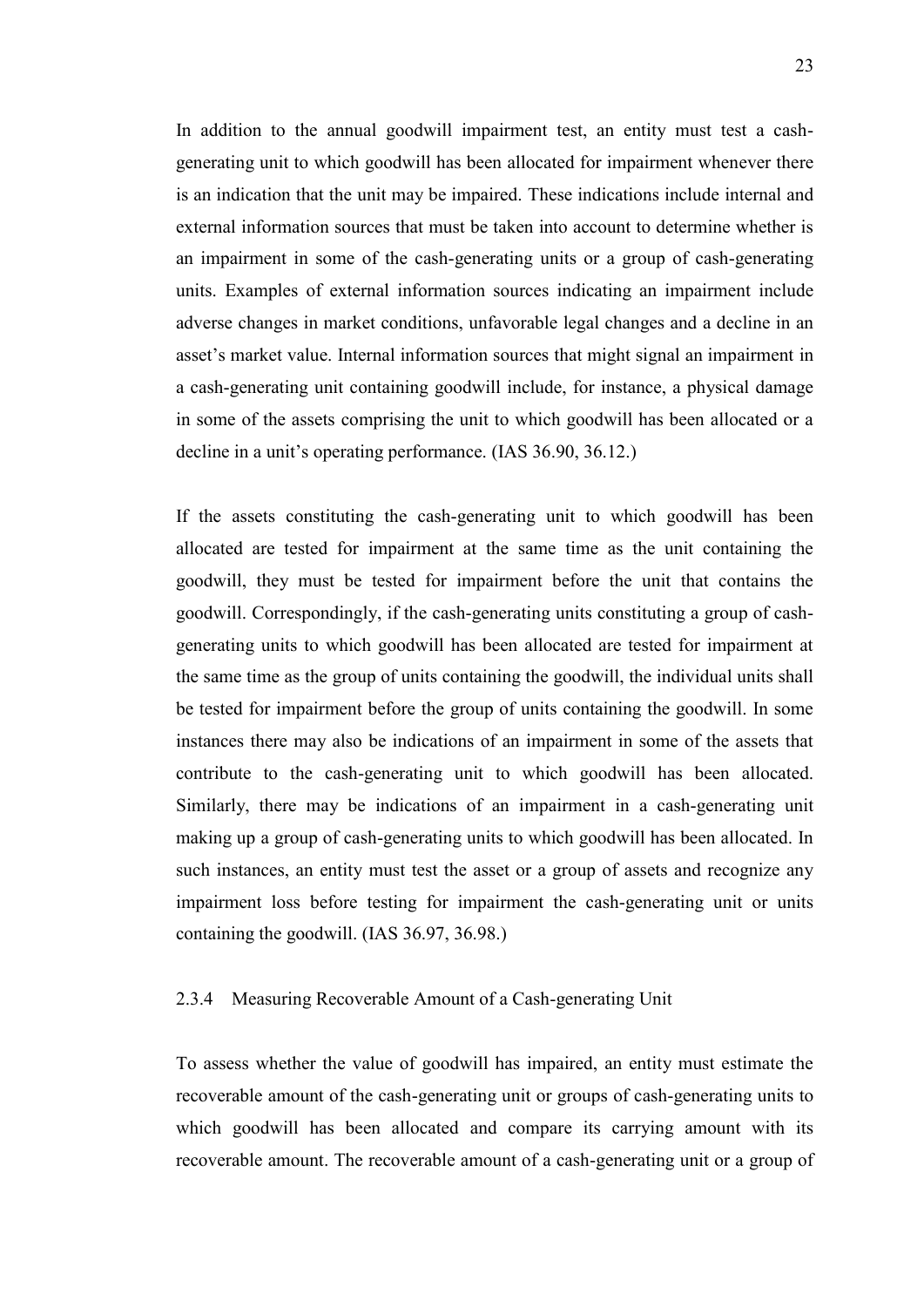In addition to the annual goodwill impairment test, an entity must test a cashgenerating unit to which goodwill has been allocated for impairment whenever there is an indication that the unit may be impaired. These indications include internal and external information sources that must be taken into account to determine whether is an impairment in some of the cash-generating units or a group of cash-generating units. Examples of external information sources indicating an impairment include adverse changes in market conditions, unfavorable legal changes and a decline in an asset's market value. Internal information sources that might signal an impairment in a cash-generating unit containing goodwill include, for instance, a physical damage in some of the assets comprising the unit to which goodwill has been allocated or a decline in a unit's operating performance. (IAS 36.90, 36.12.)

If the assets constituting the cash-generating unit to which goodwill has been allocated are tested for impairment at the same time as the unit containing the goodwill, they must be tested for impairment before the unit that contains the goodwill. Correspondingly, if the cash-generating units constituting a group of cashgenerating units to which goodwill has been allocated are tested for impairment at the same time as the group of units containing the goodwill, the individual units shall be tested for impairment before the group of units containing the goodwill. In some instances there may also be indications of an impairment in some of the assets that contribute to the cash-generating unit to which goodwill has been allocated. Similarly, there may be indications of an impairment in a cash-generating unit making up a group of cash-generating units to which goodwill has been allocated. In such instances, an entity must test the asset or a group of assets and recognize any impairment loss before testing for impairment the cash-generating unit or units containing the goodwill. (IAS 36.97, 36.98.)

#### <span id="page-22-0"></span>2.3.4 Measuring Recoverable Amount of a Cash-generating Unit

To assess whether the value of goodwill has impaired, an entity must estimate the recoverable amount of the cash-generating unit or groups of cash-generating units to which goodwill has been allocated and compare its carrying amount with its recoverable amount. The recoverable amount of a cash-generating unit or a group of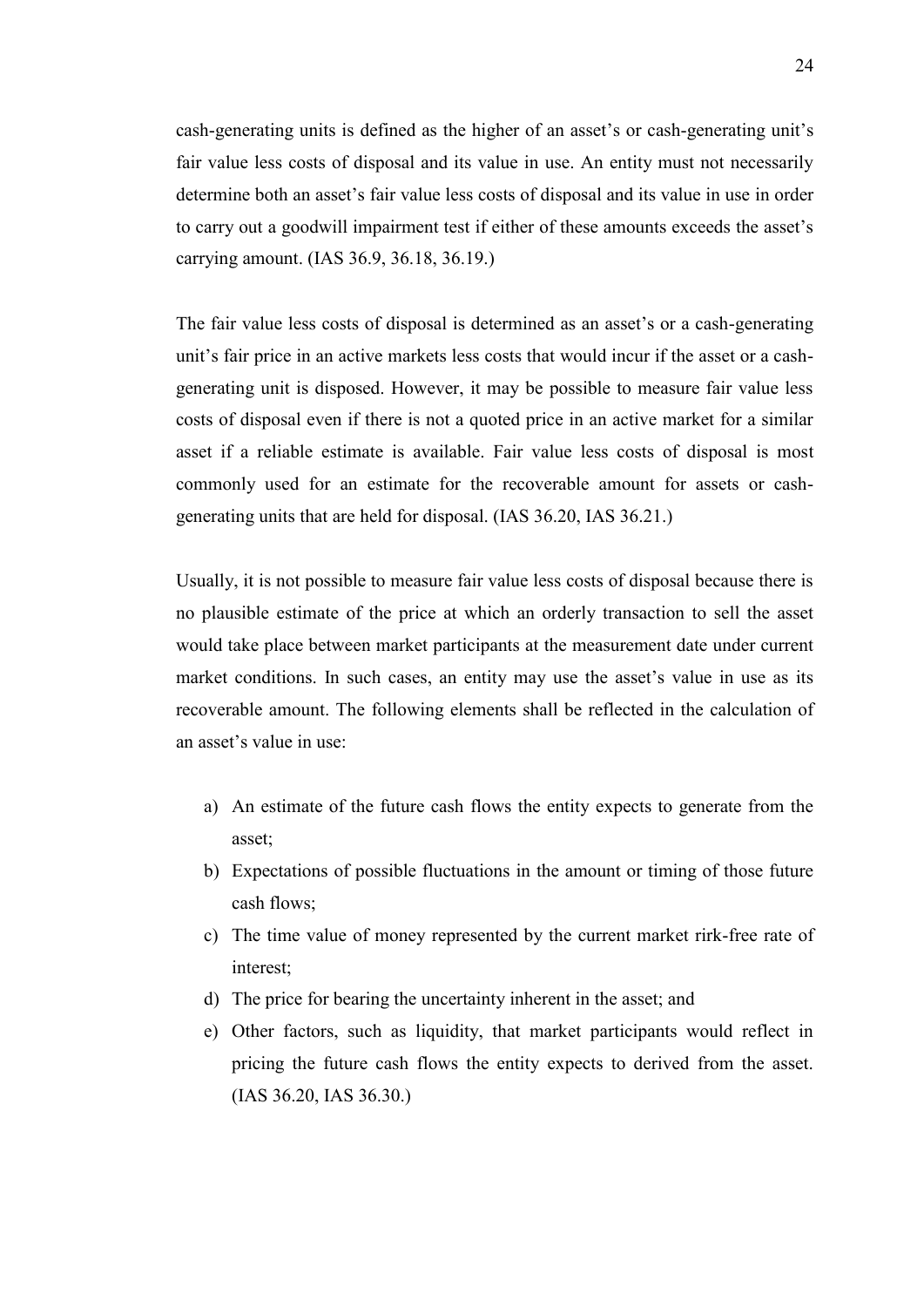cash-generating units is defined as the higher of an asset's or cash-generating unit's fair value less costs of disposal and its value in use. An entity must not necessarily determine both an asset's fair value less costs of disposal and its value in use in order to carry out a goodwill impairment test if either of these amounts exceeds the asset's carrying amount. (IAS 36.9, 36.18, 36.19.)

The fair value less costs of disposal is determined as an asset's or a cash-generating unit's fair price in an active markets less costs that would incur if the asset or a cashgenerating unit is disposed. However, it may be possible to measure fair value less costs of disposal even if there is not a quoted price in an active market for a similar asset if a reliable estimate is available. Fair value less costs of disposal is most commonly used for an estimate for the recoverable amount for assets or cashgenerating units that are held for disposal. (IAS 36.20, IAS 36.21.)

Usually, it is not possible to measure fair value less costs of disposal because there is no plausible estimate of the price at which an orderly transaction to sell the asset would take place between market participants at the measurement date under current market conditions. In such cases, an entity may use the asset's value in use as its recoverable amount. The following elements shall be reflected in the calculation of an asset's value in use:

- a) An estimate of the future cash flows the entity expects to generate from the asset;
- b) Expectations of possible fluctuations in the amount or timing of those future cash flows;
- c) The time value of money represented by the current market rirk-free rate of interest;
- d) The price for bearing the uncertainty inherent in the asset; and
- e) Other factors, such as liquidity, that market participants would reflect in pricing the future cash flows the entity expects to derived from the asset. (IAS 36.20, IAS 36.30.)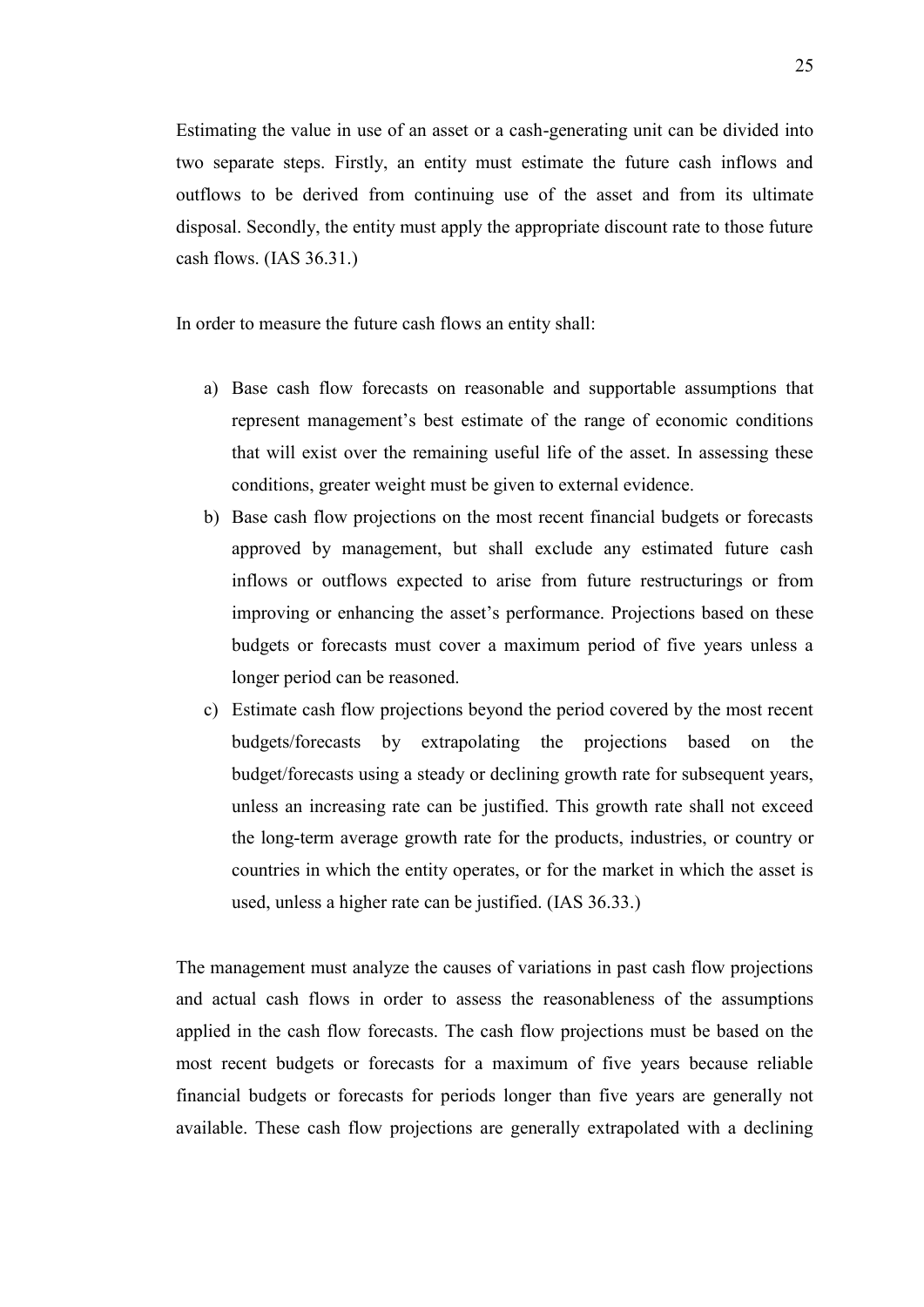Estimating the value in use of an asset or a cash-generating unit can be divided into two separate steps. Firstly, an entity must estimate the future cash inflows and outflows to be derived from continuing use of the asset and from its ultimate disposal. Secondly, the entity must apply the appropriate discount rate to those future cash flows. (IAS 36.31.)

In order to measure the future cash flows an entity shall:

- a) Base cash flow forecasts on reasonable and supportable assumptions that represent management's best estimate of the range of economic conditions that will exist over the remaining useful life of the asset. In assessing these conditions, greater weight must be given to external evidence.
- b) Base cash flow projections on the most recent financial budgets or forecasts approved by management, but shall exclude any estimated future cash inflows or outflows expected to arise from future restructurings or from improving or enhancing the asset's performance. Projections based on these budgets or forecasts must cover a maximum period of five years unless a longer period can be reasoned.
- c) Estimate cash flow projections beyond the period covered by the most recent budgets/forecasts by extrapolating the projections based on the budget/forecasts using a steady or declining growth rate for subsequent years, unless an increasing rate can be justified. This growth rate shall not exceed the long-term average growth rate for the products, industries, or country or countries in which the entity operates, or for the market in which the asset is used, unless a higher rate can be justified. (IAS 36.33.)

The management must analyze the causes of variations in past cash flow projections and actual cash flows in order to assess the reasonableness of the assumptions applied in the cash flow forecasts. The cash flow projections must be based on the most recent budgets or forecasts for a maximum of five years because reliable financial budgets or forecasts for periods longer than five years are generally not available. These cash flow projections are generally extrapolated with a declining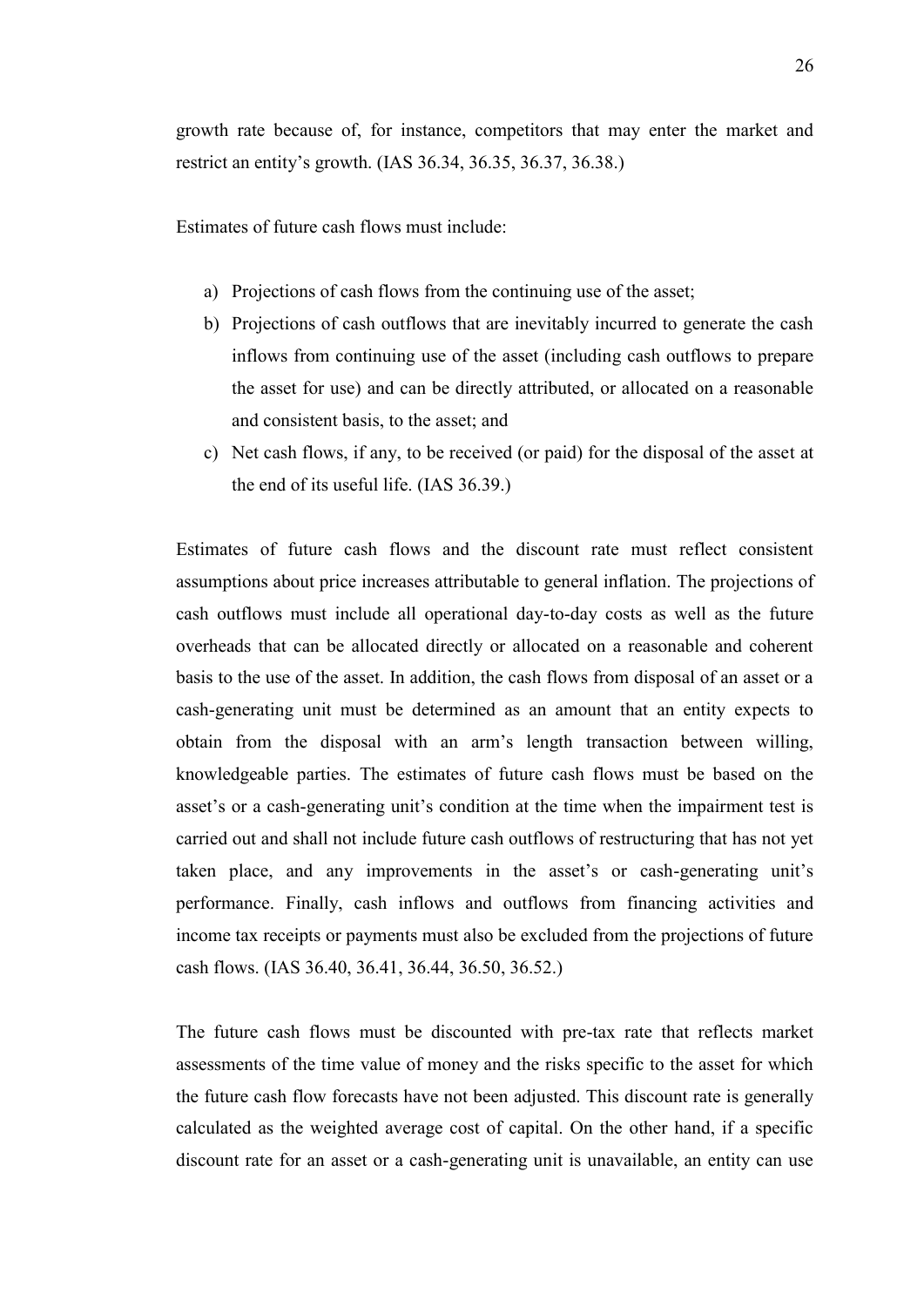growth rate because of, for instance, competitors that may enter the market and restrict an entity's growth. (IAS 36.34, 36.35, 36.37, 36.38.)

Estimates of future cash flows must include:

- a) Projections of cash flows from the continuing use of the asset;
- b) Projections of cash outflows that are inevitably incurred to generate the cash inflows from continuing use of the asset (including cash outflows to prepare the asset for use) and can be directly attributed, or allocated on a reasonable and consistent basis, to the asset; and
- c) Net cash flows, if any, to be received (or paid) for the disposal of the asset at the end of its useful life. (IAS 36.39.)

Estimates of future cash flows and the discount rate must reflect consistent assumptions about price increases attributable to general inflation. The projections of cash outflows must include all operational day-to-day costs as well as the future overheads that can be allocated directly or allocated on a reasonable and coherent basis to the use of the asset. In addition, the cash flows from disposal of an asset or a cash-generating unit must be determined as an amount that an entity expects to obtain from the disposal with an arm's length transaction between willing, knowledgeable parties. The estimates of future cash flows must be based on the asset's or a cash-generating unit's condition at the time when the impairment test is carried out and shall not include future cash outflows of restructuring that has not yet taken place, and any improvements in the asset's or cash-generating unit's performance. Finally, cash inflows and outflows from financing activities and income tax receipts or payments must also be excluded from the projections of future cash flows. (IAS 36.40, 36.41, 36.44, 36.50, 36.52.)

The future cash flows must be discounted with pre-tax rate that reflects market assessments of the time value of money and the risks specific to the asset for which the future cash flow forecasts have not been adjusted. This discount rate is generally calculated as the weighted average cost of capital. On the other hand, if a specific discount rate for an asset or a cash-generating unit is unavailable, an entity can use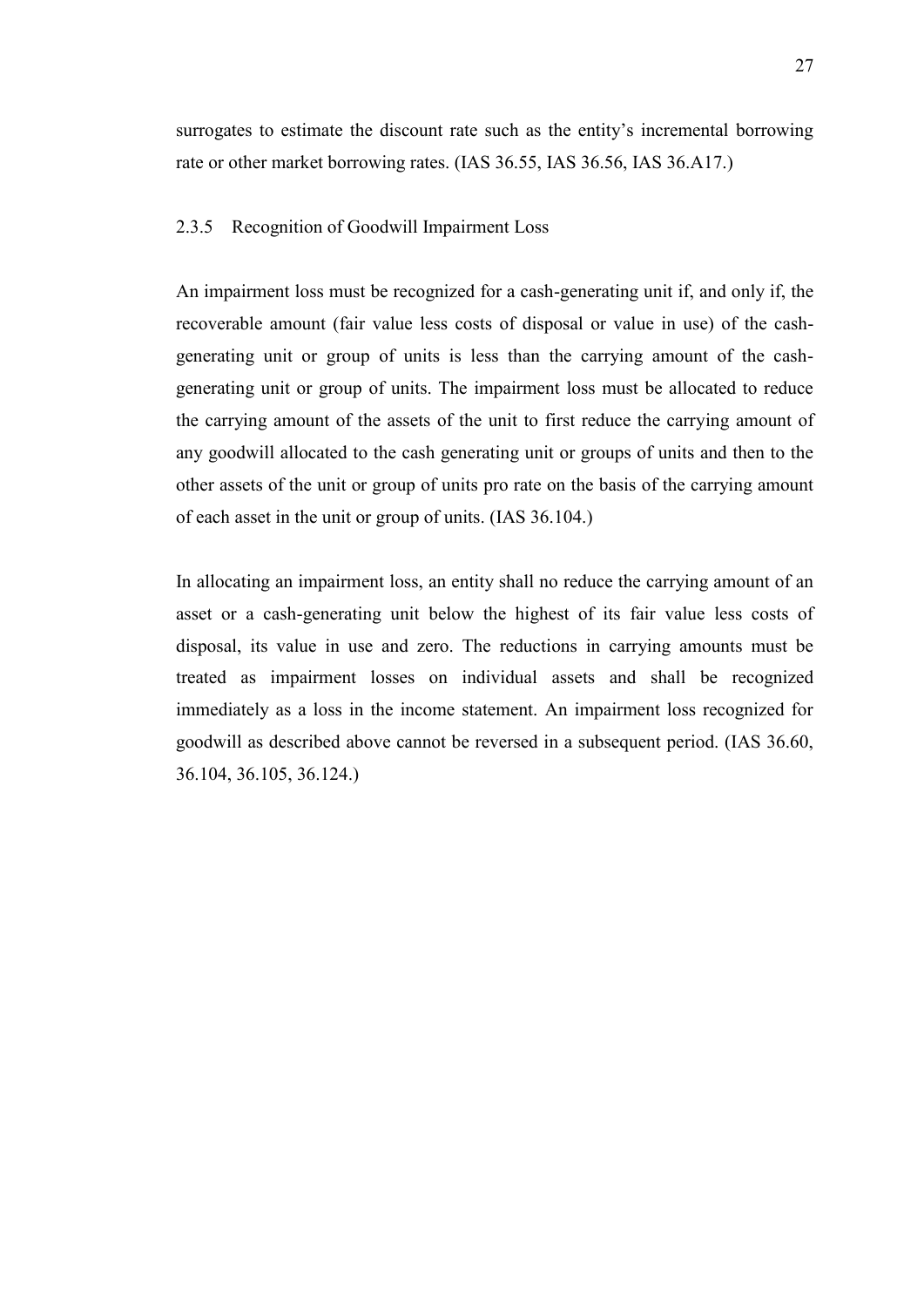surrogates to estimate the discount rate such as the entity's incremental borrowing rate or other market borrowing rates. (IAS 36.55, IAS 36.56, IAS 36.A17.)

#### <span id="page-26-0"></span>2.3.5 Recognition of Goodwill Impairment Loss

An impairment loss must be recognized for a cash-generating unit if, and only if, the recoverable amount (fair value less costs of disposal or value in use) of the cashgenerating unit or group of units is less than the carrying amount of the cashgenerating unit or group of units. The impairment loss must be allocated to reduce the carrying amount of the assets of the unit to first reduce the carrying amount of any goodwill allocated to the cash generating unit or groups of units and then to the other assets of the unit or group of units pro rate on the basis of the carrying amount of each asset in the unit or group of units. (IAS 36.104.)

In allocating an impairment loss, an entity shall no reduce the carrying amount of an asset or a cash-generating unit below the highest of its fair value less costs of disposal, its value in use and zero. The reductions in carrying amounts must be treated as impairment losses on individual assets and shall be recognized immediately as a loss in the income statement. An impairment loss recognized for goodwill as described above cannot be reversed in a subsequent period. (IAS 36.60, 36.104, 36.105, 36.124.)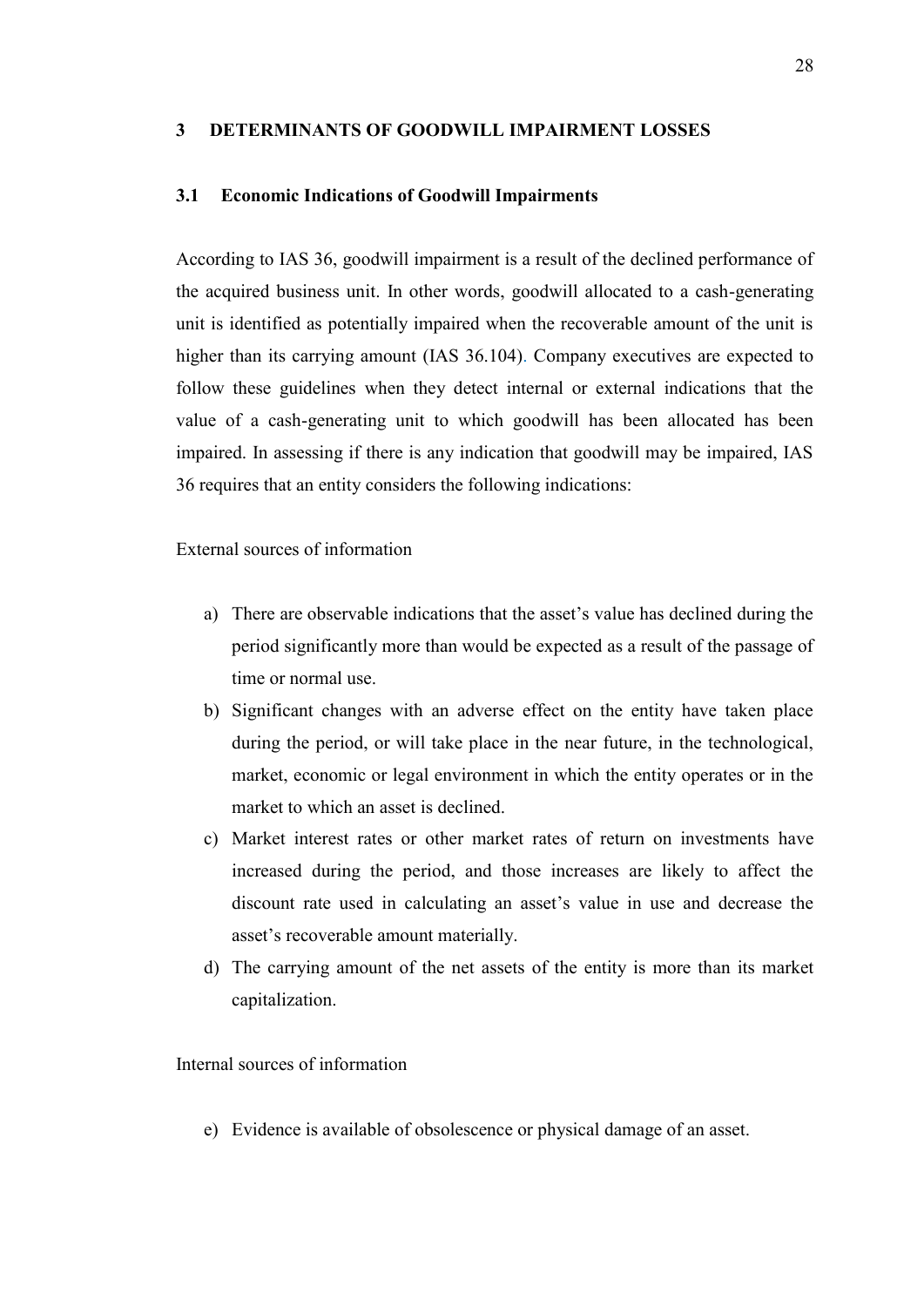#### <span id="page-27-0"></span>**3 DETERMINANTS OF GOODWILL IMPAIRMENT LOSSES**

#### <span id="page-27-1"></span>**3.1 Economic Indications of Goodwill Impairments**

According to IAS 36, goodwill impairment is a result of the declined performance of the acquired business unit. In other words, goodwill allocated to a cash-generating unit is identified as potentially impaired when the recoverable amount of the unit is higher than its carrying amount (IAS 36.104). Company executives are expected to follow these guidelines when they detect internal or external indications that the value of a cash-generating unit to which goodwill has been allocated has been impaired. In assessing if there is any indication that goodwill may be impaired, IAS 36 requires that an entity considers the following indications:

External sources of information

- a) There are observable indications that the asset's value has declined during the period significantly more than would be expected as a result of the passage of time or normal use.
- b) Significant changes with an adverse effect on the entity have taken place during the period, or will take place in the near future, in the technological, market, economic or legal environment in which the entity operates or in the market to which an asset is declined.
- c) Market interest rates or other market rates of return on investments have increased during the period, and those increases are likely to affect the discount rate used in calculating an asset's value in use and decrease the asset's recoverable amount materially.
- d) The carrying amount of the net assets of the entity is more than its market capitalization.

Internal sources of information

e) Evidence is available of obsolescence or physical damage of an asset.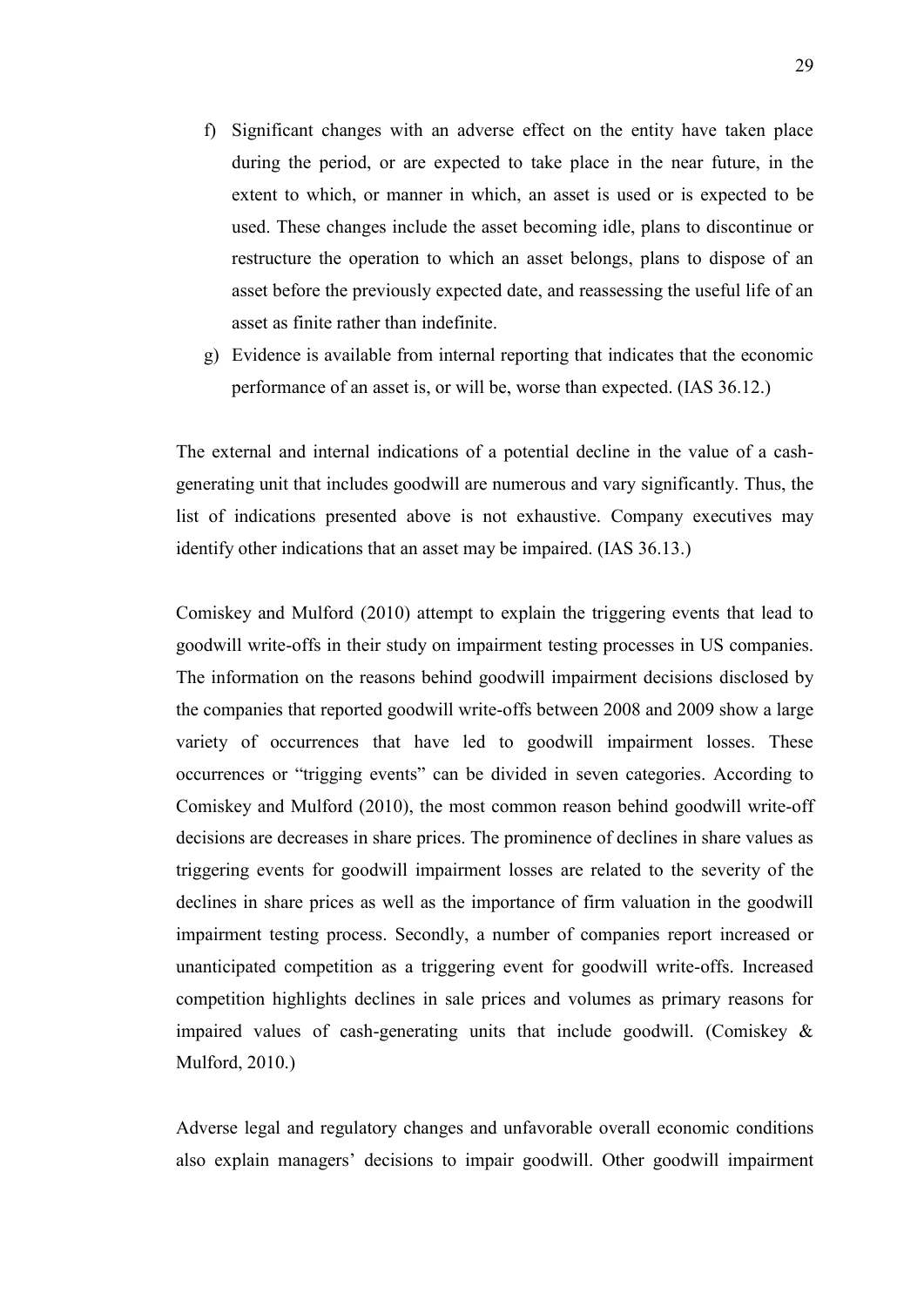- f) Significant changes with an adverse effect on the entity have taken place during the period, or are expected to take place in the near future, in the extent to which, or manner in which, an asset is used or is expected to be used. These changes include the asset becoming idle, plans to discontinue or restructure the operation to which an asset belongs, plans to dispose of an asset before the previously expected date, and reassessing the useful life of an asset as finite rather than indefinite.
- g) Evidence is available from internal reporting that indicates that the economic performance of an asset is, or will be, worse than expected. (IAS 36.12.)

The external and internal indications of a potential decline in the value of a cashgenerating unit that includes goodwill are numerous and vary significantly. Thus, the list of indications presented above is not exhaustive. Company executives may identify other indications that an asset may be impaired. (IAS 36.13.)

Comiskey and Mulford (2010) attempt to explain the triggering events that lead to goodwill write-offs in their study on impairment testing processes in US companies. The information on the reasons behind goodwill impairment decisions disclosed by the companies that reported goodwill write-offs between 2008 and 2009 show a large variety of occurrences that have led to goodwill impairment losses. These occurrences or "trigging events" can be divided in seven categories. According to Comiskey and Mulford (2010), the most common reason behind goodwill write-off decisions are decreases in share prices. The prominence of declines in share values as triggering events for goodwill impairment losses are related to the severity of the declines in share prices as well as the importance of firm valuation in the goodwill impairment testing process. Secondly, a number of companies report increased or unanticipated competition as a triggering event for goodwill write-offs. Increased competition highlights declines in sale prices and volumes as primary reasons for impaired values of cash-generating units that include goodwill. (Comiskey  $\&$ Mulford, 2010.)

Adverse legal and regulatory changes and unfavorable overall economic conditions also explain managers' decisions to impair goodwill. Other goodwill impairment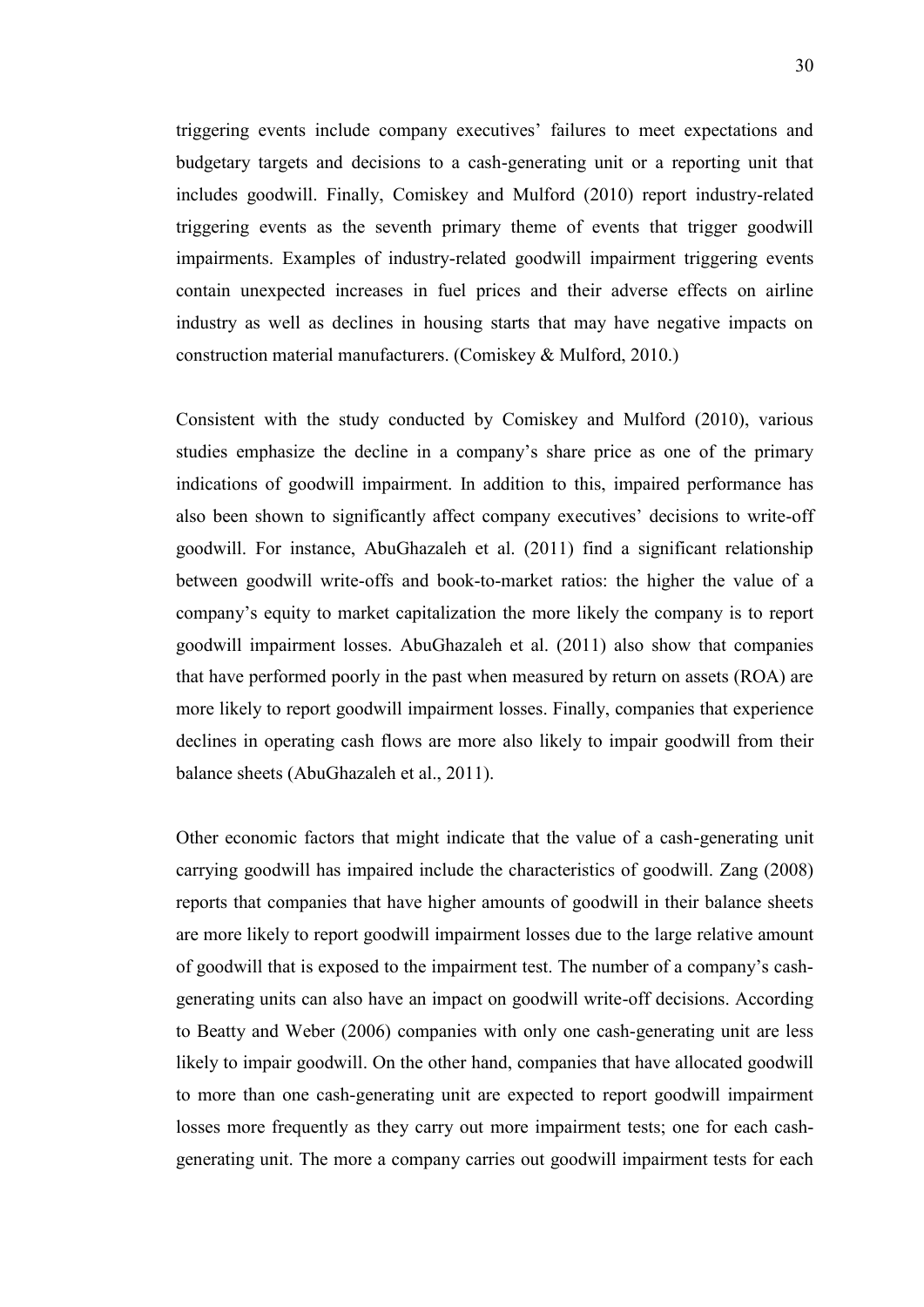triggering events include company executives' failures to meet expectations and budgetary targets and decisions to a cash-generating unit or a reporting unit that includes goodwill. Finally, Comiskey and Mulford (2010) report industry-related triggering events as the seventh primary theme of events that trigger goodwill impairments. Examples of industry-related goodwill impairment triggering events contain unexpected increases in fuel prices and their adverse effects on airline industry as well as declines in housing starts that may have negative impacts on construction material manufacturers. (Comiskey & Mulford, 2010.)

Consistent with the study conducted by Comiskey and Mulford (2010), various studies emphasize the decline in a company's share price as one of the primary indications of goodwill impairment. In addition to this, impaired performance has also been shown to significantly affect company executives' decisions to write-off goodwill. For instance, AbuGhazaleh et al. (2011) find a significant relationship between goodwill write-offs and book-to-market ratios: the higher the value of a company's equity to market capitalization the more likely the company is to report goodwill impairment losses. AbuGhazaleh et al. (2011) also show that companies that have performed poorly in the past when measured by return on assets (ROA) are more likely to report goodwill impairment losses. Finally, companies that experience declines in operating cash flows are more also likely to impair goodwill from their balance sheets (AbuGhazaleh et al., 2011).

Other economic factors that might indicate that the value of a cash-generating unit carrying goodwill has impaired include the characteristics of goodwill. Zang (2008) reports that companies that have higher amounts of goodwill in their balance sheets are more likely to report goodwill impairment losses due to the large relative amount of goodwill that is exposed to the impairment test. The number of a company's cashgenerating units can also have an impact on goodwill write-off decisions. According to Beatty and Weber (2006) companies with only one cash-generating unit are less likely to impair goodwill. On the other hand, companies that have allocated goodwill to more than one cash-generating unit are expected to report goodwill impairment losses more frequently as they carry out more impairment tests; one for each cashgenerating unit. The more a company carries out goodwill impairment tests for each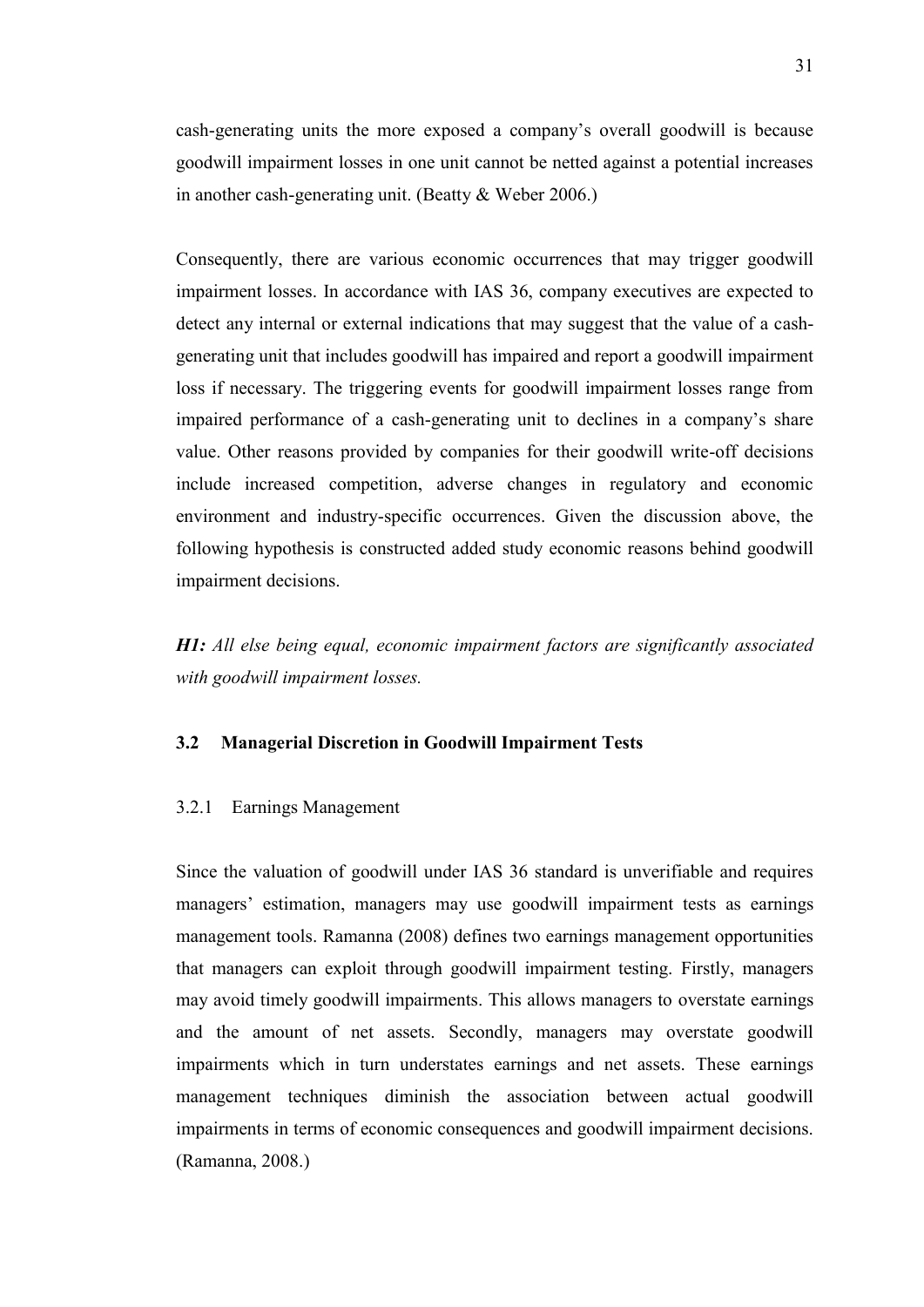cash-generating units the more exposed a company's overall goodwill is because goodwill impairment losses in one unit cannot be netted against a potential increases in another cash-generating unit. (Beatty & Weber 2006.)

Consequently, there are various economic occurrences that may trigger goodwill impairment losses. In accordance with IAS 36, company executives are expected to detect any internal or external indications that may suggest that the value of a cashgenerating unit that includes goodwill has impaired and report a goodwill impairment loss if necessary. The triggering events for goodwill impairment losses range from impaired performance of a cash-generating unit to declines in a company's share value. Other reasons provided by companies for their goodwill write-off decisions include increased competition, adverse changes in regulatory and economic environment and industry-specific occurrences. Given the discussion above, the following hypothesis is constructed added study economic reasons behind goodwill impairment decisions.

*H1: All else being equal, economic impairment factors are significantly associated with goodwill impairment losses.*

#### <span id="page-30-0"></span>**3.2 Managerial Discretion in Goodwill Impairment Tests**

#### <span id="page-30-1"></span>3.2.1 Earnings Management

Since the valuation of goodwill under IAS 36 standard is unverifiable and requires managers' estimation, managers may use goodwill impairment tests as earnings management tools. Ramanna (2008) defines two earnings management opportunities that managers can exploit through goodwill impairment testing. Firstly, managers may avoid timely goodwill impairments. This allows managers to overstate earnings and the amount of net assets. Secondly, managers may overstate goodwill impairments which in turn understates earnings and net assets. These earnings management techniques diminish the association between actual goodwill impairments in terms of economic consequences and goodwill impairment decisions. (Ramanna, 2008.)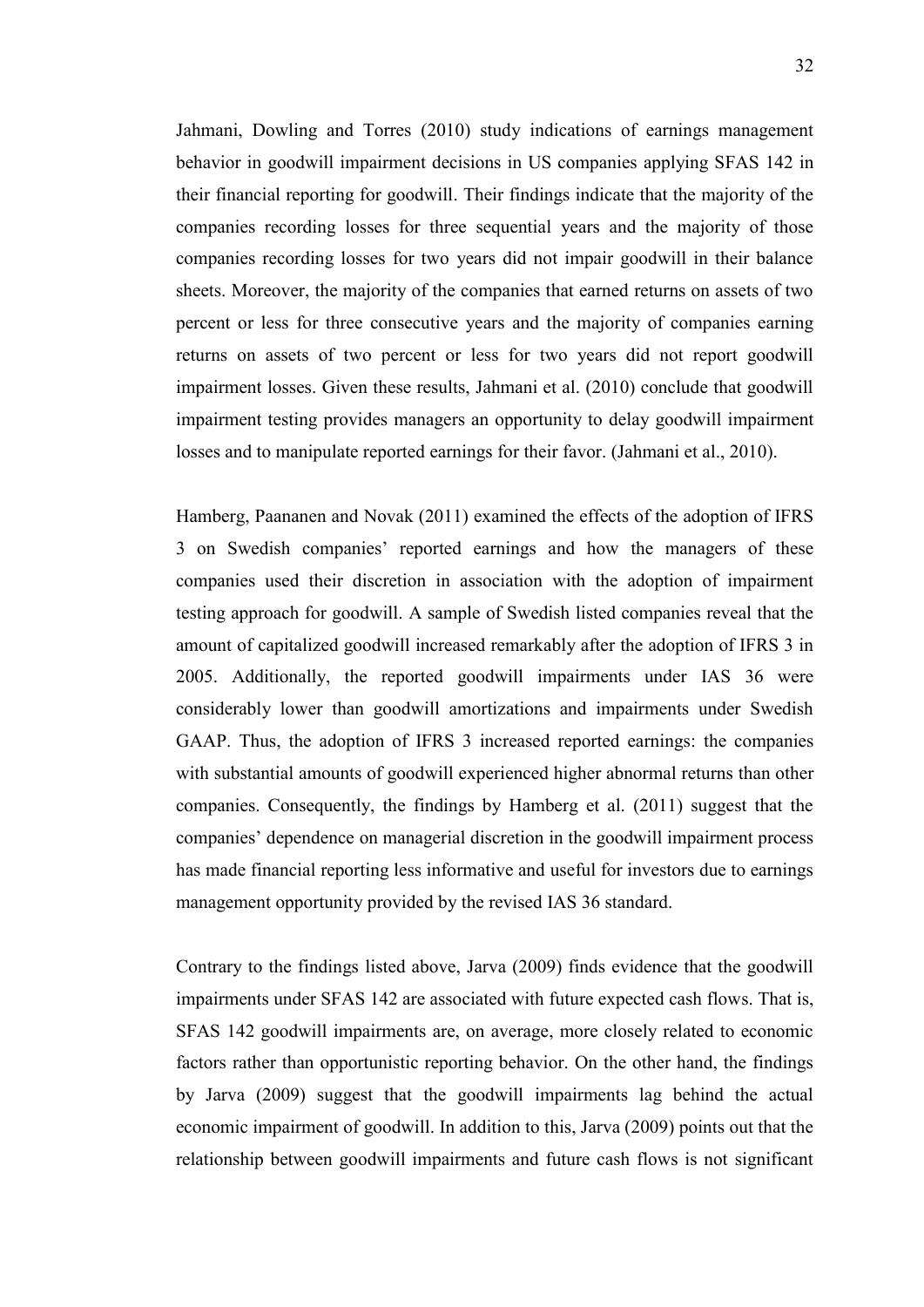Jahmani, Dowling and Torres (2010) study indications of earnings management behavior in goodwill impairment decisions in US companies applying SFAS 142 in their financial reporting for goodwill. Their findings indicate that the majority of the companies recording losses for three sequential years and the majority of those companies recording losses for two years did not impair goodwill in their balance sheets. Moreover, the majority of the companies that earned returns on assets of two percent or less for three consecutive years and the majority of companies earning returns on assets of two percent or less for two years did not report goodwill impairment losses. Given these results, Jahmani et al. (2010) conclude that goodwill impairment testing provides managers an opportunity to delay goodwill impairment losses and to manipulate reported earnings for their favor. (Jahmani et al., 2010).

Hamberg, Paananen and Novak (2011) examined the effects of the adoption of IFRS 3 on Swedish companies' reported earnings and how the managers of these companies used their discretion in association with the adoption of impairment testing approach for goodwill. A sample of Swedish listed companies reveal that the amount of capitalized goodwill increased remarkably after the adoption of IFRS 3 in 2005. Additionally, the reported goodwill impairments under IAS 36 were considerably lower than goodwill amortizations and impairments under Swedish GAAP. Thus, the adoption of IFRS 3 increased reported earnings: the companies with substantial amounts of goodwill experienced higher abnormal returns than other companies. Consequently, the findings by Hamberg et al. (2011) suggest that the companies' dependence on managerial discretion in the goodwill impairment process has made financial reporting less informative and useful for investors due to earnings management opportunity provided by the revised IAS 36 standard.

Contrary to the findings listed above, Jarva (2009) finds evidence that the goodwill impairments under SFAS 142 are associated with future expected cash flows. That is, SFAS 142 goodwill impairments are, on average, more closely related to economic factors rather than opportunistic reporting behavior. On the other hand, the findings by Jarva (2009) suggest that the goodwill impairments lag behind the actual economic impairment of goodwill. In addition to this, Jarva (2009) points out that the relationship between goodwill impairments and future cash flows is not significant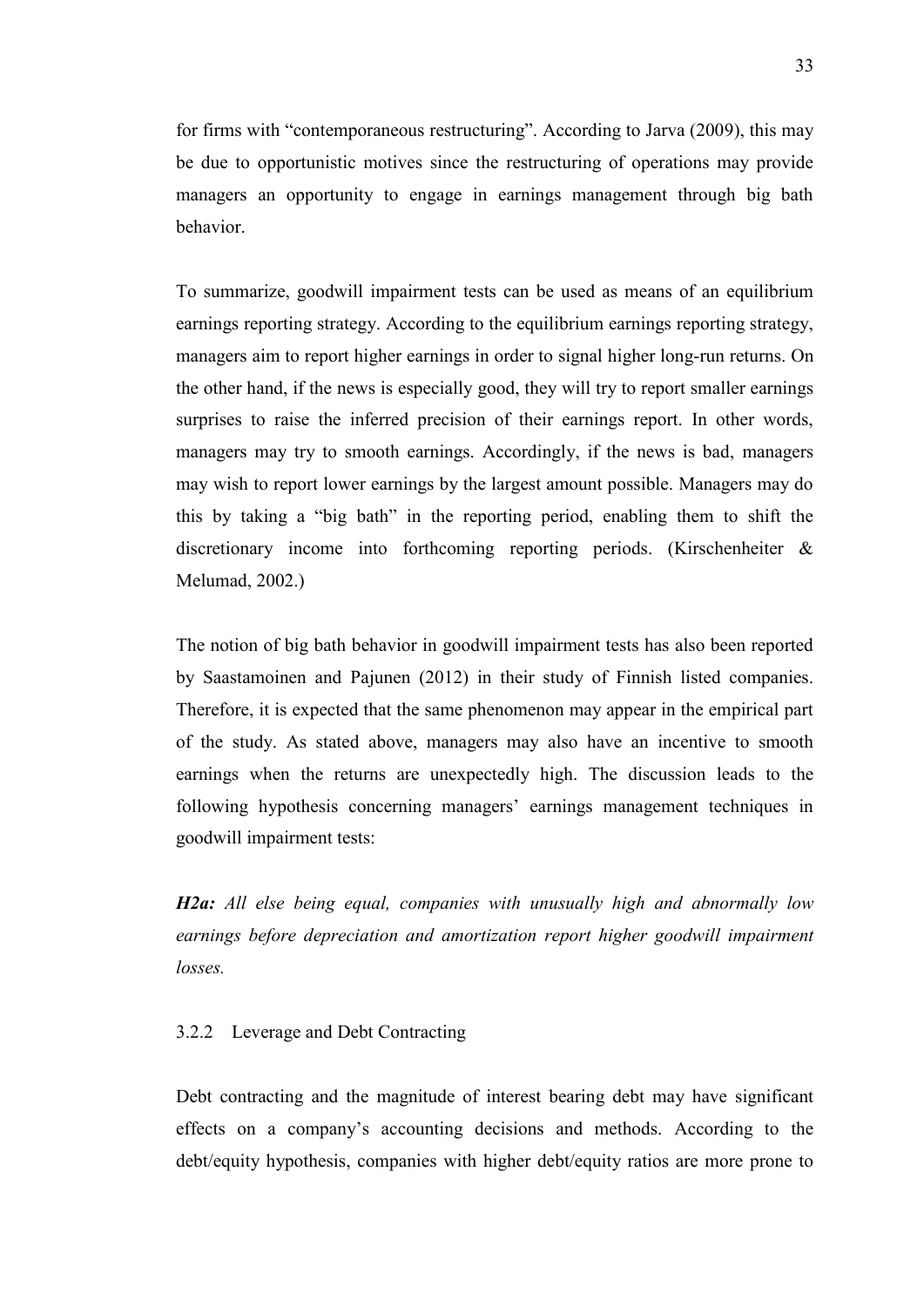for firms with "contemporaneous restructuring". According to Jarva (2009), this may be due to opportunistic motives since the restructuring of operations may provide managers an opportunity to engage in earnings management through big bath behavior.

To summarize, goodwill impairment tests can be used as means of an equilibrium earnings reporting strategy. According to the equilibrium earnings reporting strategy, managers aim to report higher earnings in order to signal higher long-run returns. On the other hand, if the news is especially good, they will try to report smaller earnings surprises to raise the inferred precision of their earnings report. In other words, managers may try to smooth earnings. Accordingly, if the news is bad, managers may wish to report lower earnings by the largest amount possible. Managers may do this by taking a "big bath" in the reporting period, enabling them to shift the discretionary income into forthcoming reporting periods. (Kirschenheiter & Melumad, 2002.)

The notion of big bath behavior in goodwill impairment tests has also been reported by Saastamoinen and Pajunen (2012) in their study of Finnish listed companies. Therefore, it is expected that the same phenomenon may appear in the empirical part of the study. As stated above, managers may also have an incentive to smooth earnings when the returns are unexpectedly high. The discussion leads to the following hypothesis concerning managers' earnings management techniques in goodwill impairment tests:

*H2a: All else being equal, companies with unusually high and abnormally low earnings before depreciation and amortization report higher goodwill impairment losses.*

#### <span id="page-32-0"></span>3.2.2 Leverage and Debt Contracting

Debt contracting and the magnitude of interest bearing debt may have significant effects on a company's accounting decisions and methods. According to the debt/equity hypothesis, companies with higher debt/equity ratios are more prone to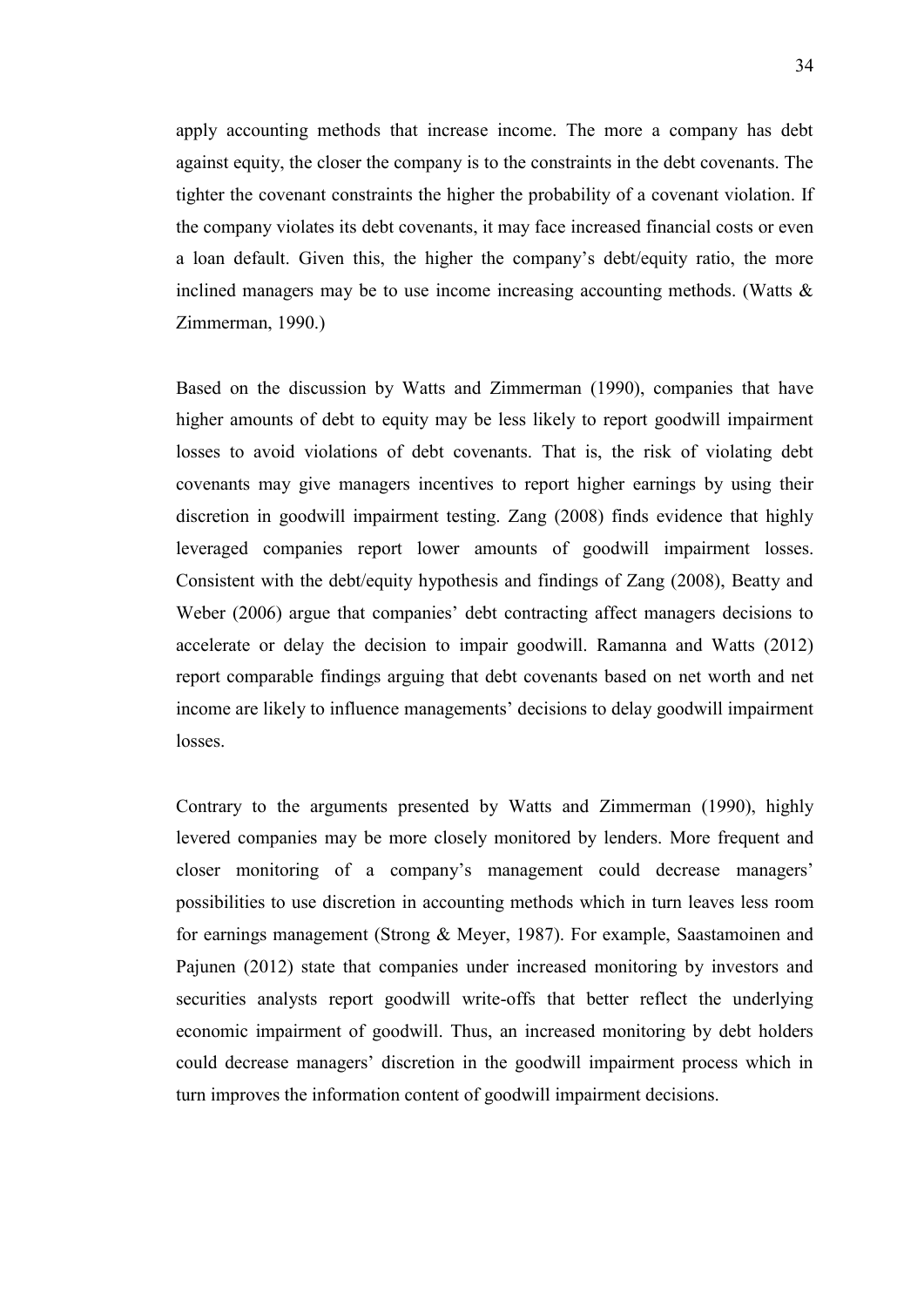apply accounting methods that increase income. The more a company has debt against equity, the closer the company is to the constraints in the debt covenants. The tighter the covenant constraints the higher the probability of a covenant violation. If the company violates its debt covenants, it may face increased financial costs or even a loan default. Given this, the higher the company's debt/equity ratio, the more inclined managers may be to use income increasing accounting methods. (Watts & Zimmerman, 1990.)

Based on the discussion by Watts and Zimmerman (1990), companies that have higher amounts of debt to equity may be less likely to report goodwill impairment losses to avoid violations of debt covenants. That is, the risk of violating debt covenants may give managers incentives to report higher earnings by using their discretion in goodwill impairment testing. Zang (2008) finds evidence that highly leveraged companies report lower amounts of goodwill impairment losses. Consistent with the debt/equity hypothesis and findings of Zang (2008), Beatty and Weber (2006) argue that companies' debt contracting affect managers decisions to accelerate or delay the decision to impair goodwill. Ramanna and Watts (2012) report comparable findings arguing that debt covenants based on net worth and net income are likely to influence managements' decisions to delay goodwill impairment losses.

Contrary to the arguments presented by Watts and Zimmerman (1990), highly levered companies may be more closely monitored by lenders. More frequent and closer monitoring of a company's management could decrease managers' possibilities to use discretion in accounting methods which in turn leaves less room for earnings management (Strong & Meyer, 1987). For example, Saastamoinen and Pajunen (2012) state that companies under increased monitoring by investors and securities analysts report goodwill write-offs that better reflect the underlying economic impairment of goodwill. Thus, an increased monitoring by debt holders could decrease managers' discretion in the goodwill impairment process which in turn improves the information content of goodwill impairment decisions.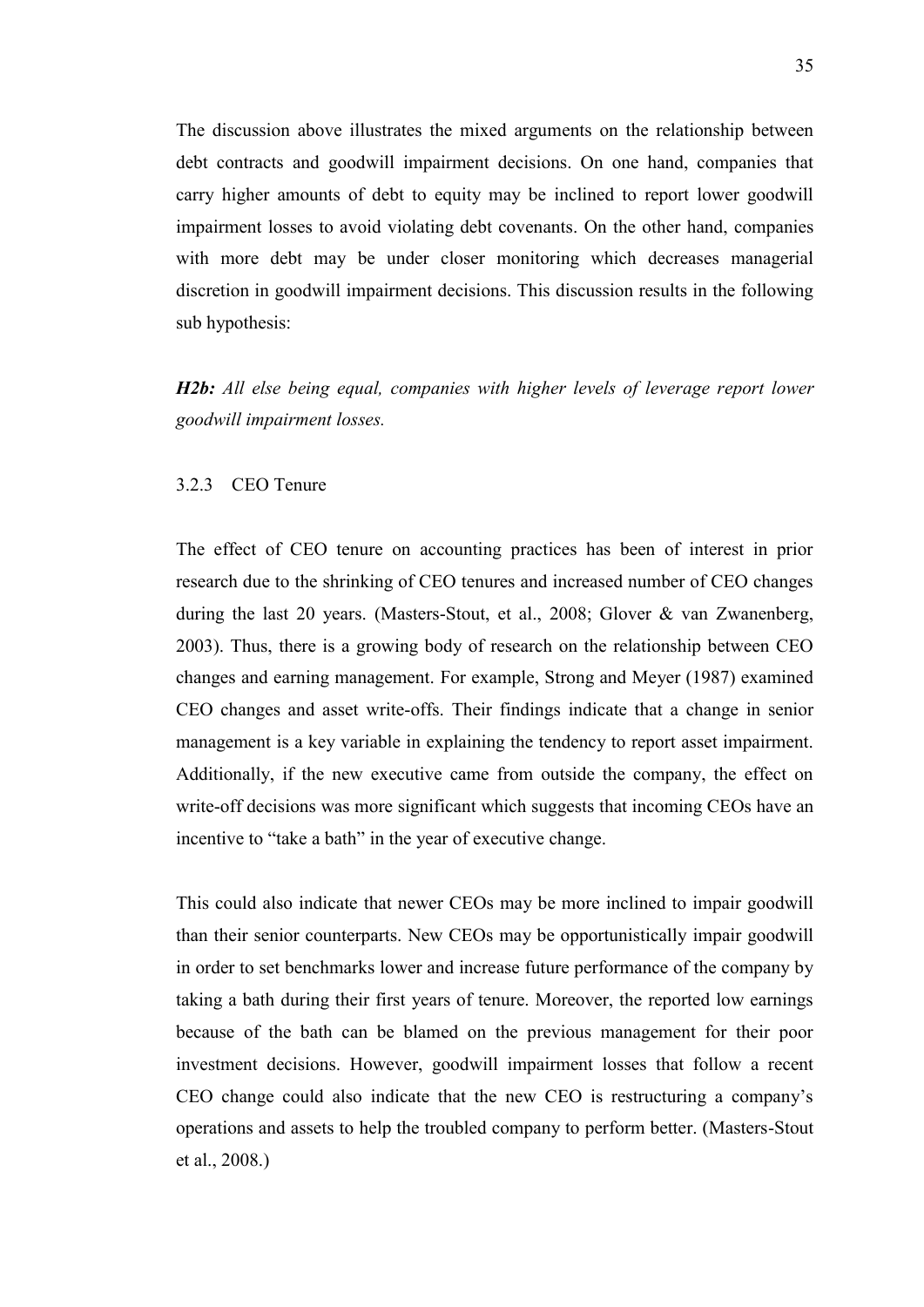The discussion above illustrates the mixed arguments on the relationship between debt contracts and goodwill impairment decisions. On one hand, companies that carry higher amounts of debt to equity may be inclined to report lower goodwill impairment losses to avoid violating debt covenants. On the other hand, companies with more debt may be under closer monitoring which decreases managerial discretion in goodwill impairment decisions. This discussion results in the following sub hypothesis:

*H2b: All else being equal, companies with higher levels of leverage report lower goodwill impairment losses.*

#### <span id="page-34-0"></span>3.2.3 CEO Tenure

The effect of CEO tenure on accounting practices has been of interest in prior research due to the shrinking of CEO tenures and increased number of CEO changes during the last 20 years. (Masters-Stout, et al., 2008; Glover & van Zwanenberg, 2003). Thus, there is a growing body of research on the relationship between CEO changes and earning management. For example, Strong and Meyer (1987) examined CEO changes and asset write-offs. Their findings indicate that a change in senior management is a key variable in explaining the tendency to report asset impairment. Additionally, if the new executive came from outside the company, the effect on write-off decisions was more significant which suggests that incoming CEOs have an incentive to "take a bath" in the year of executive change.

This could also indicate that newer CEOs may be more inclined to impair goodwill than their senior counterparts. New CEOs may be opportunistically impair goodwill in order to set benchmarks lower and increase future performance of the company by taking a bath during their first years of tenure. Moreover, the reported low earnings because of the bath can be blamed on the previous management for their poor investment decisions. However, goodwill impairment losses that follow a recent CEO change could also indicate that the new CEO is restructuring a company's operations and assets to help the troubled company to perform better. (Masters-Stout et al., 2008.)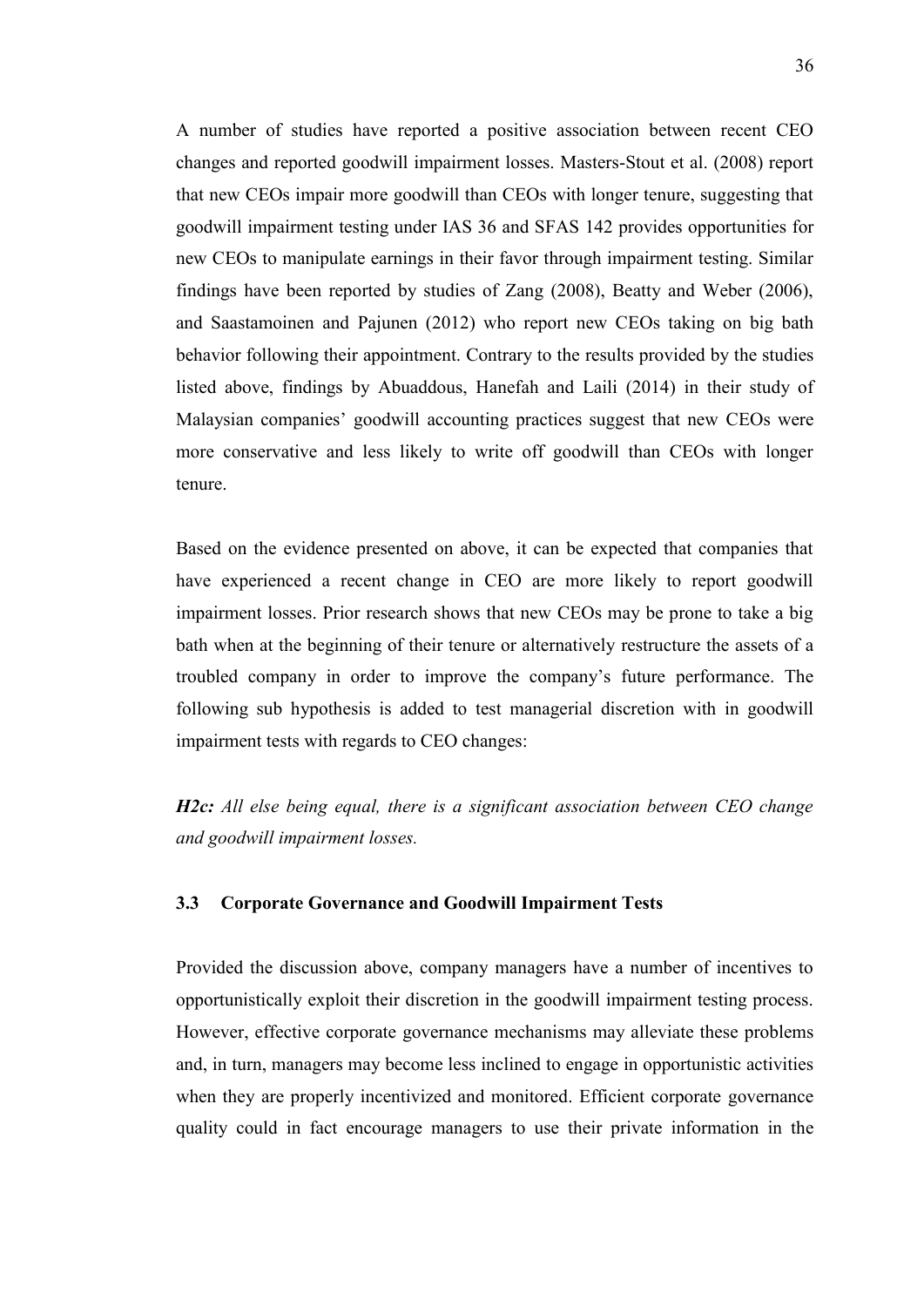A number of studies have reported a positive association between recent CEO changes and reported goodwill impairment losses. Masters-Stout et al. (2008) report that new CEOs impair more goodwill than CEOs with longer tenure, suggesting that goodwill impairment testing under IAS 36 and SFAS 142 provides opportunities for new CEOs to manipulate earnings in their favor through impairment testing. Similar findings have been reported by studies of Zang (2008), Beatty and Weber (2006), and Saastamoinen and Pajunen (2012) who report new CEOs taking on big bath behavior following their appointment. Contrary to the results provided by the studies listed above, findings by Abuaddous, Hanefah and Laili (2014) in their study of Malaysian companies' goodwill accounting practices suggest that new CEOs were more conservative and less likely to write off goodwill than CEOs with longer tenure.

Based on the evidence presented on above, it can be expected that companies that have experienced a recent change in CEO are more likely to report goodwill impairment losses. Prior research shows that new CEOs may be prone to take a big bath when at the beginning of their tenure or alternatively restructure the assets of a troubled company in order to improve the company's future performance. The following sub hypothesis is added to test managerial discretion with in goodwill impairment tests with regards to CEO changes:

*H2c: All else being equal, there is a significant association between CEO change and goodwill impairment losses.*

#### <span id="page-35-0"></span>**3.3 Corporate Governance and Goodwill Impairment Tests**

Provided the discussion above, company managers have a number of incentives to opportunistically exploit their discretion in the goodwill impairment testing process. However, effective corporate governance mechanisms may alleviate these problems and, in turn, managers may become less inclined to engage in opportunistic activities when they are properly incentivized and monitored. Efficient corporate governance quality could in fact encourage managers to use their private information in the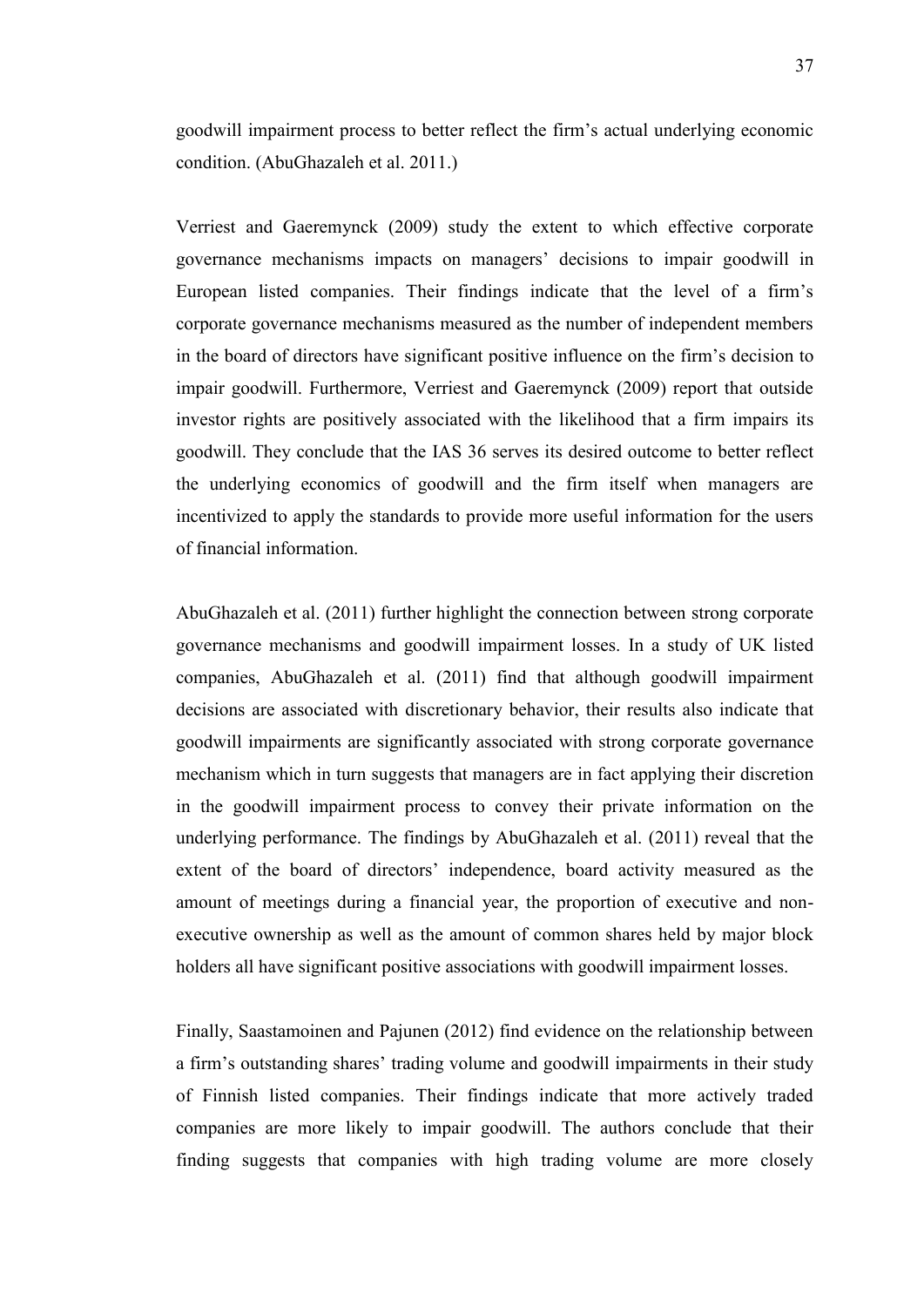goodwill impairment process to better reflect the firm's actual underlying economic condition. (AbuGhazaleh et al. 2011.)

Verriest and Gaeremynck (2009) study the extent to which effective corporate governance mechanisms impacts on managers' decisions to impair goodwill in European listed companies. Their findings indicate that the level of a firm's corporate governance mechanisms measured as the number of independent members in the board of directors have significant positive influence on the firm's decision to impair goodwill. Furthermore, Verriest and Gaeremynck (2009) report that outside investor rights are positively associated with the likelihood that a firm impairs its goodwill. They conclude that the IAS 36 serves its desired outcome to better reflect the underlying economics of goodwill and the firm itself when managers are incentivized to apply the standards to provide more useful information for the users of financial information.

AbuGhazaleh et al. (2011) further highlight the connection between strong corporate governance mechanisms and goodwill impairment losses. In a study of UK listed companies, AbuGhazaleh et al. (2011) find that although goodwill impairment decisions are associated with discretionary behavior, their results also indicate that goodwill impairments are significantly associated with strong corporate governance mechanism which in turn suggests that managers are in fact applying their discretion in the goodwill impairment process to convey their private information on the underlying performance. The findings by AbuGhazaleh et al. (2011) reveal that the extent of the board of directors' independence, board activity measured as the amount of meetings during a financial year, the proportion of executive and nonexecutive ownership as well as the amount of common shares held by major block holders all have significant positive associations with goodwill impairment losses.

Finally, Saastamoinen and Pajunen (2012) find evidence on the relationship between a firm's outstanding shares' trading volume and goodwill impairments in their study of Finnish listed companies. Their findings indicate that more actively traded companies are more likely to impair goodwill. The authors conclude that their finding suggests that companies with high trading volume are more closely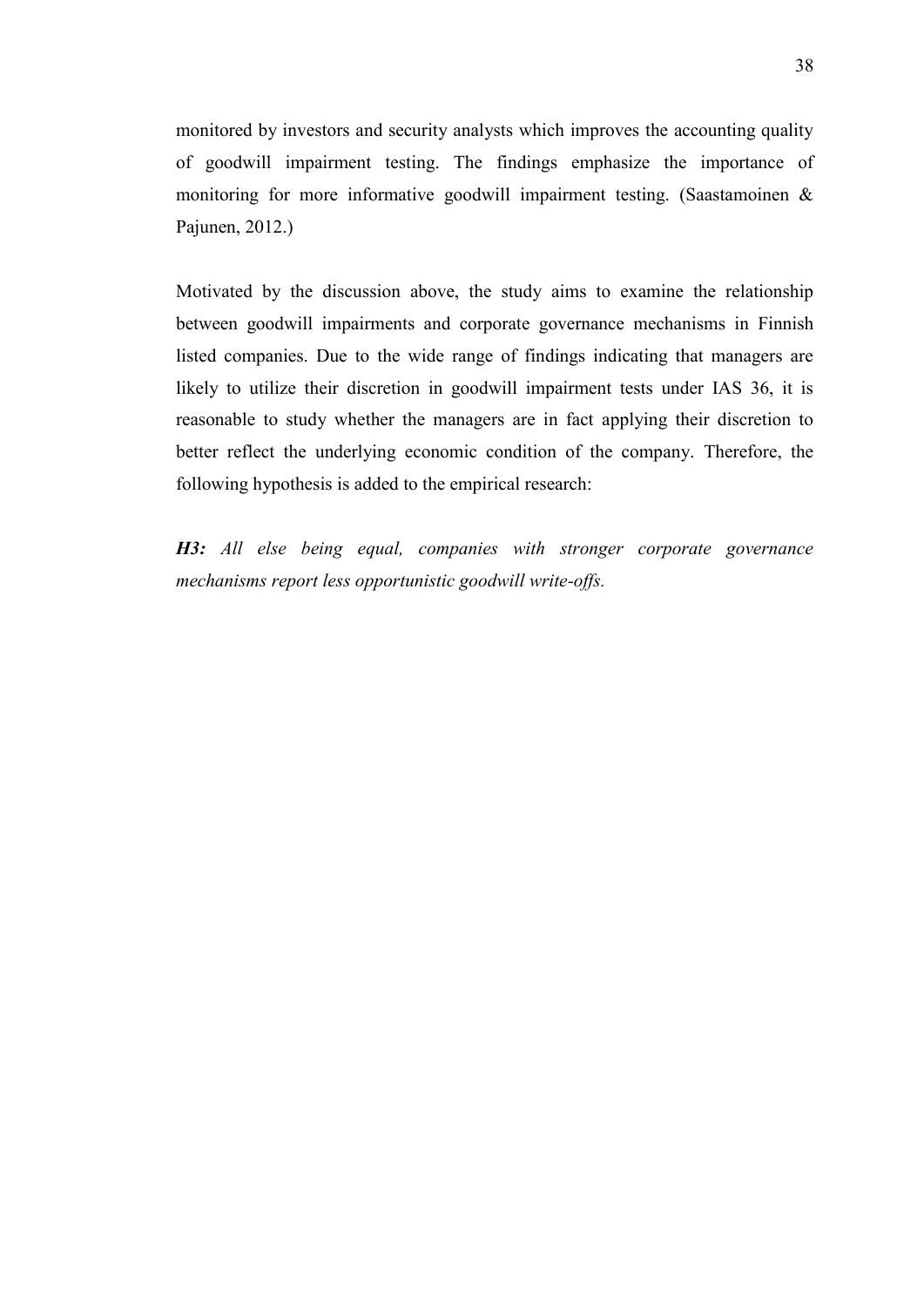monitored by investors and security analysts which improves the accounting quality of goodwill impairment testing. The findings emphasize the importance of monitoring for more informative goodwill impairment testing. (Saastamoinen & Pajunen, 2012.)

Motivated by the discussion above, the study aims to examine the relationship between goodwill impairments and corporate governance mechanisms in Finnish listed companies. Due to the wide range of findings indicating that managers are likely to utilize their discretion in goodwill impairment tests under IAS 36, it is reasonable to study whether the managers are in fact applying their discretion to better reflect the underlying economic condition of the company. Therefore, the following hypothesis is added to the empirical research:

*H3: All else being equal, companies with stronger corporate governance mechanisms report less opportunistic goodwill write-offs.*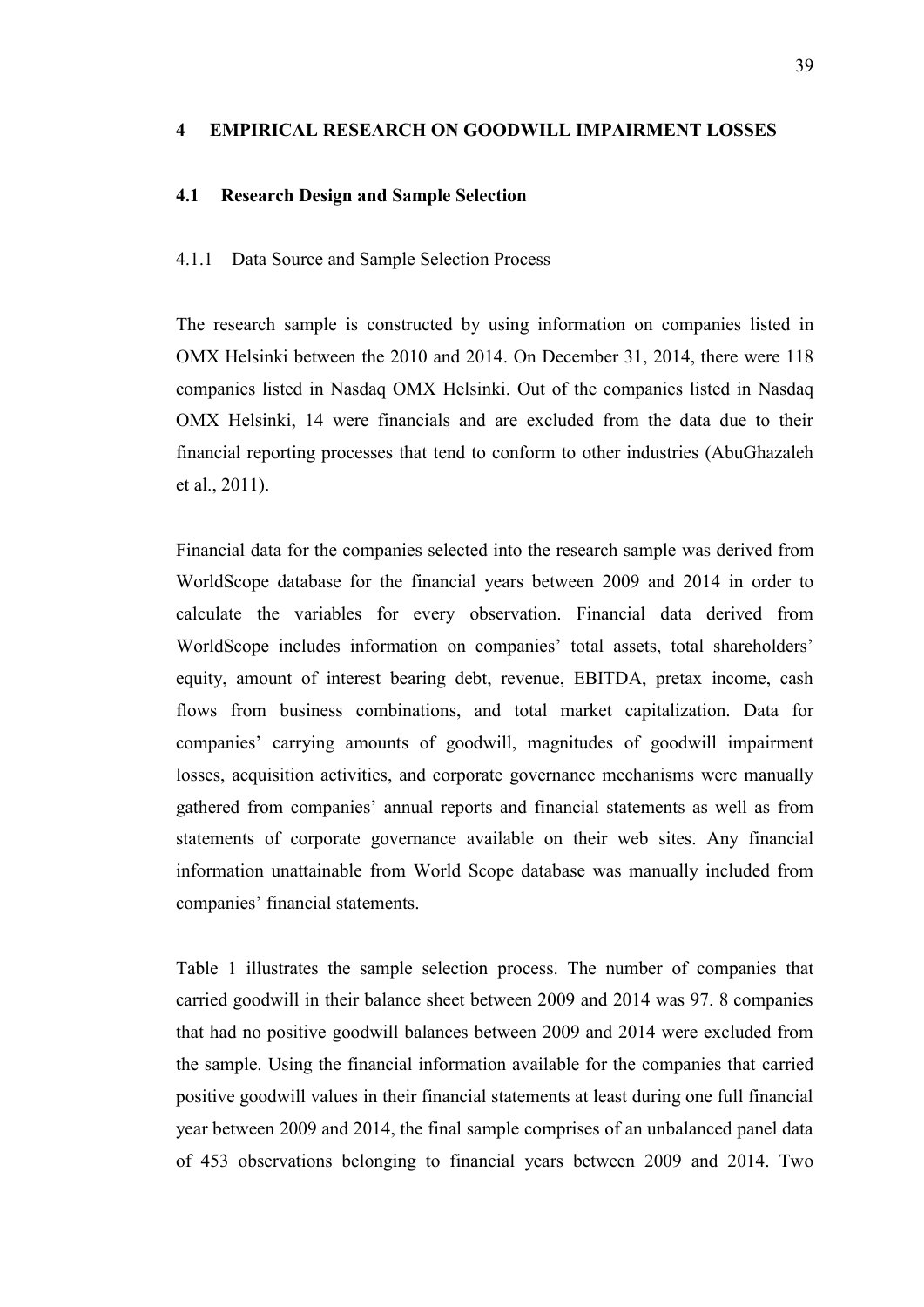#### <span id="page-38-0"></span>**4 EMPIRICAL RESEARCH ON GOODWILL IMPAIRMENT LOSSES**

#### <span id="page-38-1"></span>**4.1 Research Design and Sample Selection**

#### <span id="page-38-2"></span>4.1.1 Data Source and Sample Selection Process

The research sample is constructed by using information on companies listed in OMX Helsinki between the 2010 and 2014. On December 31, 2014, there were 118 companies listed in Nasdaq OMX Helsinki. Out of the companies listed in Nasdaq OMX Helsinki, 14 were financials and are excluded from the data due to their financial reporting processes that tend to conform to other industries (AbuGhazaleh et al., 2011).

Financial data for the companies selected into the research sample was derived from WorldScope database for the financial years between 2009 and 2014 in order to calculate the variables for every observation. Financial data derived from WorldScope includes information on companies' total assets, total shareholders' equity, amount of interest bearing debt, revenue, EBITDA, pretax income, cash flows from business combinations, and total market capitalization. Data for companies' carrying amounts of goodwill, magnitudes of goodwill impairment losses, acquisition activities, and corporate governance mechanisms were manually gathered from companies' annual reports and financial statements as well as from statements of corporate governance available on their web sites. Any financial information unattainable from World Scope database was manually included from companies' financial statements.

Table 1 illustrates the sample selection process. The number of companies that carried goodwill in their balance sheet between 2009 and 2014 was 97. 8 companies that had no positive goodwill balances between 2009 and 2014 were excluded from the sample. Using the financial information available for the companies that carried positive goodwill values in their financial statements at least during one full financial year between 2009 and 2014, the final sample comprises of an unbalanced panel data of 453 observations belonging to financial years between 2009 and 2014. Two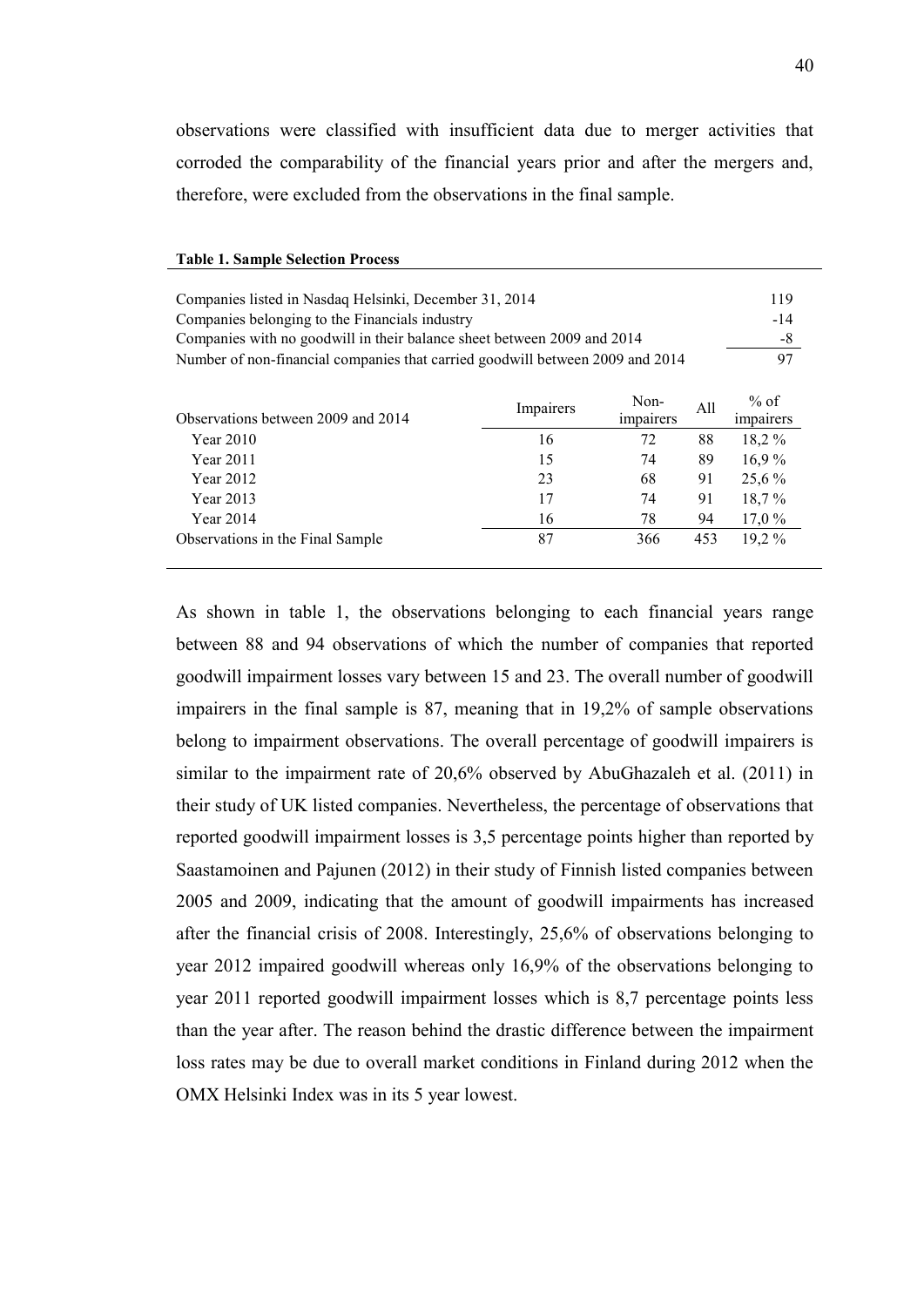observations were classified with insufficient data due to merger activities that corroded the comparability of the financial years prior and after the mergers and, therefore, were excluded from the observations in the final sample.

| <b>Table 1. Sample Selection Process</b>               |           |                                                                         |                                                                                      |  |  |  |  |  |  |  |
|--------------------------------------------------------|-----------|-------------------------------------------------------------------------|--------------------------------------------------------------------------------------|--|--|--|--|--|--|--|
|                                                        |           |                                                                         |                                                                                      |  |  |  |  |  |  |  |
| Companies listed in Nasdaq Helsinki, December 31, 2014 |           |                                                                         |                                                                                      |  |  |  |  |  |  |  |
|                                                        |           |                                                                         | $-14$                                                                                |  |  |  |  |  |  |  |
|                                                        |           |                                                                         | $-8$                                                                                 |  |  |  |  |  |  |  |
|                                                        |           |                                                                         | 97                                                                                   |  |  |  |  |  |  |  |
|                                                        |           |                                                                         |                                                                                      |  |  |  |  |  |  |  |
|                                                        | Non-      |                                                                         | $%$ of                                                                               |  |  |  |  |  |  |  |
|                                                        | impairers |                                                                         | impairers                                                                            |  |  |  |  |  |  |  |
| 16                                                     | 72        | 88                                                                      | 18,2%                                                                                |  |  |  |  |  |  |  |
| 15                                                     | 74        | 89                                                                      | $16.9\%$                                                                             |  |  |  |  |  |  |  |
| 23                                                     | 68        | 91                                                                      | 25,6 %                                                                               |  |  |  |  |  |  |  |
| 17                                                     | 74        | 91                                                                      | 18,7%                                                                                |  |  |  |  |  |  |  |
| 16                                                     | 78        | 94                                                                      | 17.0%                                                                                |  |  |  |  |  |  |  |
| 87                                                     | 366       | 453                                                                     | 19,2%                                                                                |  |  |  |  |  |  |  |
|                                                        | Impairers | Companies with no goodwill in their balance sheet between 2009 and 2014 | Number of non-financial companies that carried goodwill between 2009 and 2014<br>All |  |  |  |  |  |  |  |

As shown in table 1, the observations belonging to each financial years range between 88 and 94 observations of which the number of companies that reported goodwill impairment losses vary between 15 and 23. The overall number of goodwill impairers in the final sample is 87, meaning that in 19,2% of sample observations belong to impairment observations. The overall percentage of goodwill impairers is similar to the impairment rate of 20,6% observed by AbuGhazaleh et al. (2011) in their study of UK listed companies. Nevertheless, the percentage of observations that reported goodwill impairment losses is 3,5 percentage points higher than reported by Saastamoinen and Pajunen (2012) in their study of Finnish listed companies between 2005 and 2009, indicating that the amount of goodwill impairments has increased after the financial crisis of 2008. Interestingly, 25,6% of observations belonging to year 2012 impaired goodwill whereas only 16,9% of the observations belonging to year 2011 reported goodwill impairment losses which is 8,7 percentage points less than the year after. The reason behind the drastic difference between the impairment loss rates may be due to overall market conditions in Finland during 2012 when the OMX Helsinki Index was in its 5 year lowest.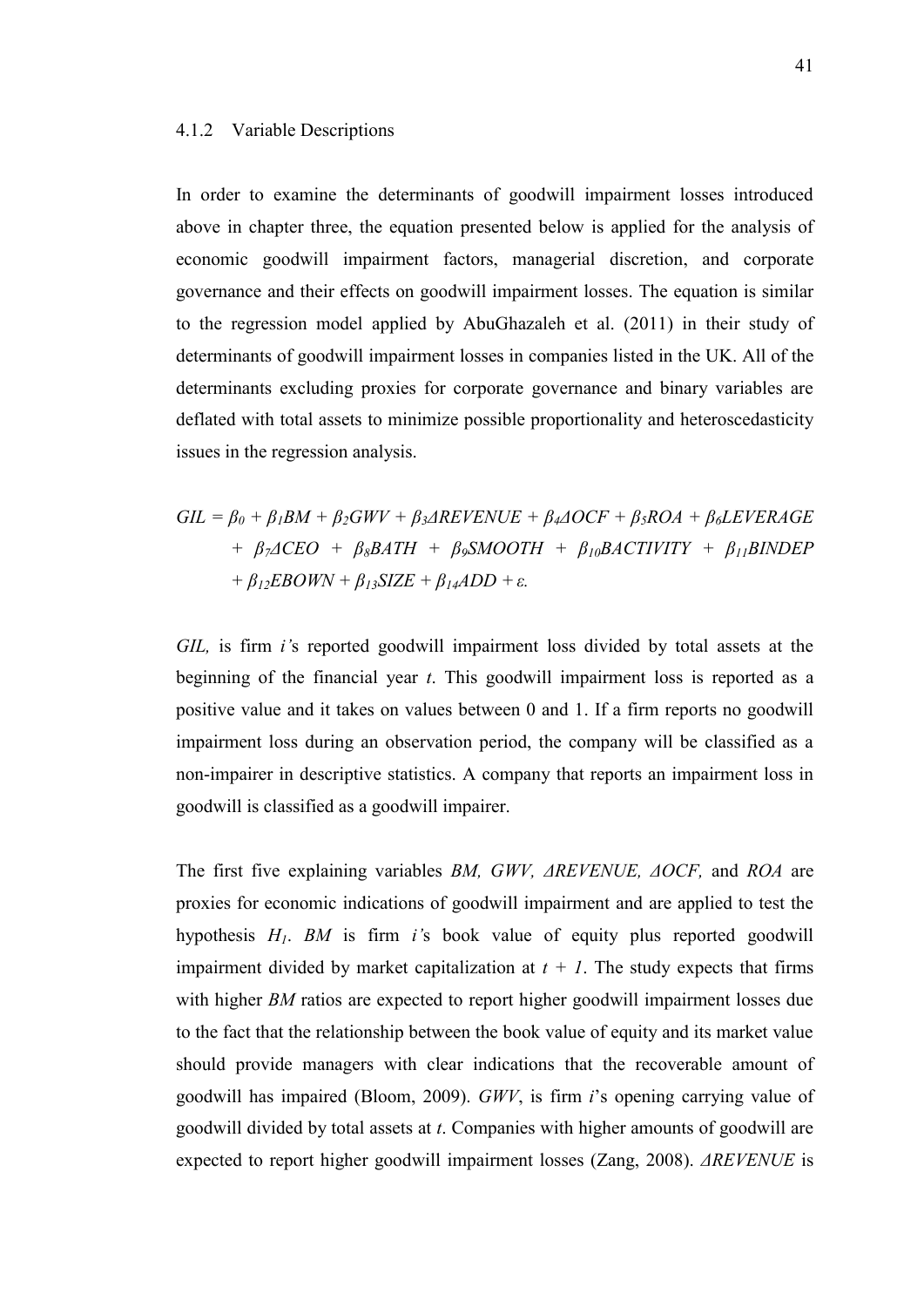#### <span id="page-40-0"></span>4.1.2 Variable Descriptions

In order to examine the determinants of goodwill impairment losses introduced above in chapter three, the equation presented below is applied for the analysis of economic goodwill impairment factors, managerial discretion, and corporate governance and their effects on goodwill impairment losses. The equation is similar to the regression model applied by AbuGhazaleh et al. (2011) in their study of determinants of goodwill impairment losses in companies listed in the UK. All of the determinants excluding proxies for corporate governance and binary variables are deflated with total assets to minimize possible proportionality and heteroscedasticity issues in the regression analysis.

# $GIL = \beta_0 + \beta_1 BM + \beta_2 GWV + \beta_3 AREVENUE + \beta_4 AOCF + \beta_5 ROA + \beta_6 LEVERAGE$ *+ β7ΔCEO + β8BATH + β9SMOOTH + β10BACTIVITY + β11BINDEP + β*<sub>*12</sub>EBOWN + β*<sub>*13</sub>SIZE + β*<sub>*14ADD + ε.*</sub></sub></sub>

*GIL,* is firm *i'*s reported goodwill impairment loss divided by total assets at the beginning of the financial year *t*. This goodwill impairment loss is reported as a positive value and it takes on values between 0 and 1. If a firm reports no goodwill impairment loss during an observation period, the company will be classified as a non-impairer in descriptive statistics. A company that reports an impairment loss in goodwill is classified as a goodwill impairer.

The first five explaining variables *BM, GWV, ΔREVENUE, ΔOCF,* and *ROA* are proxies for economic indications of goodwill impairment and are applied to test the hypothesis *H1*. *BM* is firm *i'*s book value of equity plus reported goodwill impairment divided by market capitalization at  $t + 1$ . The study expects that firms with higher *BM* ratios are expected to report higher goodwill impairment losses due to the fact that the relationship between the book value of equity and its market value should provide managers with clear indications that the recoverable amount of goodwill has impaired (Bloom, 2009). *GWV*, is firm *i*'s opening carrying value of goodwill divided by total assets at *t*. Companies with higher amounts of goodwill are expected to report higher goodwill impairment losses (Zang, 2008). *ΔREVENUE* is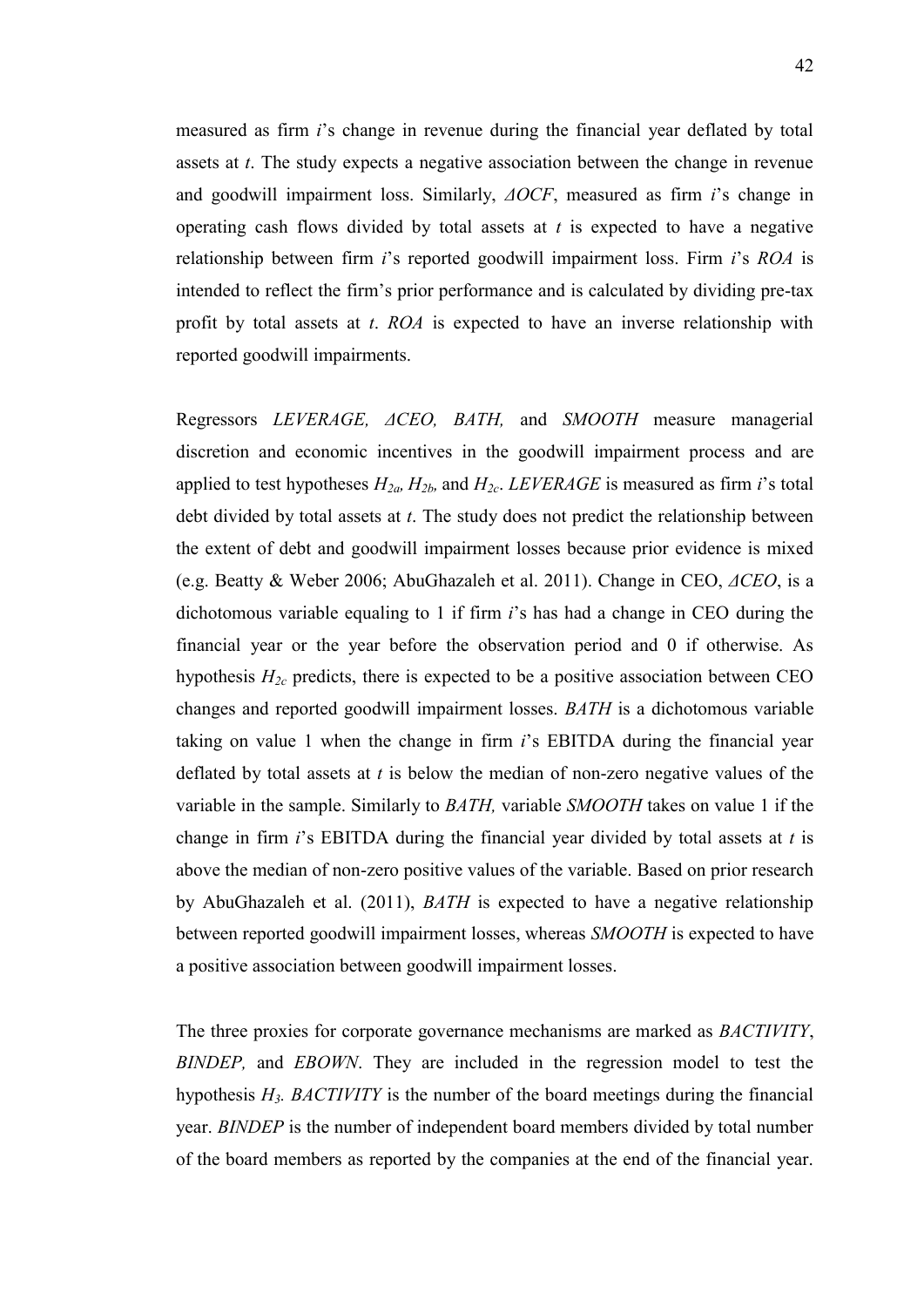measured as firm *i*'s change in revenue during the financial year deflated by total assets at *t*. The study expects a negative association between the change in revenue and goodwill impairment loss. Similarly, *ΔOCF*, measured as firm *i*'s change in operating cash flows divided by total assets at *t* is expected to have a negative relationship between firm *i*'s reported goodwill impairment loss. Firm *i*'s *ROA* is intended to reflect the firm's prior performance and is calculated by dividing pre-tax profit by total assets at *t*. *ROA* is expected to have an inverse relationship with reported goodwill impairments.

Regressors *LEVERAGE, ΔCEO, BATH,* and *SMOOTH* measure managerial discretion and economic incentives in the goodwill impairment process and are applied to test hypotheses  $H_{2a}$ ,  $H_{2b}$ , and  $H_{2c}$ . *LEVERAGE* is measured as firm *i*'s total debt divided by total assets at *t*. The study does not predict the relationship between the extent of debt and goodwill impairment losses because prior evidence is mixed (e.g. Beatty & Weber 2006; AbuGhazaleh et al. 2011). Change in CEO, *ΔCEO*, is a dichotomous variable equaling to 1 if firm *i*'s has had a change in CEO during the financial year or the year before the observation period and 0 if otherwise. As hypothesis  $H_{2c}$  predicts, there is expected to be a positive association between CEO changes and reported goodwill impairment losses. *BATH* is a dichotomous variable taking on value 1 when the change in firm *i*'s EBITDA during the financial year deflated by total assets at *t* is below the median of non-zero negative values of the variable in the sample. Similarly to *BATH,* variable *SMOOTH* takes on value 1 if the change in firm *i*'s EBITDA during the financial year divided by total assets at *t* is above the median of non-zero positive values of the variable. Based on prior research by AbuGhazaleh et al. (2011), *BATH* is expected to have a negative relationship between reported goodwill impairment losses, whereas *SMOOTH* is expected to have a positive association between goodwill impairment losses.

The three proxies for corporate governance mechanisms are marked as *BACTIVITY*, *BINDEP,* and *EBOWN*. They are included in the regression model to test the hypothesis *H3. BACTIVITY* is the number of the board meetings during the financial year. *BINDEP* is the number of independent board members divided by total number of the board members as reported by the companies at the end of the financial year.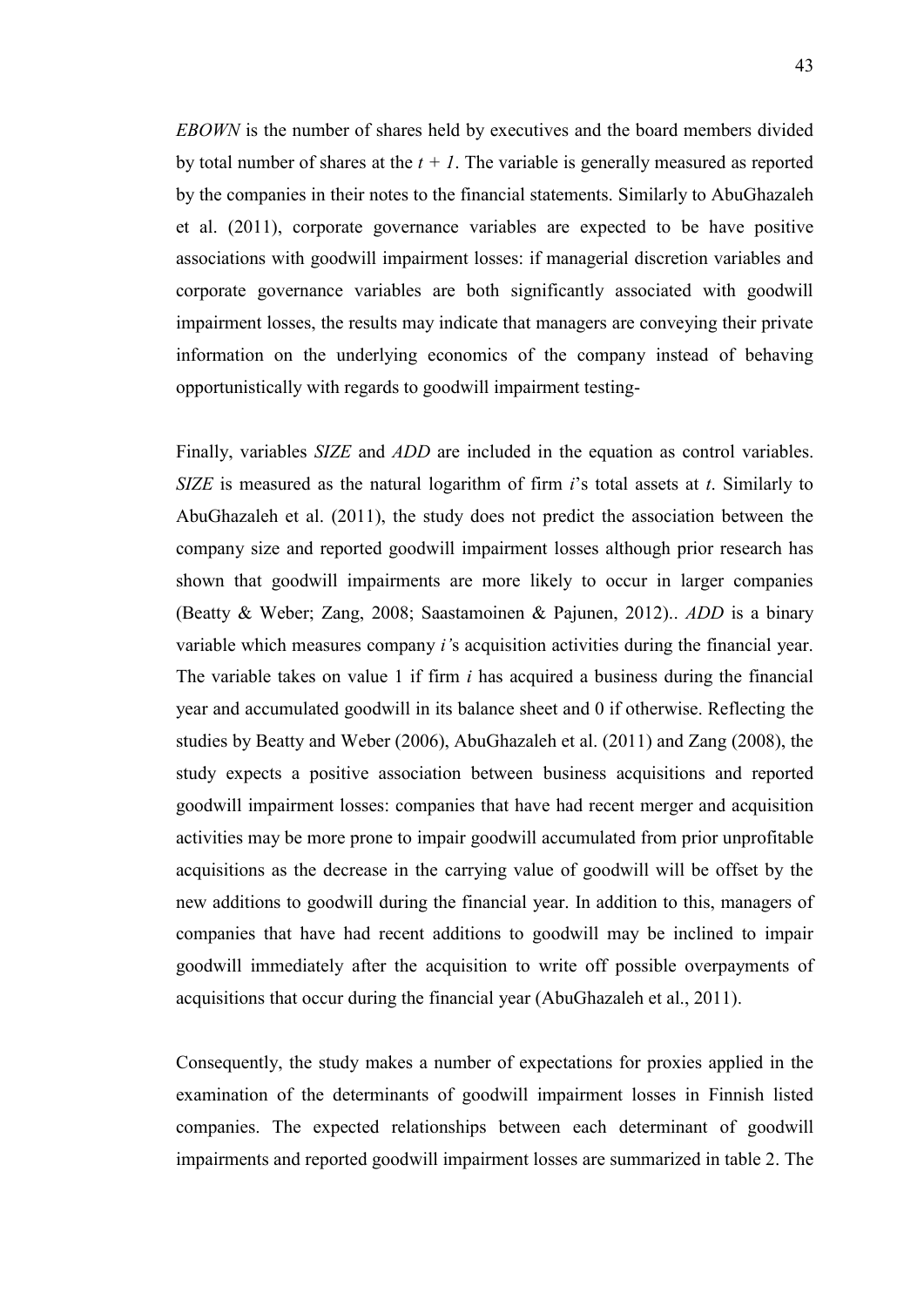*EBOWN* is the number of shares held by executives and the board members divided by total number of shares at the  $t + 1$ . The variable is generally measured as reported by the companies in their notes to the financial statements. Similarly to AbuGhazaleh et al. (2011), corporate governance variables are expected to be have positive associations with goodwill impairment losses: if managerial discretion variables and corporate governance variables are both significantly associated with goodwill impairment losses, the results may indicate that managers are conveying their private information on the underlying economics of the company instead of behaving opportunistically with regards to goodwill impairment testing-

Finally, variables *SIZE* and *ADD* are included in the equation as control variables. *SIZE* is measured as the natural logarithm of firm *i*'s total assets at *t*. Similarly to AbuGhazaleh et al. (2011), the study does not predict the association between the company size and reported goodwill impairment losses although prior research has shown that goodwill impairments are more likely to occur in larger companies (Beatty & Weber; Zang, 2008; Saastamoinen & Pajunen, 2012).. *ADD* is a binary variable which measures company *i'*s acquisition activities during the financial year. The variable takes on value 1 if firm *i* has acquired a business during the financial year and accumulated goodwill in its balance sheet and 0 if otherwise. Reflecting the studies by Beatty and Weber (2006), AbuGhazaleh et al. (2011) and Zang (2008), the study expects a positive association between business acquisitions and reported goodwill impairment losses: companies that have had recent merger and acquisition activities may be more prone to impair goodwill accumulated from prior unprofitable acquisitions as the decrease in the carrying value of goodwill will be offset by the new additions to goodwill during the financial year. In addition to this, managers of companies that have had recent additions to goodwill may be inclined to impair goodwill immediately after the acquisition to write off possible overpayments of acquisitions that occur during the financial year (AbuGhazaleh et al., 2011).

Consequently, the study makes a number of expectations for proxies applied in the examination of the determinants of goodwill impairment losses in Finnish listed companies. The expected relationships between each determinant of goodwill impairments and reported goodwill impairment losses are summarized in table 2. The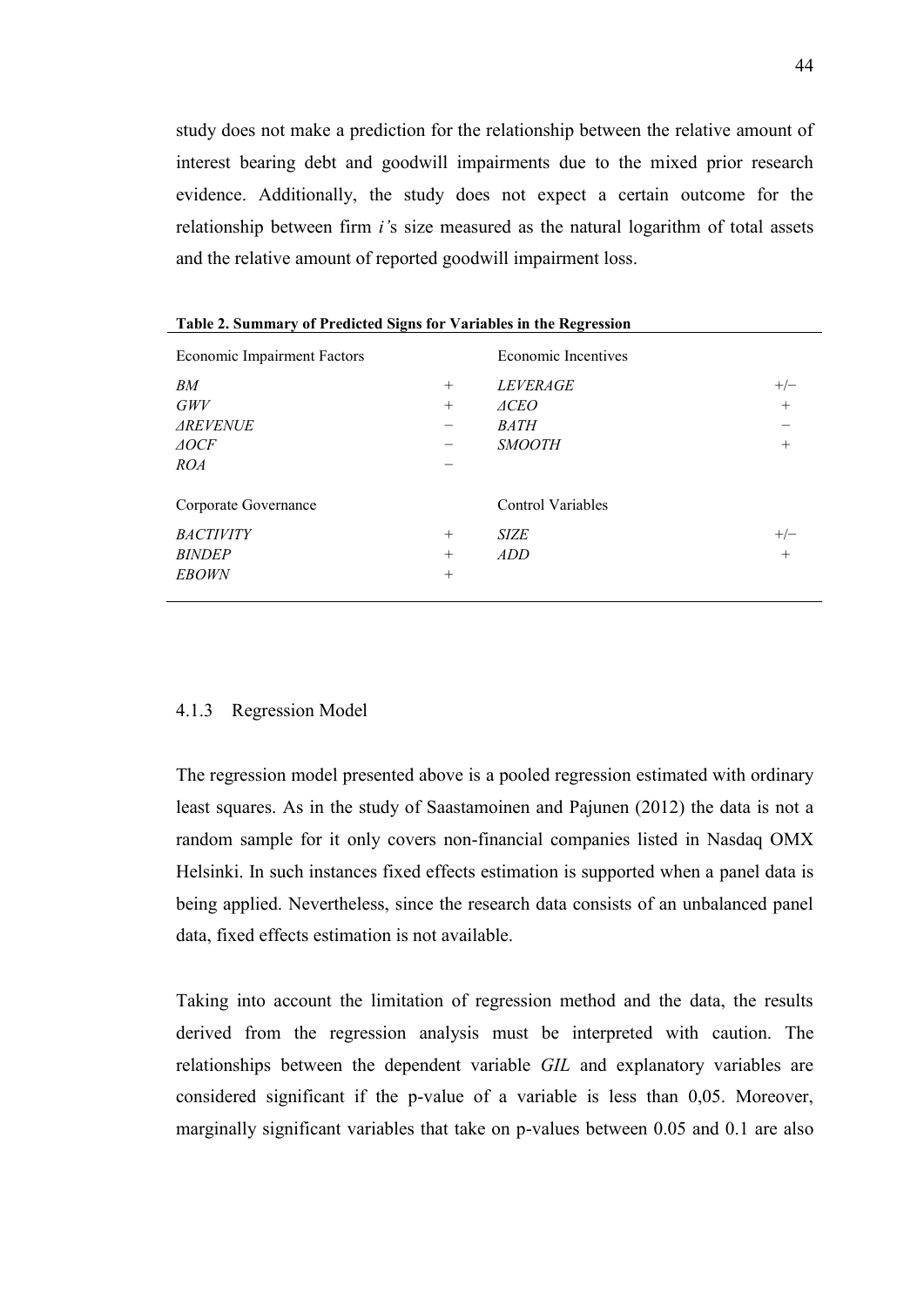study does not make a prediction for the relationship between the relative amount of interest bearing debt and goodwill impairments due to the mixed prior research evidence. Additionally, the study does not expect a certain outcome for the relationship between firm *i'*s size measured as the natural logarithm of total assets and the relative amount of reported goodwill impairment loss.

| <b>Economic Impairment Factors</b>                |                            | Economic Incentives                 |                 |
|---------------------------------------------------|----------------------------|-------------------------------------|-----------------|
| BМ<br><b>GWV</b>                                  | $^{+}$<br>$^{+}$           | <i>LEVERAGE</i><br>$\triangle ACEO$ | $+/-$<br>$^{+}$ |
| <b>AREVENUE</b><br>$\triangle OCF$                |                            | <b>BATH</b><br><b>SMOOTH</b>        | $^{+}$          |
| <b>ROA</b><br>Corporate Governance                |                            | <b>Control Variables</b>            |                 |
| <b>BACTIVITY</b><br><b>BINDEP</b><br><b>EBOWN</b> | $^{+}$<br>$^{+}$<br>$^{+}$ | <b>SIZE</b><br><i>ADD</i>           | $+/-$<br>$^{+}$ |

**Table 2. Summary of Predicted Signs for Variables in the Regression**

#### <span id="page-43-0"></span>4.1.3 Regression Model

The regression model presented above is a pooled regression estimated with ordinary least squares. As in the study of Saastamoinen and Pajunen (2012) the data is not a random sample for it only covers non-financial companies listed in Nasdaq OMX Helsinki. In such instances fixed effects estimation is supported when a panel data is being applied. Nevertheless, since the research data consists of an unbalanced panel data, fixed effects estimation is not available.

Taking into account the limitation of regression method and the data, the results derived from the regression analysis must be interpreted with caution. The relationships between the dependent variable *GIL* and explanatory variables are considered significant if the p-value of a variable is less than 0,05. Moreover, marginally significant variables that take on p-values between 0.05 and 0.1 are also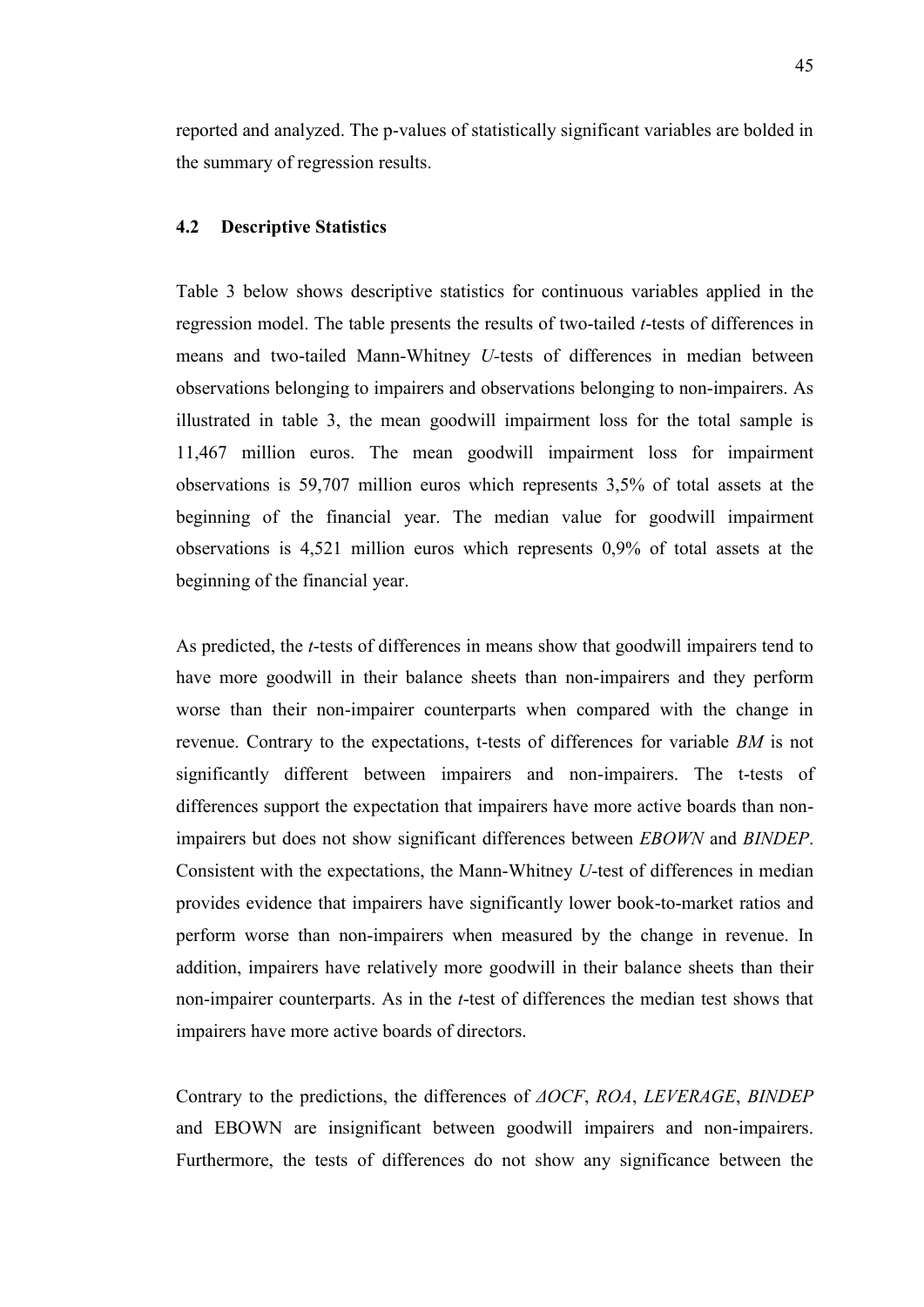reported and analyzed. The p-values of statistically significant variables are bolded in the summary of regression results.

#### <span id="page-44-0"></span>**4.2 Descriptive Statistics**

Table 3 below shows descriptive statistics for continuous variables applied in the regression model. The table presents the results of two-tailed *t*-tests of differences in means and two-tailed Mann-Whitney *U-*tests of differences in median between observations belonging to impairers and observations belonging to non-impairers. As illustrated in table 3, the mean goodwill impairment loss for the total sample is 11,467 million euros. The mean goodwill impairment loss for impairment observations is 59,707 million euros which represents 3,5% of total assets at the beginning of the financial year. The median value for goodwill impairment observations is 4,521 million euros which represents 0,9% of total assets at the beginning of the financial year.

As predicted, the *t*-tests of differences in means show that goodwill impairers tend to have more goodwill in their balance sheets than non-impairers and they perform worse than their non-impairer counterparts when compared with the change in revenue. Contrary to the expectations, t-tests of differences for variable *BM* is not significantly different between impairers and non-impairers. The t-tests of differences support the expectation that impairers have more active boards than nonimpairers but does not show significant differences between *EBOWN* and *BINDEP*. Consistent with the expectations, the Mann-Whitney *U*-test of differences in median provides evidence that impairers have significantly lower book-to-market ratios and perform worse than non-impairers when measured by the change in revenue. In addition, impairers have relatively more goodwill in their balance sheets than their non-impairer counterparts. As in the *t*-test of differences the median test shows that impairers have more active boards of directors.

Contrary to the predictions, the differences of *ΔOCF*, *ROA*, *LEVERAGE*, *BINDEP* and EBOWN are insignificant between goodwill impairers and non-impairers. Furthermore, the tests of differences do not show any significance between the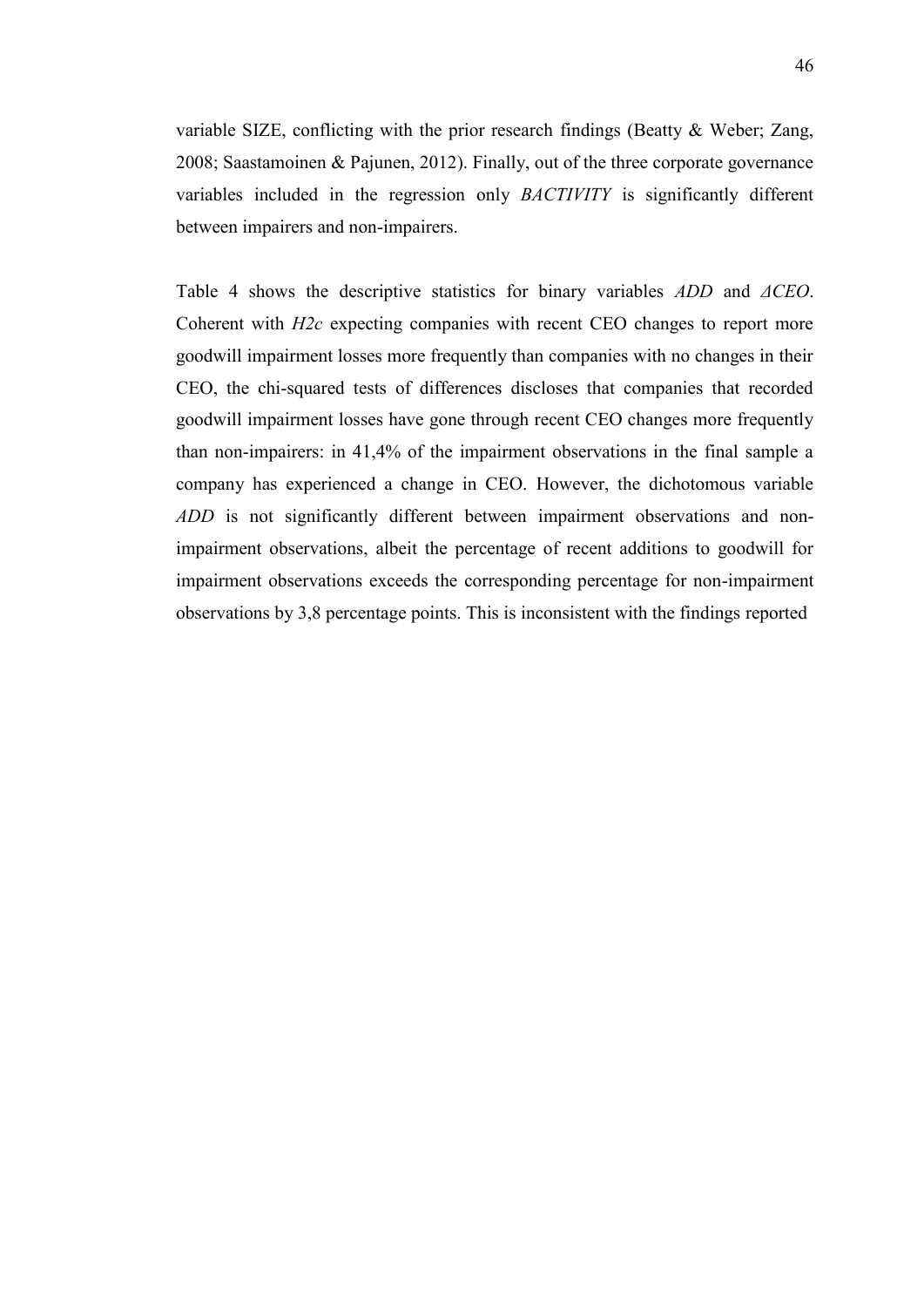variable SIZE, conflicting with the prior research findings (Beatty & Weber; Zang, 2008; Saastamoinen & Pajunen, 2012). Finally, out of the three corporate governance variables included in the regression only *BACTIVITY* is significantly different between impairers and non-impairers.

Table 4 shows the descriptive statistics for binary variables *ADD* and *ΔCEO*. Coherent with *H2c* expecting companies with recent CEO changes to report more goodwill impairment losses more frequently than companies with no changes in their CEO, the chi-squared tests of differences discloses that companies that recorded goodwill impairment losses have gone through recent CEO changes more frequently than non-impairers: in 41,4% of the impairment observations in the final sample a company has experienced a change in CEO. However, the dichotomous variable *ADD* is not significantly different between impairment observations and nonimpairment observations, albeit the percentage of recent additions to goodwill for impairment observations exceeds the corresponding percentage for non-impairment observations by 3,8 percentage points. This is inconsistent with the findings reported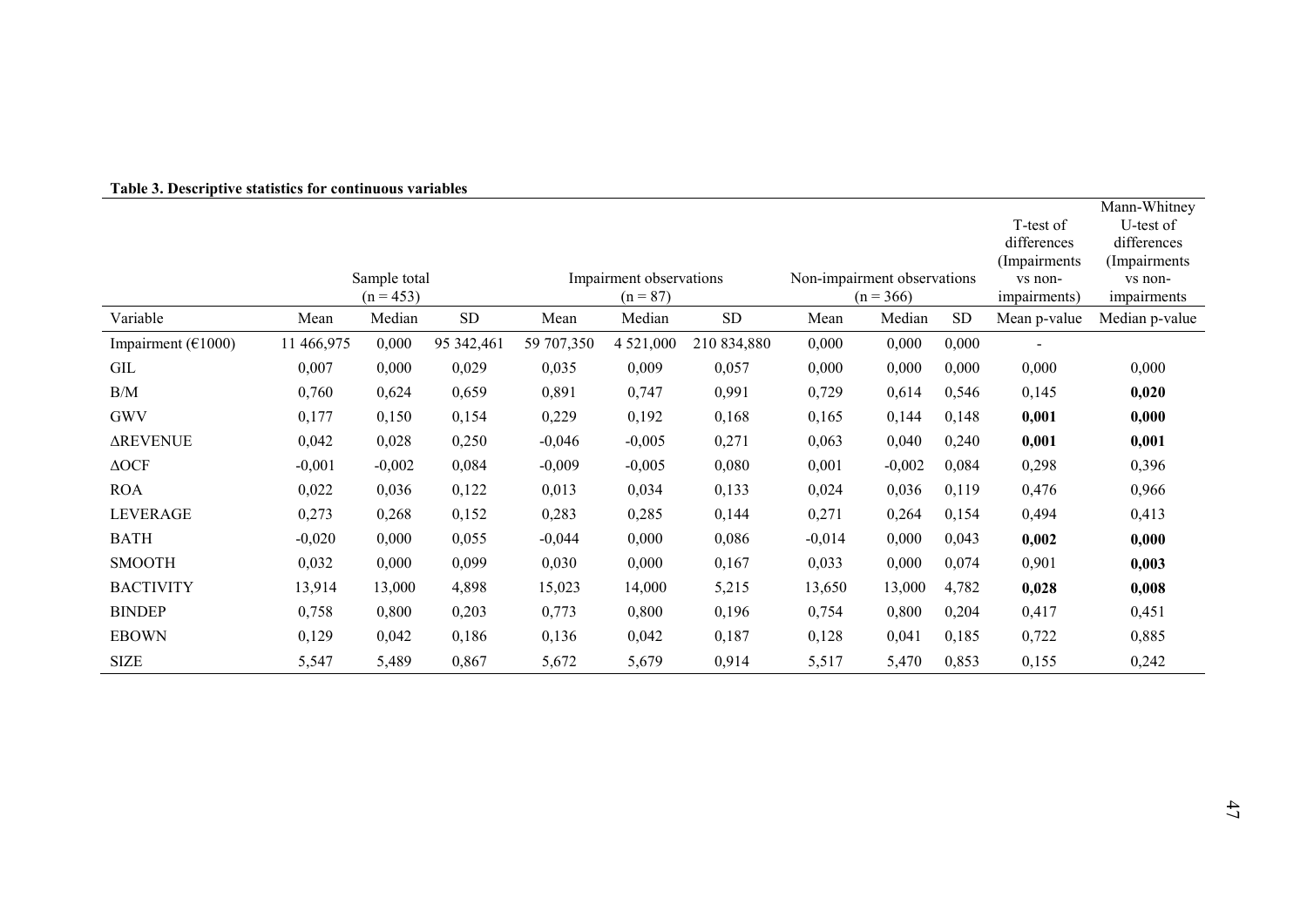|                        |            |              |            |            |                         |             |                             |             |           |                          | Mann-Whitney             |
|------------------------|------------|--------------|------------|------------|-------------------------|-------------|-----------------------------|-------------|-----------|--------------------------|--------------------------|
|                        |            |              |            |            |                         |             |                             |             |           | T-test of                | U-test of                |
|                        |            |              |            |            |                         |             |                             |             |           | differences              | differences              |
|                        |            | Sample total |            |            | Impairment observations |             | Non-impairment observations |             |           | (Impairments)<br>vs non- | (Impairments)<br>vs non- |
|                        |            | $(n = 453)$  |            |            | $(n = 87)$              |             |                             | $(n = 366)$ |           | impairments)             | impairments              |
| Variable               | Mean       | Median       | <b>SD</b>  | Mean       | Median                  | <b>SD</b>   | Mean                        | Median      | <b>SD</b> | Mean p-value             | Median p-value           |
| Impairment ( $€1000$ ) | 11 466,975 | 0,000        | 95 342,461 | 59 707,350 | 4 5 2 1 ,000            | 210 834,880 | 0,000                       | 0,000       | 0,000     |                          |                          |
| GIL                    | 0,007      | 0,000        | 0,029      | 0,035      | 0,009                   | 0,057       | 0,000                       | 0,000       | 0,000     | 0,000                    | 0,000                    |
| B/M                    | 0,760      | 0,624        | 0,659      | 0,891      | 0,747                   | 0,991       | 0,729                       | 0,614       | 0,546     | 0,145                    | 0,020                    |
| <b>GWV</b>             | 0,177      | 0,150        | 0,154      | 0,229      | 0,192                   | 0,168       | 0,165                       | 0,144       | 0,148     | 0,001                    | 0,000                    |
| <b>AREVENUE</b>        | 0,042      | 0,028        | 0,250      | $-0,046$   | $-0,005$                | 0,271       | 0,063                       | 0,040       | 0,240     | 0,001                    | 0,001                    |
| $\triangle$ OCF        | $-0,001$   | $-0,002$     | 0,084      | $-0,009$   | $-0,005$                | 0,080       | 0,001                       | $-0,002$    | 0,084     | 0,298                    | 0,396                    |
| <b>ROA</b>             | 0,022      | 0,036        | 0,122      | 0,013      | 0,034                   | 0,133       | 0,024                       | 0,036       | 0,119     | 0,476                    | 0,966                    |
| <b>LEVERAGE</b>        | 0,273      | 0,268        | 0,152      | 0,283      | 0,285                   | 0,144       | 0,271                       | 0,264       | 0,154     | 0,494                    | 0,413                    |
| <b>BATH</b>            | $-0,020$   | 0,000        | 0,055      | $-0,044$   | 0,000                   | 0,086       | $-0,014$                    | 0,000       | 0,043     | 0,002                    | 0,000                    |
| <b>SMOOTH</b>          | 0,032      | 0,000        | 0,099      | 0,030      | 0,000                   | 0,167       | 0,033                       | 0,000       | 0,074     | 0,901                    | 0,003                    |
| <b>BACTIVITY</b>       | 13,914     | 13,000       | 4,898      | 15,023     | 14,000                  | 5,215       | 13,650                      | 13,000      | 4,782     | 0,028                    | 0,008                    |
| <b>BINDEP</b>          | 0,758      | 0,800        | 0,203      | 0,773      | 0,800                   | 0,196       | 0,754                       | 0,800       | 0,204     | 0,417                    | 0,451                    |
| <b>EBOWN</b>           | 0,129      | 0,042        | 0,186      | 0,136      | 0,042                   | 0,187       | 0,128                       | 0,041       | 0,185     | 0,722                    | 0,885                    |
| <b>SIZE</b>            | 5,547      | 5,489        | 0,867      | 5,672      | 5,679                   | 0,914       | 5,517                       | 5,470       | 0,853     | 0,155                    | 0,242                    |

### **Table 3. Descriptive statistics for continuous variables**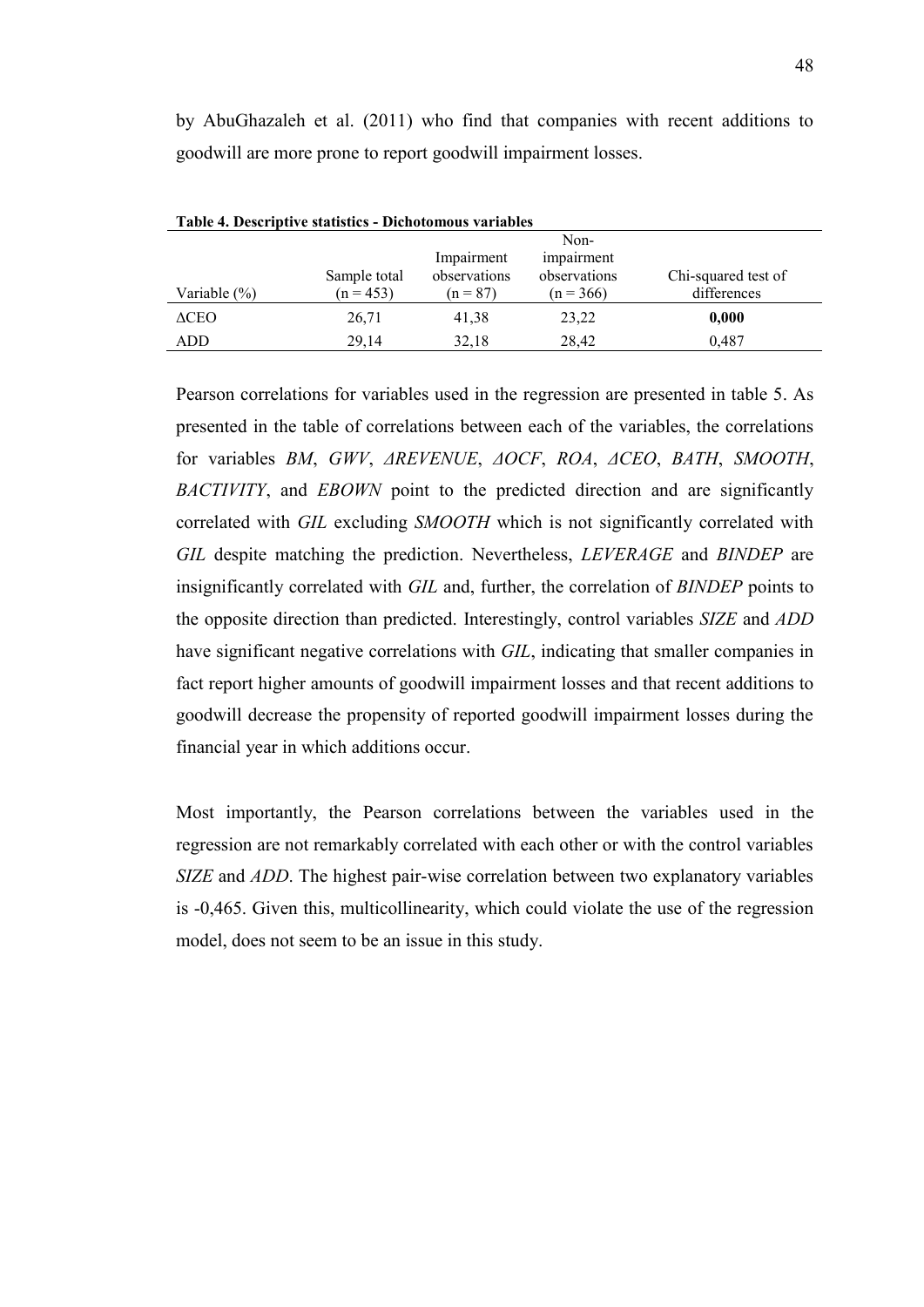by AbuGhazaleh et al. (2011) who find that companies with recent additions to goodwill are more prone to report goodwill impairment losses.

| Table 7. Descriptive statistics - Dichotomous variables<br>Variable $(\% )$ | Sample total<br>$(n = 453)$ | Impairment<br>observations<br>$(n = 87)$ | Non-<br>impairment<br>observations<br>$(n = 366)$ | Chi-squared test of<br>differences |
|-----------------------------------------------------------------------------|-----------------------------|------------------------------------------|---------------------------------------------------|------------------------------------|
| $\triangle$ CEO                                                             | 26,71                       | 41,38                                    | 23,22                                             | 0,000                              |
| ADD                                                                         | 29.14                       | 32,18                                    | 28.42                                             | 0,487                              |

**Table 4. Descriptive statistics - Dichotomous variables**

Pearson correlations for variables used in the regression are presented in table 5. As presented in the table of correlations between each of the variables, the correlations for variables *BM*, *GWV*, *ΔREVENUE*, *ΔOCF*, *ROA*, *ΔCEO*, *BATH*, *SMOOTH*, *BACTIVITY*, and *EBOWN* point to the predicted direction and are significantly correlated with *GIL* excluding *SMOOTH* which is not significantly correlated with *GIL* despite matching the prediction. Nevertheless, *LEVERAGE* and *BINDEP* are insignificantly correlated with *GIL* and, further, the correlation of *BINDEP* points to the opposite direction than predicted. Interestingly, control variables *SIZE* and *ADD* have significant negative correlations with *GIL*, indicating that smaller companies in fact report higher amounts of goodwill impairment losses and that recent additions to goodwill decrease the propensity of reported goodwill impairment losses during the financial year in which additions occur.

Most importantly, the Pearson correlations between the variables used in the regression are not remarkably correlated with each other or with the control variables *SIZE* and *ADD*. The highest pair-wise correlation between two explanatory variables is -0,465. Given this, multicollinearity, which could violate the use of the regression model, does not seem to be an issue in this study.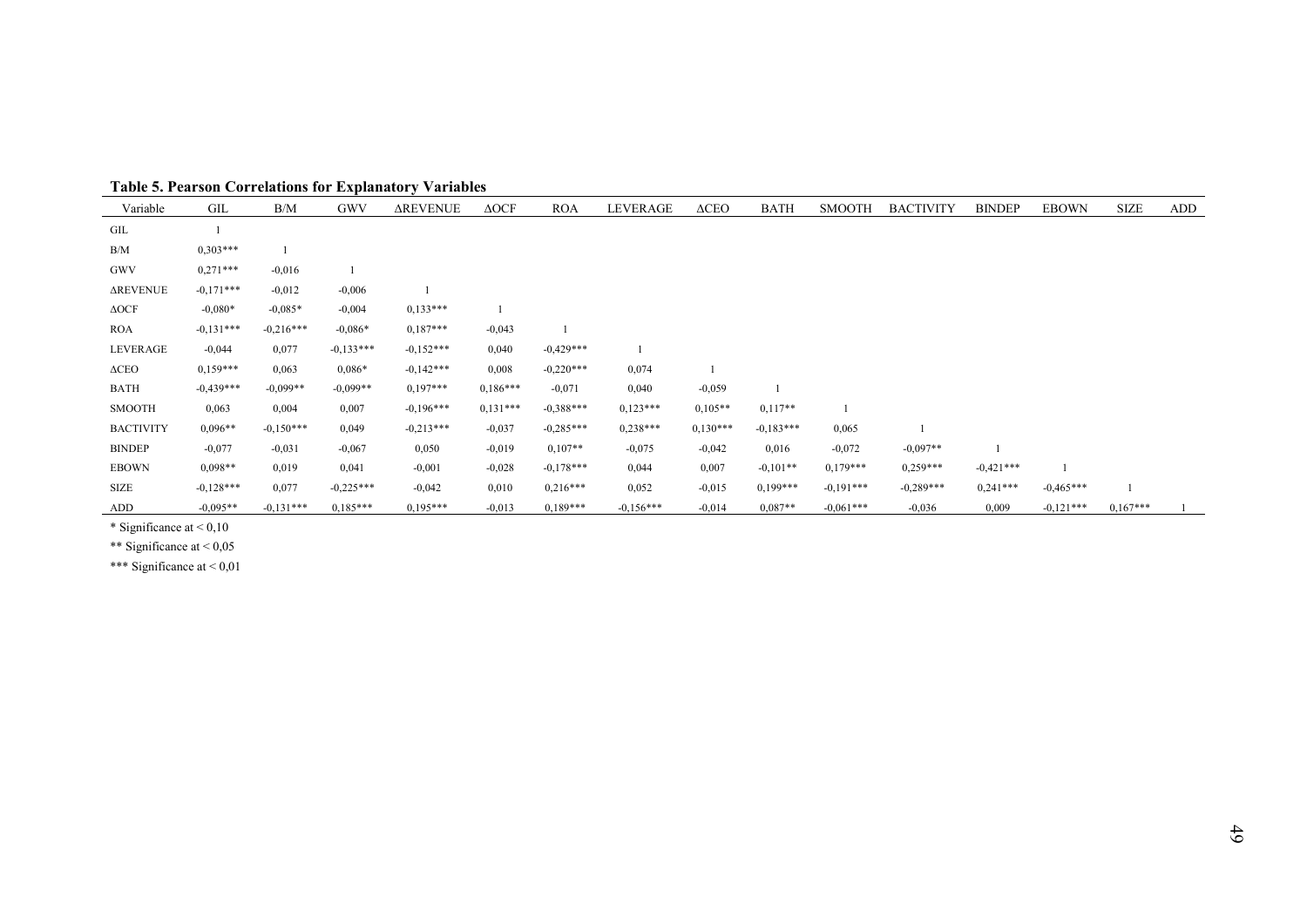| Variable         | GIL         | B/M         | <b>GWV</b>  | <b>AREVENUE</b> | $\triangle$ OCF | <b>ROA</b>  | <b>LEVERAGE</b> | $\triangle$ CEO | <b>BATH</b> | <b>SMOOTH</b> | <b>BACTIVITY</b> | <b>BINDEP</b> | <b>EBOWN</b> | <b>SIZE</b> | ADD |
|------------------|-------------|-------------|-------------|-----------------|-----------------|-------------|-----------------|-----------------|-------------|---------------|------------------|---------------|--------------|-------------|-----|
| GIL              |             |             |             |                 |                 |             |                 |                 |             |               |                  |               |              |             |     |
| B/M              | $0,303***$  |             |             |                 |                 |             |                 |                 |             |               |                  |               |              |             |     |
| GWV              | $0.271***$  | $-0,016$    |             |                 |                 |             |                 |                 |             |               |                  |               |              |             |     |
| <b>AREVENUE</b>  | $-0.171***$ | $-0,012$    | $-0,006$    |                 |                 |             |                 |                 |             |               |                  |               |              |             |     |
| $\Delta OCF$     | $-0.080*$   | $-0.085*$   | $-0,004$    | $0,133***$      |                 |             |                 |                 |             |               |                  |               |              |             |     |
| <b>ROA</b>       | $-0.131***$ | $-0,216***$ | $-0.086*$   | $0.187***$      | $-0,043$        |             |                 |                 |             |               |                  |               |              |             |     |
| LEVERAGE         | $-0,044$    | 0,077       | $-0.133***$ | $-0.152***$     | 0,040           | $-0,429***$ |                 |                 |             |               |                  |               |              |             |     |
| $\triangle$ CEO  | $0.159***$  | 0,063       | $0.086*$    | $-0.142***$     | 0,008           | $-0,220***$ | 0,074           |                 |             |               |                  |               |              |             |     |
| <b>BATH</b>      | $-0.439***$ | $-0.099**$  | $-0.099**$  | $0.197***$      | $0.186***$      | $-0,071$    | 0,040           | $-0,059$        |             |               |                  |               |              |             |     |
| <b>SMOOTH</b>    | 0,063       | 0,004       | 0,007       | $-0.196***$     | $0.131***$      | $-0,388***$ | $0,123***$      | $0,105**$       | $0,117**$   |               |                  |               |              |             |     |
| <b>BACTIVITY</b> | $0.096**$   | $-0,150***$ | 0,049       | $-0.213***$     | $-0,037$        | $-0,285***$ | $0,238***$      | $0,130***$      | $-0.183***$ | 0,065         |                  |               |              |             |     |
| <b>BINDEP</b>    | $-0,077$    | $-0,031$    | $-0,067$    | 0,050           | $-0,019$        | $0,107**$   | $-0,075$        | $-0,042$        | 0,016       | $-0,072$      | $-0.097**$       |               |              |             |     |
| <b>EBOWN</b>     | $0,098**$   | 0,019       | 0,041       | $-0,001$        | $-0,028$        | $-0.178***$ | 0,044           | 0,007           | $-0,101**$  | $0.179***$    | $0,259***$       | $-0,421***$   |              |             |     |
| <b>SIZE</b>      | $-0,128***$ | 0,077       | $-0.225***$ | $-0,042$        | 0,010           | $0.216***$  | 0,052           | $-0,015$        | $0.199***$  | $-0.191***$   | $-0.289***$      | $0,241***$    | $-0.465***$  |             |     |
| ADD              | $-0.095**$  | $-0.131***$ | $0.185***$  | $0.195***$      | $-0.013$        | $0.189***$  | $-0.156***$     | $-0.014$        | $0.087**$   | $-0.061***$   | $-0,036$         | 0,009         | $-0.121***$  | $0.167***$  |     |

#### **Table 5. Pearson Correlations for Explanatory Variables**

\* Significance at < 0,10

\*\* Significance at < 0,05

\*\*\* Significance at < 0,01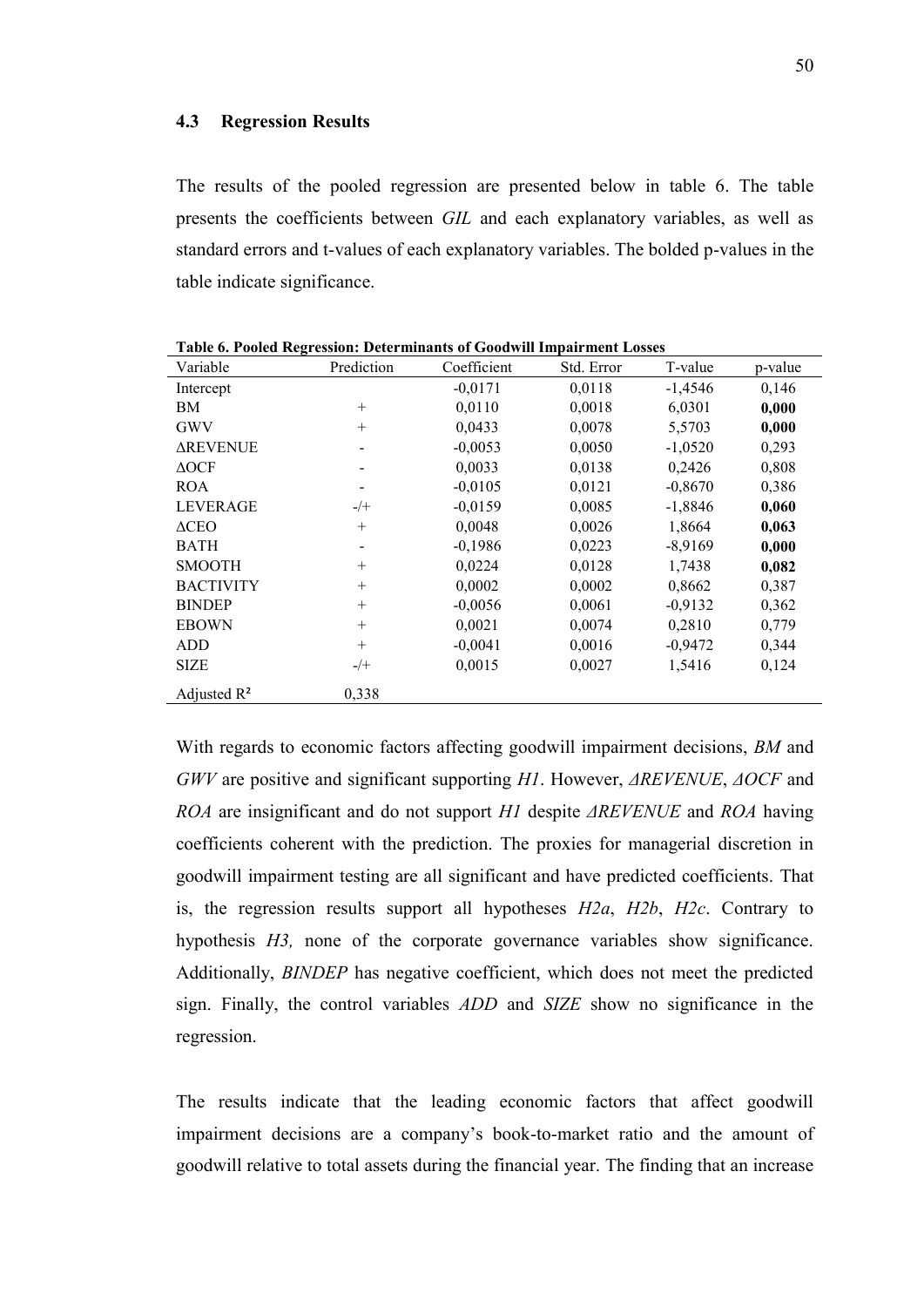<span id="page-49-0"></span>The results of the pooled regression are presented below in table 6. The table presents the coefficients between *GIL* and each explanatory variables, as well as standard errors and t-values of each explanatory variables. The bolded p-values in the table indicate significance.

| Variable         | Prediction               | Coefficient | Std. Error | T-value   | p-value |
|------------------|--------------------------|-------------|------------|-----------|---------|
| Intercept        |                          | $-0,0171$   | 0,0118     | $-1,4546$ | 0,146   |
| ΒM               | $^{+}$                   | 0,0110      | 0,0018     | 6,0301    | 0,000   |
| GWV              | $^{+}$                   | 0,0433      | 0,0078     | 5,5703    | 0,000   |
| <b>AREVENUE</b>  |                          | $-0,0053$   | 0,0050     | $-1,0520$ | 0,293   |
| $\triangle$ OCF  | $\overline{\phantom{0}}$ | 0,0033      | 0,0138     | 0,2426    | 0,808   |
| <b>ROA</b>       |                          | $-0,0105$   | 0,0121     | $-0,8670$ | 0,386   |
| <b>LEVERAGE</b>  | $-/+$                    | $-0,0159$   | 0,0085     | $-1,8846$ | 0,060   |
| $\triangle$ CEO  | $^{+}$                   | 0,0048      | 0,0026     | 1,8664    | 0,063   |
| <b>BATH</b>      |                          | $-0,1986$   | 0,0223     | $-8,9169$ | 0,000   |
| <b>SMOOTH</b>    | $^{+}$                   | 0,0224      | 0,0128     | 1,7438    | 0,082   |
| <b>BACTIVITY</b> | $^{+}$                   | 0,0002      | 0,0002     | 0,8662    | 0,387   |
| <b>BINDEP</b>    | $^{+}$                   | $-0,0056$   | 0,0061     | $-0,9132$ | 0,362   |
| <b>EBOWN</b>     | $^{+}$                   | 0,0021      | 0,0074     | 0,2810    | 0,779   |
| <b>ADD</b>       | $+$                      | $-0,0041$   | 0,0016     | $-0,9472$ | 0,344   |
| <b>SIZE</b>      | $-/+$                    | 0,0015      | 0,0027     | 1,5416    | 0,124   |
| Adjusted $R^2$   | 0,338                    |             |            |           |         |

**Table 6. Pooled Regression: Determinants of Goodwill Impairment Losses**

With regards to economic factors affecting goodwill impairment decisions, *BM* and *GWV* are positive and significant supporting *H1*. However, *ΔREVENUE*, *ΔOCF* and *ROA* are insignificant and do not support *H1* despite *ΔREVENUE* and *ROA* having coefficients coherent with the prediction. The proxies for managerial discretion in goodwill impairment testing are all significant and have predicted coefficients. That is, the regression results support all hypotheses *H2a*, *H2b*, *H2c*. Contrary to hypothesis *H3,* none of the corporate governance variables show significance. Additionally, *BINDEP* has negative coefficient, which does not meet the predicted sign. Finally, the control variables *ADD* and *SIZE* show no significance in the regression.

The results indicate that the leading economic factors that affect goodwill impairment decisions are a company's book-to-market ratio and the amount of goodwill relative to total assets during the financial year. The finding that an increase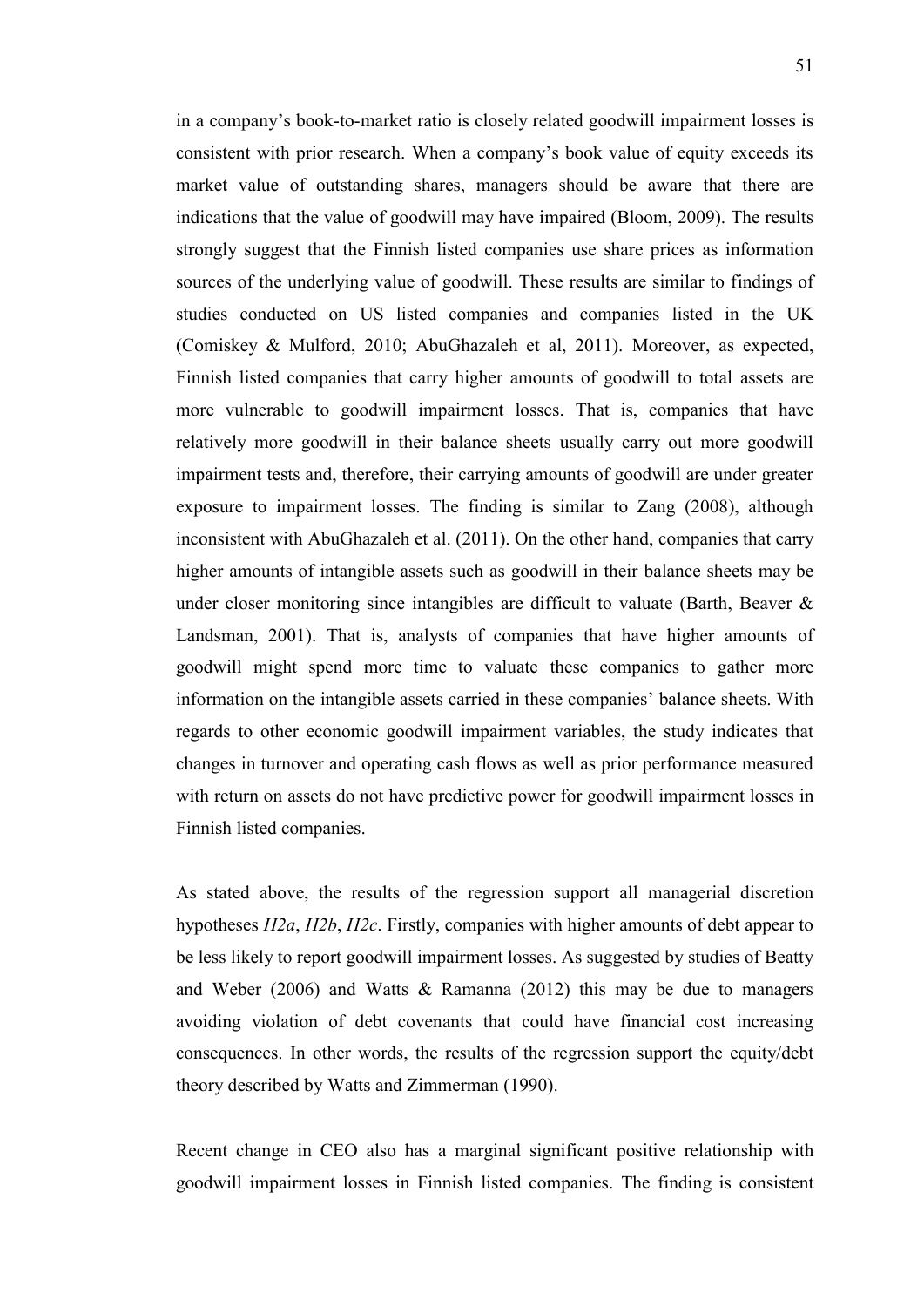in a company's book-to-market ratio is closely related goodwill impairment losses is consistent with prior research. When a company's book value of equity exceeds its market value of outstanding shares, managers should be aware that there are indications that the value of goodwill may have impaired (Bloom, 2009). The results strongly suggest that the Finnish listed companies use share prices as information sources of the underlying value of goodwill. These results are similar to findings of studies conducted on US listed companies and companies listed in the UK (Comiskey & Mulford, 2010; AbuGhazaleh et al, 2011). Moreover, as expected, Finnish listed companies that carry higher amounts of goodwill to total assets are more vulnerable to goodwill impairment losses. That is, companies that have relatively more goodwill in their balance sheets usually carry out more goodwill impairment tests and, therefore, their carrying amounts of goodwill are under greater exposure to impairment losses. The finding is similar to Zang (2008), although inconsistent with AbuGhazaleh et al. (2011). On the other hand, companies that carry higher amounts of intangible assets such as goodwill in their balance sheets may be under closer monitoring since intangibles are difficult to valuate (Barth, Beaver  $\&$ Landsman, 2001). That is, analysts of companies that have higher amounts of goodwill might spend more time to valuate these companies to gather more information on the intangible assets carried in these companies' balance sheets. With regards to other economic goodwill impairment variables, the study indicates that changes in turnover and operating cash flows as well as prior performance measured with return on assets do not have predictive power for goodwill impairment losses in Finnish listed companies.

As stated above, the results of the regression support all managerial discretion hypotheses *H2a*, *H2b*, *H2c*. Firstly, companies with higher amounts of debt appear to be less likely to report goodwill impairment losses. As suggested by studies of Beatty and Weber (2006) and Watts & Ramanna (2012) this may be due to managers avoiding violation of debt covenants that could have financial cost increasing consequences. In other words, the results of the regression support the equity/debt theory described by Watts and Zimmerman (1990).

Recent change in CEO also has a marginal significant positive relationship with goodwill impairment losses in Finnish listed companies. The finding is consistent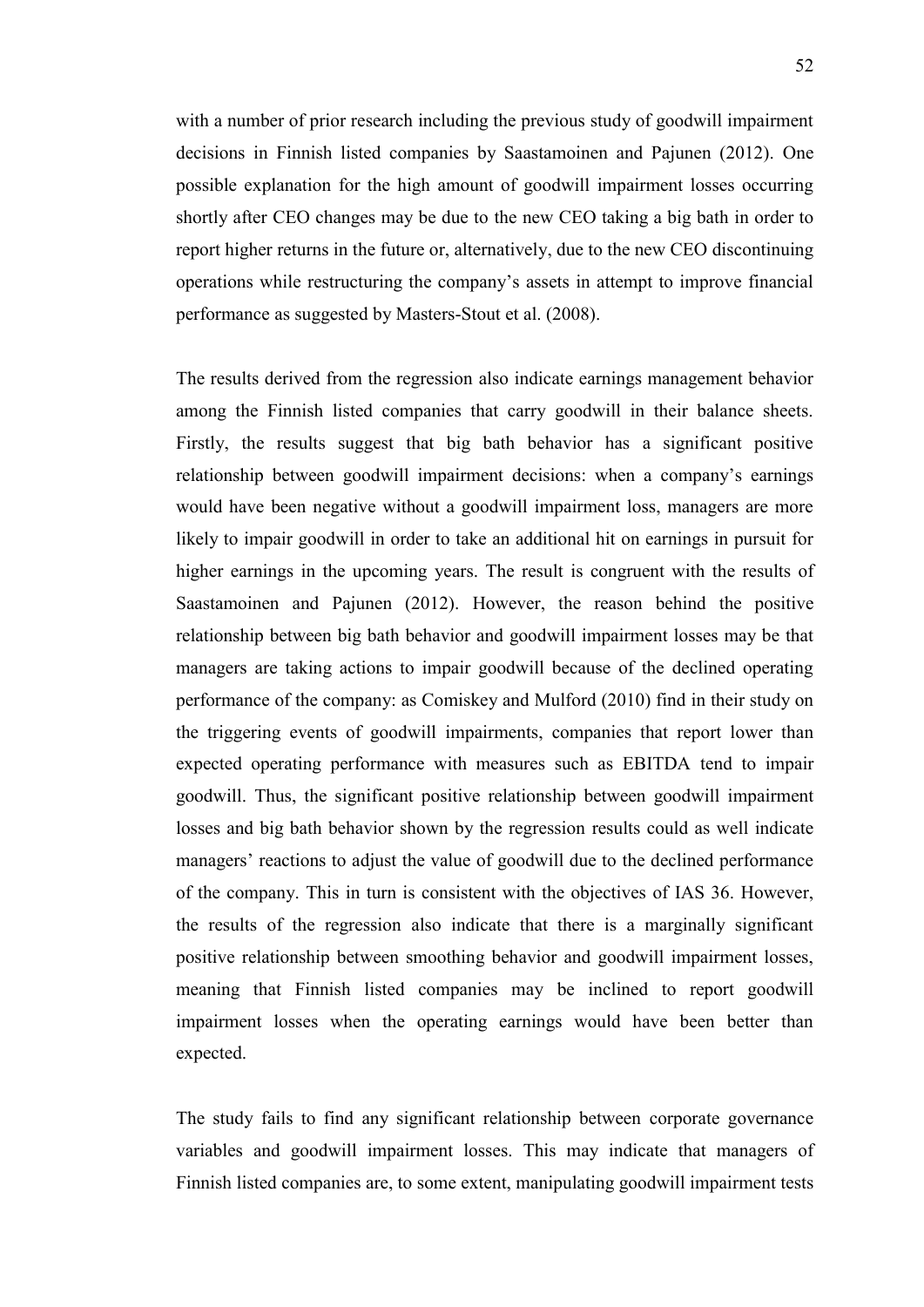with a number of prior research including the previous study of goodwill impairment decisions in Finnish listed companies by Saastamoinen and Pajunen (2012). One possible explanation for the high amount of goodwill impairment losses occurring shortly after CEO changes may be due to the new CEO taking a big bath in order to report higher returns in the future or, alternatively, due to the new CEO discontinuing operations while restructuring the company's assets in attempt to improve financial performance as suggested by Masters-Stout et al. (2008).

The results derived from the regression also indicate earnings management behavior among the Finnish listed companies that carry goodwill in their balance sheets. Firstly, the results suggest that big bath behavior has a significant positive relationship between goodwill impairment decisions: when a company's earnings would have been negative without a goodwill impairment loss, managers are more likely to impair goodwill in order to take an additional hit on earnings in pursuit for higher earnings in the upcoming years. The result is congruent with the results of Saastamoinen and Pajunen (2012). However, the reason behind the positive relationship between big bath behavior and goodwill impairment losses may be that managers are taking actions to impair goodwill because of the declined operating performance of the company: as Comiskey and Mulford (2010) find in their study on the triggering events of goodwill impairments, companies that report lower than expected operating performance with measures such as EBITDA tend to impair goodwill. Thus, the significant positive relationship between goodwill impairment losses and big bath behavior shown by the regression results could as well indicate managers' reactions to adjust the value of goodwill due to the declined performance of the company. This in turn is consistent with the objectives of IAS 36. However, the results of the regression also indicate that there is a marginally significant positive relationship between smoothing behavior and goodwill impairment losses, meaning that Finnish listed companies may be inclined to report goodwill impairment losses when the operating earnings would have been better than expected.

The study fails to find any significant relationship between corporate governance variables and goodwill impairment losses. This may indicate that managers of Finnish listed companies are, to some extent, manipulating goodwill impairment tests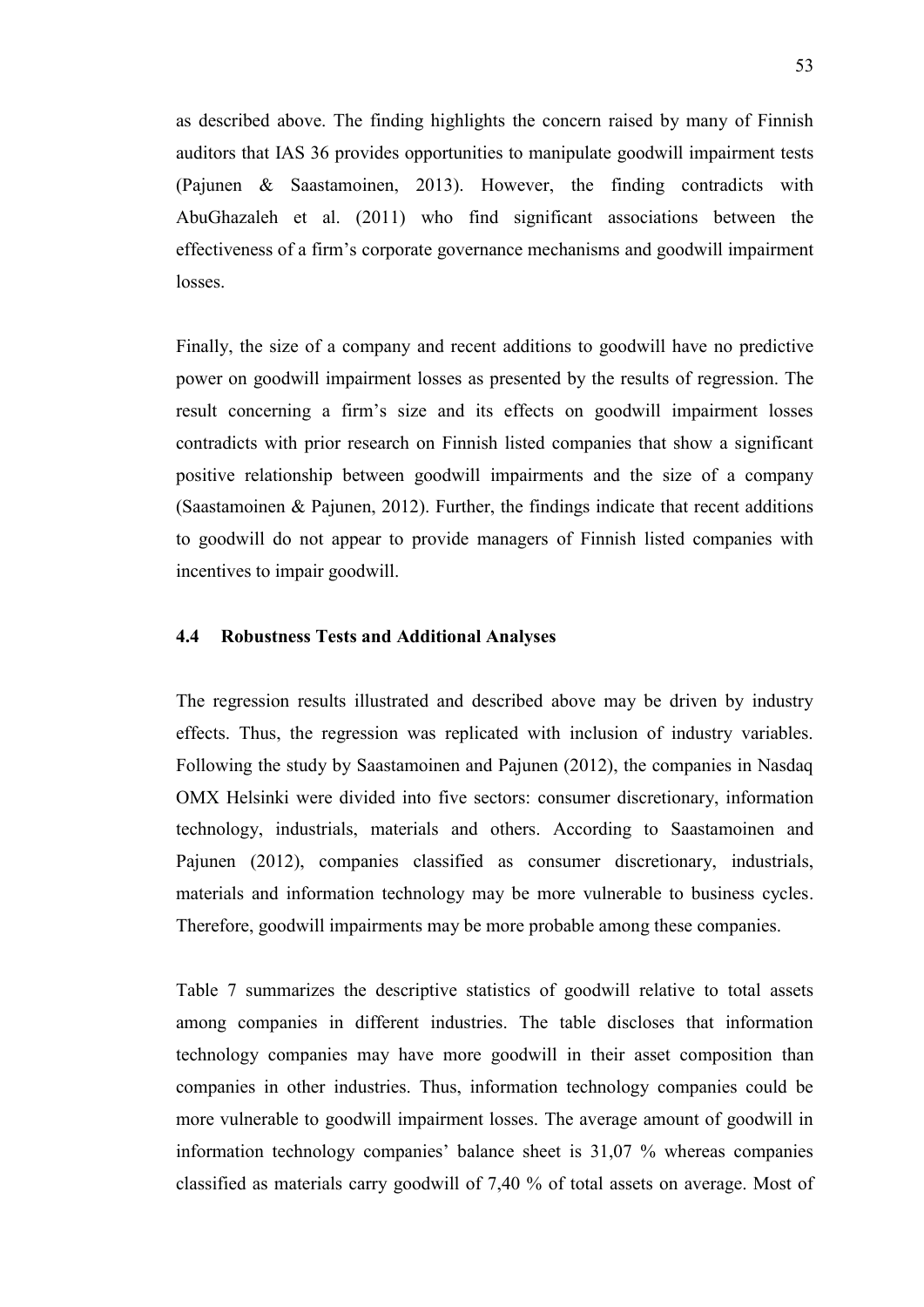as described above. The finding highlights the concern raised by many of Finnish auditors that IAS 36 provides opportunities to manipulate goodwill impairment tests (Pajunen & Saastamoinen, 2013). However, the finding contradicts with AbuGhazaleh et al. (2011) who find significant associations between the effectiveness of a firm's corporate governance mechanisms and goodwill impairment losses.

Finally, the size of a company and recent additions to goodwill have no predictive power on goodwill impairment losses as presented by the results of regression. The result concerning a firm's size and its effects on goodwill impairment losses contradicts with prior research on Finnish listed companies that show a significant positive relationship between goodwill impairments and the size of a company (Saastamoinen & Pajunen, 2012). Further, the findings indicate that recent additions to goodwill do not appear to provide managers of Finnish listed companies with incentives to impair goodwill.

#### <span id="page-52-0"></span>**4.4 Robustness Tests and Additional Analyses**

The regression results illustrated and described above may be driven by industry effects. Thus, the regression was replicated with inclusion of industry variables. Following the study by Saastamoinen and Pajunen (2012), the companies in Nasdaq OMX Helsinki were divided into five sectors: consumer discretionary, information technology, industrials, materials and others. According to Saastamoinen and Pajunen (2012), companies classified as consumer discretionary, industrials, materials and information technology may be more vulnerable to business cycles. Therefore, goodwill impairments may be more probable among these companies.

Table 7 summarizes the descriptive statistics of goodwill relative to total assets among companies in different industries. The table discloses that information technology companies may have more goodwill in their asset composition than companies in other industries. Thus, information technology companies could be more vulnerable to goodwill impairment losses. The average amount of goodwill in information technology companies' balance sheet is 31,07 % whereas companies classified as materials carry goodwill of 7,40 % of total assets on average. Most of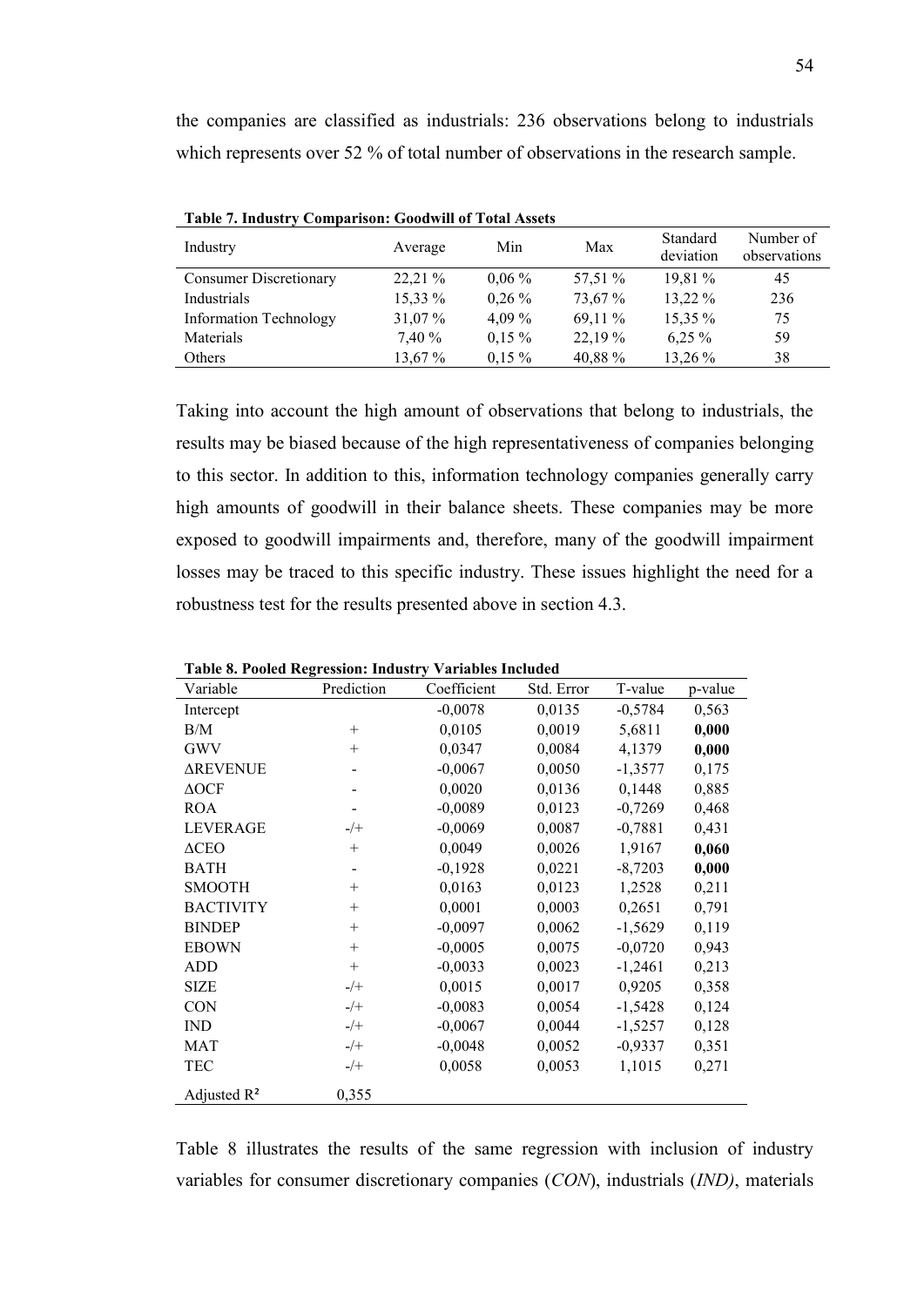the companies are classified as industrials: 236 observations belong to industrials which represents over 52 % of total number of observations in the research sample.

| Industry                      | Average | Min      | Max     | Standard<br>deviation | Number of<br>observations |
|-------------------------------|---------|----------|---------|-----------------------|---------------------------|
| <b>Consumer Discretionary</b> | 22,21%  | $0.06\%$ | 57,51 % | 19,81 %               | 45                        |
| Industrials                   | 15,33 % | $0,26\%$ | 73,67 % | 13,22 %               | 236                       |
| <b>Information Technology</b> | 31,07 % | $4.09\%$ | 69,11 % | 15,35 %               | 75                        |
| Materials                     | 7,40 %  | $0,15\%$ | 22,19 % | $6,25\%$              | 59                        |
| Others                        | 13,67 % | $0,15\%$ | 40,88%  | $13,26\%$             | 38                        |

**Table 7. Industry Comparison: Goodwill of Total Assets**

Taking into account the high amount of observations that belong to industrials, the results may be biased because of the high representativeness of companies belonging to this sector. In addition to this, information technology companies generally carry high amounts of goodwill in their balance sheets. These companies may be more exposed to goodwill impairments and, therefore, many of the goodwill impairment losses may be traced to this specific industry. These issues highlight the need for a robustness test for the results presented above in section 4.3.

|                  | Table 8. Pooled Regression: Industry Variables Included |             |            |           |         |
|------------------|---------------------------------------------------------|-------------|------------|-----------|---------|
| Variable         | Prediction                                              | Coefficient | Std. Error | T-value   | p-value |
| Intercept        |                                                         | $-0,0078$   | 0,0135     | $-0,5784$ | 0,563   |
| B/M              | $^{+}$                                                  | 0,0105      | 0,0019     | 5,6811    | 0,000   |
| GWV              | $^{+}$                                                  | 0,0347      | 0,0084     | 4,1379    | 0,000   |
| <b>AREVENUE</b>  |                                                         | $-0,0067$   | 0,0050     | $-1,3577$ | 0,175   |
| $\triangle$ OCF  |                                                         | 0,0020      | 0,0136     | 0,1448    | 0,885   |
| <b>ROA</b>       |                                                         | $-0,0089$   | 0,0123     | $-0,7269$ | 0,468   |
| LEVERAGE         | $-/+$                                                   | $-0,0069$   | 0,0087     | $-0,7881$ | 0,431   |
| $\triangle$ CEO  | $+$                                                     | 0,0049      | 0,0026     | 1,9167    | 0,060   |
| <b>BATH</b>      | $\overline{\phantom{a}}$                                | $-0,1928$   | 0,0221     | $-8,7203$ | 0,000   |
| <b>SMOOTH</b>    | $+$                                                     | 0,0163      | 0,0123     | 1,2528    | 0,211   |
| <b>BACTIVITY</b> | $+$                                                     | 0,0001      | 0,0003     | 0,2651    | 0,791   |
| <b>BINDEP</b>    | $^{+}$                                                  | $-0,0097$   | 0,0062     | $-1,5629$ | 0,119   |
| <b>EBOWN</b>     | $+$                                                     | $-0,0005$   | 0,0075     | $-0,0720$ | 0,943   |
| ADD              | $+$                                                     | $-0,0033$   | 0,0023     | $-1,2461$ | 0,213   |
| <b>SIZE</b>      | $-/+$                                                   | 0,0015      | 0,0017     | 0,9205    | 0,358   |
| CON              | $-/+$                                                   | $-0,0083$   | 0,0054     | $-1,5428$ | 0,124   |
| <b>IND</b>       | $-/+$                                                   | $-0,0067$   | 0,0044     | $-1,5257$ | 0,128   |
| <b>MAT</b>       | $-/+$                                                   | $-0,0048$   | 0,0052     | $-0,9337$ | 0,351   |
| TEC              | $-/+$                                                   | 0,0058      | 0,0053     | 1,1015    | 0,271   |
| Adjusted $R^2$   | 0,355                                                   |             |            |           |         |

**Table 8. Pooled Regression: Industry Variables Included**

Table 8 illustrates the results of the same regression with inclusion of industry variables for consumer discretionary companies (*CON*), industrials (*IND)*, materials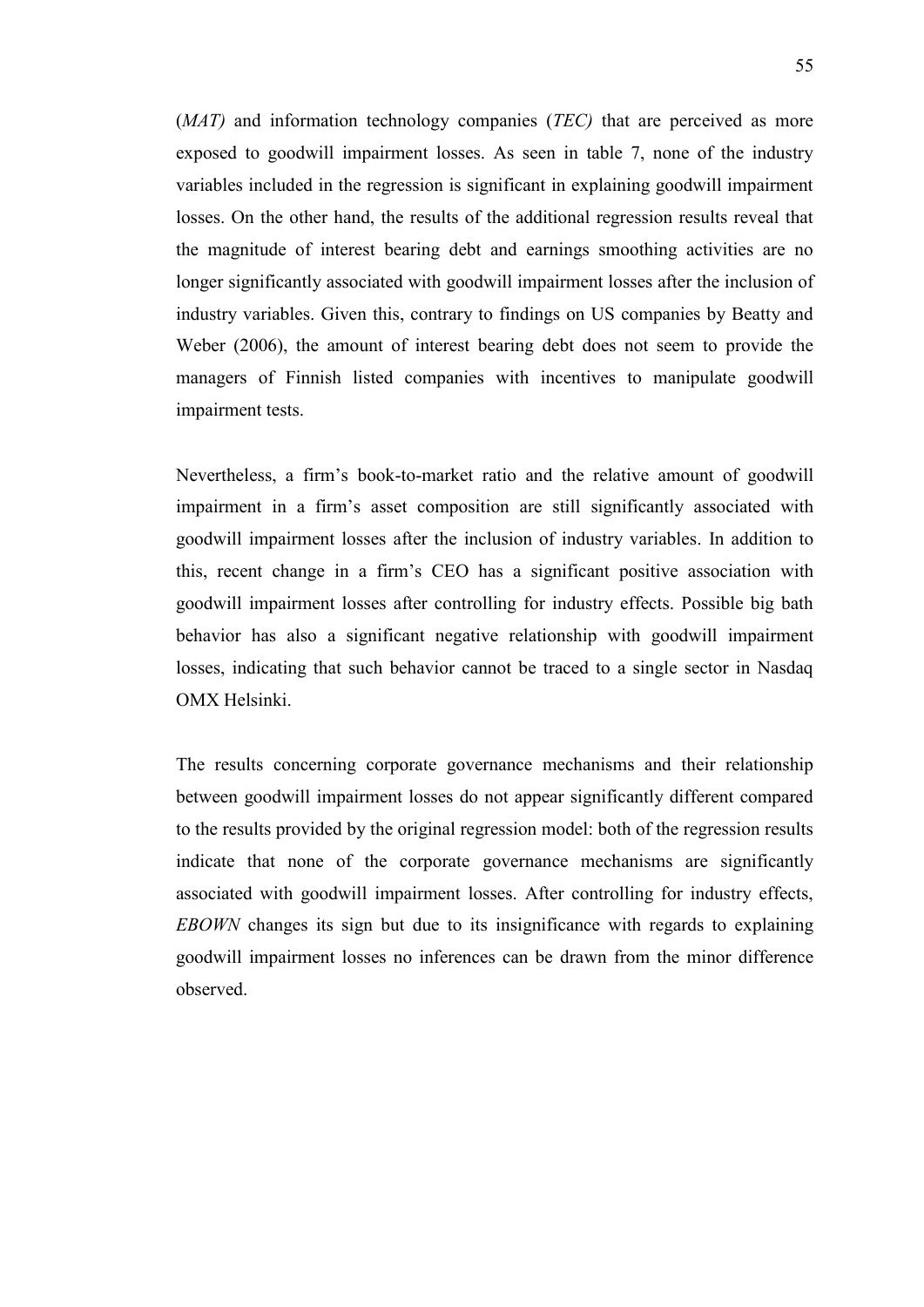(*MAT)* and information technology companies (*TEC)* that are perceived as more exposed to goodwill impairment losses. As seen in table 7, none of the industry variables included in the regression is significant in explaining goodwill impairment losses. On the other hand, the results of the additional regression results reveal that the magnitude of interest bearing debt and earnings smoothing activities are no longer significantly associated with goodwill impairment losses after the inclusion of industry variables. Given this, contrary to findings on US companies by Beatty and Weber (2006), the amount of interest bearing debt does not seem to provide the managers of Finnish listed companies with incentives to manipulate goodwill impairment tests.

Nevertheless, a firm's book-to-market ratio and the relative amount of goodwill impairment in a firm's asset composition are still significantly associated with goodwill impairment losses after the inclusion of industry variables. In addition to this, recent change in a firm's CEO has a significant positive association with goodwill impairment losses after controlling for industry effects. Possible big bath behavior has also a significant negative relationship with goodwill impairment losses, indicating that such behavior cannot be traced to a single sector in Nasdaq OMX Helsinki.

The results concerning corporate governance mechanisms and their relationship between goodwill impairment losses do not appear significantly different compared to the results provided by the original regression model: both of the regression results indicate that none of the corporate governance mechanisms are significantly associated with goodwill impairment losses. After controlling for industry effects, *EBOWN* changes its sign but due to its insignificance with regards to explaining goodwill impairment losses no inferences can be drawn from the minor difference observed.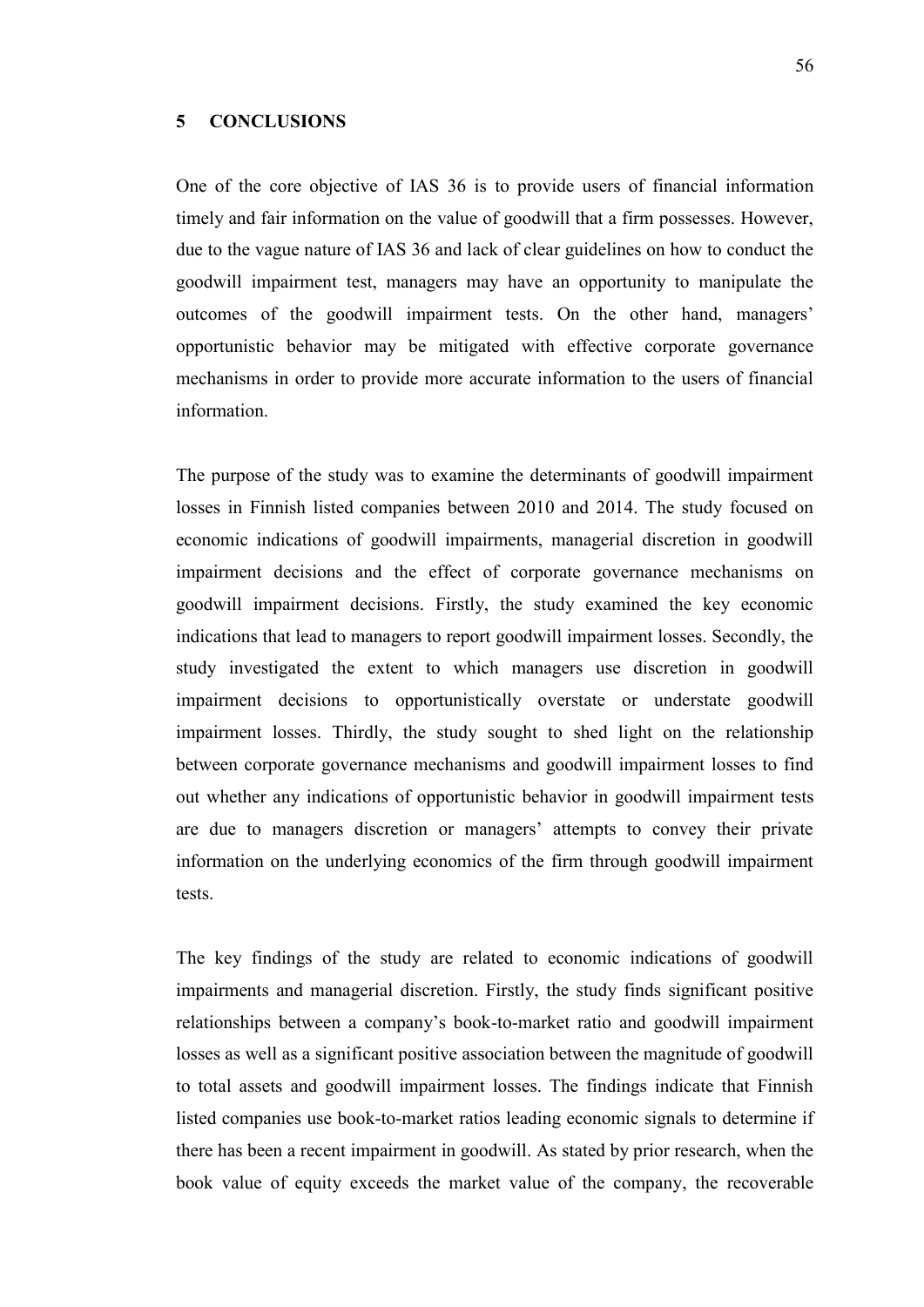#### <span id="page-55-0"></span>**5 CONCLUSIONS**

One of the core objective of IAS 36 is to provide users of financial information timely and fair information on the value of goodwill that a firm possesses. However, due to the vague nature of IAS 36 and lack of clear guidelines on how to conduct the goodwill impairment test, managers may have an opportunity to manipulate the outcomes of the goodwill impairment tests. On the other hand, managers' opportunistic behavior may be mitigated with effective corporate governance mechanisms in order to provide more accurate information to the users of financial information.

The purpose of the study was to examine the determinants of goodwill impairment losses in Finnish listed companies between 2010 and 2014. The study focused on economic indications of goodwill impairments, managerial discretion in goodwill impairment decisions and the effect of corporate governance mechanisms on goodwill impairment decisions. Firstly, the study examined the key economic indications that lead to managers to report goodwill impairment losses. Secondly, the study investigated the extent to which managers use discretion in goodwill impairment decisions to opportunistically overstate or understate goodwill impairment losses. Thirdly, the study sought to shed light on the relationship between corporate governance mechanisms and goodwill impairment losses to find out whether any indications of opportunistic behavior in goodwill impairment tests are due to managers discretion or managers' attempts to convey their private information on the underlying economics of the firm through goodwill impairment tests.

The key findings of the study are related to economic indications of goodwill impairments and managerial discretion. Firstly, the study finds significant positive relationships between a company's book-to-market ratio and goodwill impairment losses as well as a significant positive association between the magnitude of goodwill to total assets and goodwill impairment losses. The findings indicate that Finnish listed companies use book-to-market ratios leading economic signals to determine if there has been a recent impairment in goodwill. As stated by prior research, when the book value of equity exceeds the market value of the company, the recoverable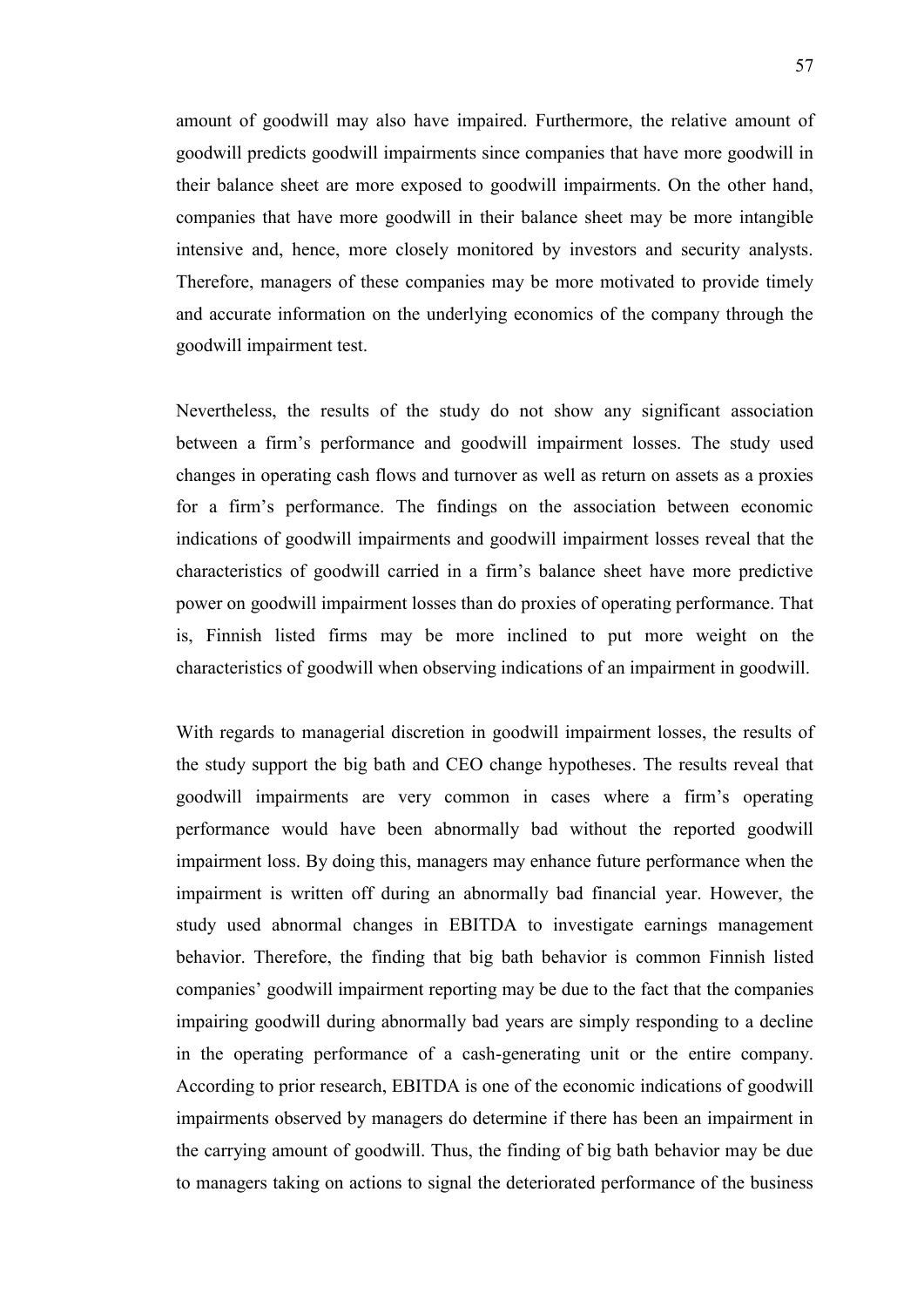amount of goodwill may also have impaired. Furthermore, the relative amount of goodwill predicts goodwill impairments since companies that have more goodwill in their balance sheet are more exposed to goodwill impairments. On the other hand, companies that have more goodwill in their balance sheet may be more intangible intensive and, hence, more closely monitored by investors and security analysts. Therefore, managers of these companies may be more motivated to provide timely and accurate information on the underlying economics of the company through the goodwill impairment test.

Nevertheless, the results of the study do not show any significant association between a firm's performance and goodwill impairment losses. The study used changes in operating cash flows and turnover as well as return on assets as a proxies for a firm's performance. The findings on the association between economic indications of goodwill impairments and goodwill impairment losses reveal that the characteristics of goodwill carried in a firm's balance sheet have more predictive power on goodwill impairment losses than do proxies of operating performance. That is, Finnish listed firms may be more inclined to put more weight on the characteristics of goodwill when observing indications of an impairment in goodwill.

With regards to managerial discretion in goodwill impairment losses, the results of the study support the big bath and CEO change hypotheses. The results reveal that goodwill impairments are very common in cases where a firm's operating performance would have been abnormally bad without the reported goodwill impairment loss. By doing this, managers may enhance future performance when the impairment is written off during an abnormally bad financial year. However, the study used abnormal changes in EBITDA to investigate earnings management behavior. Therefore, the finding that big bath behavior is common Finnish listed companies' goodwill impairment reporting may be due to the fact that the companies impairing goodwill during abnormally bad years are simply responding to a decline in the operating performance of a cash-generating unit or the entire company. According to prior research, EBITDA is one of the economic indications of goodwill impairments observed by managers do determine if there has been an impairment in the carrying amount of goodwill. Thus, the finding of big bath behavior may be due to managers taking on actions to signal the deteriorated performance of the business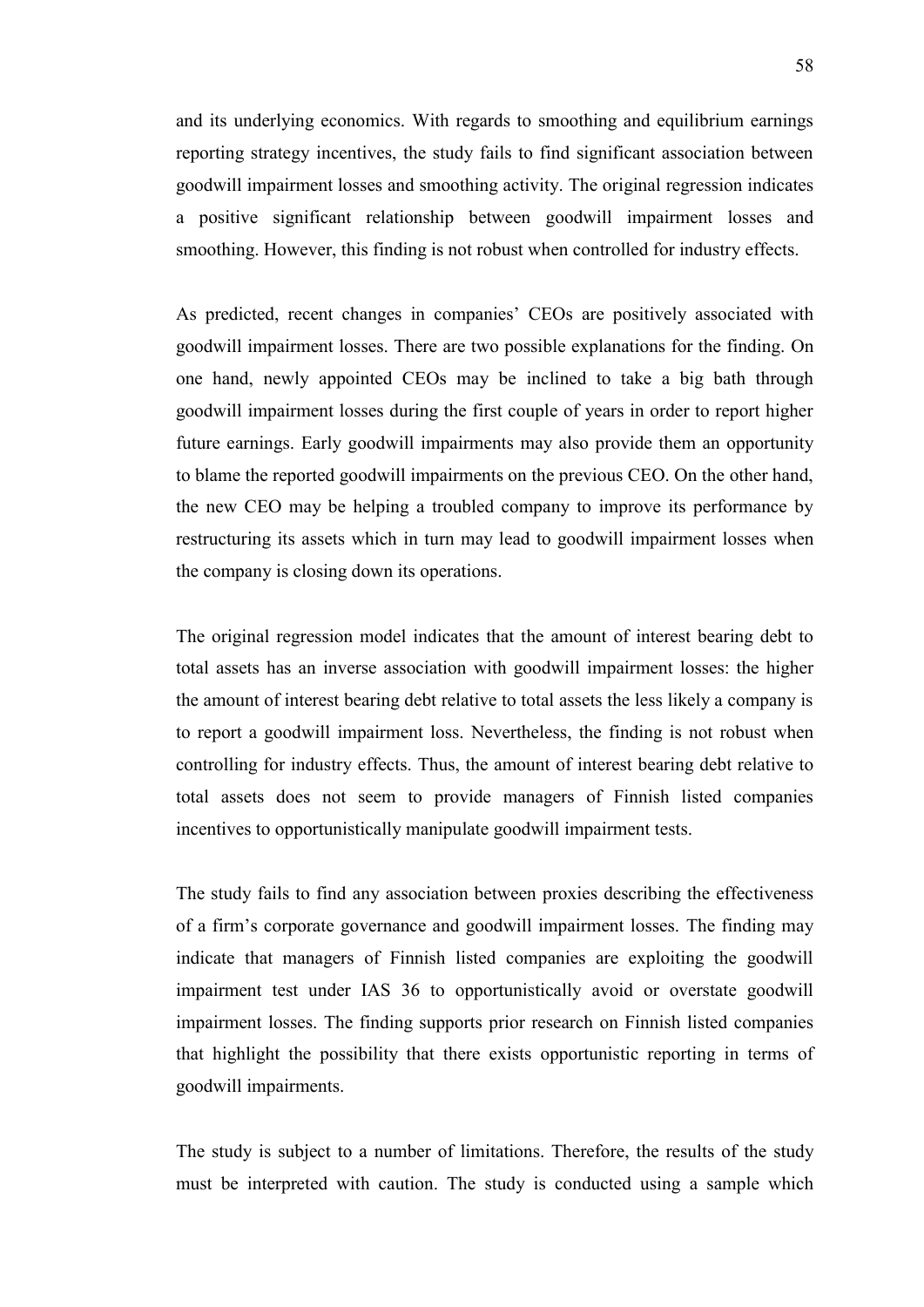and its underlying economics. With regards to smoothing and equilibrium earnings reporting strategy incentives, the study fails to find significant association between goodwill impairment losses and smoothing activity. The original regression indicates a positive significant relationship between goodwill impairment losses and smoothing. However, this finding is not robust when controlled for industry effects.

As predicted, recent changes in companies' CEOs are positively associated with goodwill impairment losses. There are two possible explanations for the finding. On one hand, newly appointed CEOs may be inclined to take a big bath through goodwill impairment losses during the first couple of years in order to report higher future earnings. Early goodwill impairments may also provide them an opportunity to blame the reported goodwill impairments on the previous CEO. On the other hand, the new CEO may be helping a troubled company to improve its performance by restructuring its assets which in turn may lead to goodwill impairment losses when the company is closing down its operations.

The original regression model indicates that the amount of interest bearing debt to total assets has an inverse association with goodwill impairment losses: the higher the amount of interest bearing debt relative to total assets the less likely a company is to report a goodwill impairment loss. Nevertheless, the finding is not robust when controlling for industry effects. Thus, the amount of interest bearing debt relative to total assets does not seem to provide managers of Finnish listed companies incentives to opportunistically manipulate goodwill impairment tests.

The study fails to find any association between proxies describing the effectiveness of a firm's corporate governance and goodwill impairment losses. The finding may indicate that managers of Finnish listed companies are exploiting the goodwill impairment test under IAS 36 to opportunistically avoid or overstate goodwill impairment losses. The finding supports prior research on Finnish listed companies that highlight the possibility that there exists opportunistic reporting in terms of goodwill impairments.

The study is subject to a number of limitations. Therefore, the results of the study must be interpreted with caution. The study is conducted using a sample which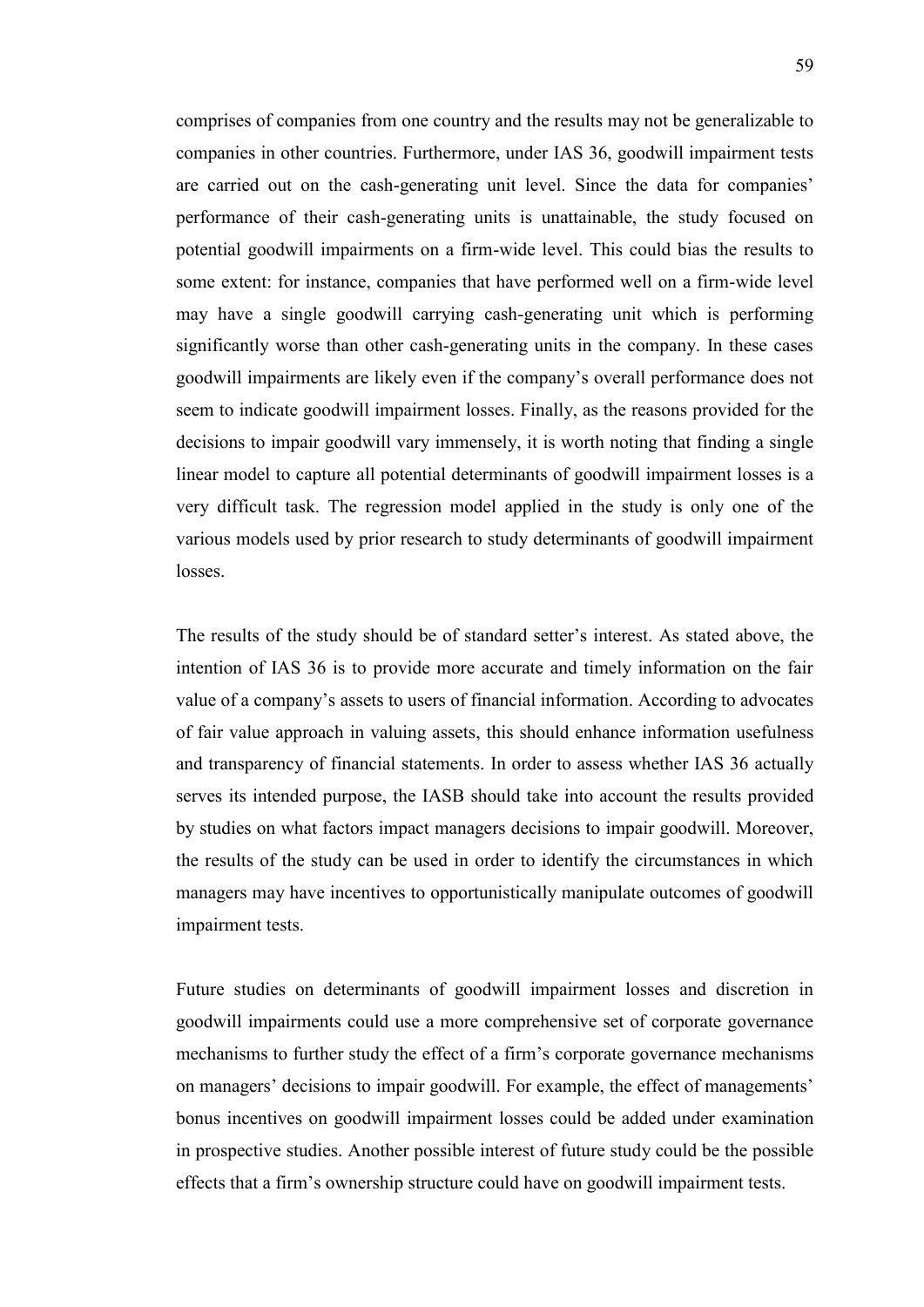comprises of companies from one country and the results may not be generalizable to companies in other countries. Furthermore, under IAS 36, goodwill impairment tests are carried out on the cash-generating unit level. Since the data for companies' performance of their cash-generating units is unattainable, the study focused on potential goodwill impairments on a firm-wide level. This could bias the results to some extent: for instance, companies that have performed well on a firm-wide level may have a single goodwill carrying cash-generating unit which is performing significantly worse than other cash-generating units in the company. In these cases goodwill impairments are likely even if the company's overall performance does not seem to indicate goodwill impairment losses. Finally, as the reasons provided for the decisions to impair goodwill vary immensely, it is worth noting that finding a single linear model to capture all potential determinants of goodwill impairment losses is a very difficult task. The regression model applied in the study is only one of the various models used by prior research to study determinants of goodwill impairment losses.

The results of the study should be of standard setter's interest. As stated above, the intention of IAS 36 is to provide more accurate and timely information on the fair value of a company's assets to users of financial information. According to advocates of fair value approach in valuing assets, this should enhance information usefulness and transparency of financial statements. In order to assess whether IAS 36 actually serves its intended purpose, the IASB should take into account the results provided by studies on what factors impact managers decisions to impair goodwill. Moreover, the results of the study can be used in order to identify the circumstances in which managers may have incentives to opportunistically manipulate outcomes of goodwill impairment tests.

Future studies on determinants of goodwill impairment losses and discretion in goodwill impairments could use a more comprehensive set of corporate governance mechanisms to further study the effect of a firm's corporate governance mechanisms on managers' decisions to impair goodwill. For example, the effect of managements' bonus incentives on goodwill impairment losses could be added under examination in prospective studies. Another possible interest of future study could be the possible effects that a firm's ownership structure could have on goodwill impairment tests.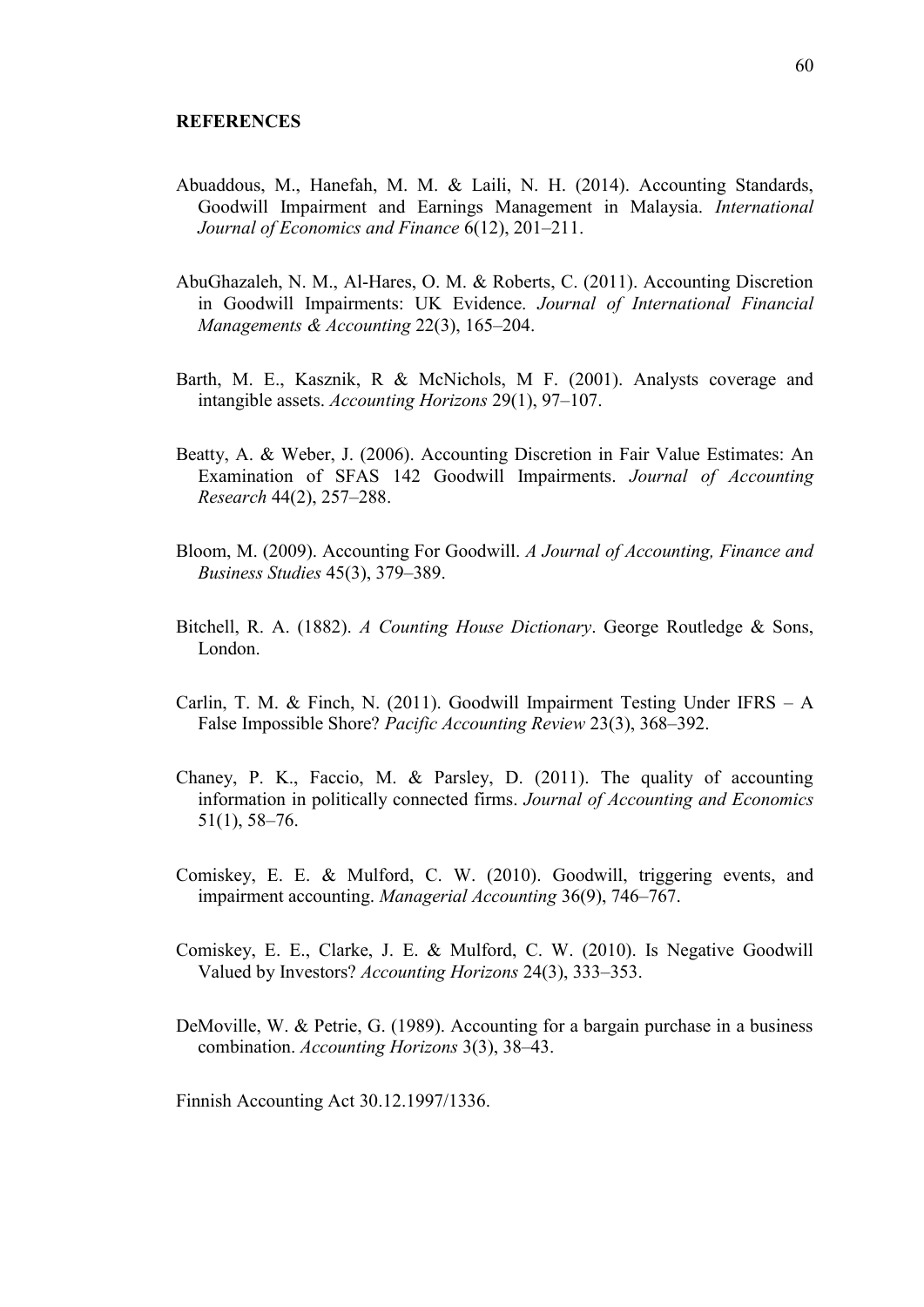#### <span id="page-59-0"></span>**REFERENCES**

- Abuaddous, M., Hanefah, M. M. & Laili, N. H. (2014). Accounting Standards, Goodwill Impairment and Earnings Management in Malaysia. *International Journal of Economics and Finance* 6(12), 201–211.
- AbuGhazaleh, N. M., Al-Hares, O. M. & Roberts, C. (2011). Accounting Discretion in Goodwill Impairments: UK Evidence. *Journal of International Financial Managements & Accounting* 22(3), 165–204.
- Barth, M. E., Kasznik, R & McNichols, M F. (2001). Analysts coverage and intangible assets. *Accounting Horizons* 29(1), 97–107.
- Beatty, A. & Weber, J. (2006). Accounting Discretion in Fair Value Estimates: An Examination of SFAS 142 Goodwill Impairments. *Journal of Accounting Research* 44(2), 257–288.
- Bloom, M. (2009). Accounting For Goodwill. *A Journal of Accounting, Finance and Business Studies* 45(3), 379–389.
- Bitchell, R. A. (1882). *A Counting House Dictionary*. George Routledge & Sons, London.
- Carlin, T. M. & Finch, N. (2011). Goodwill Impairment Testing Under IFRS A False Impossible Shore? *Pacific Accounting Review* 23(3), 368–392.
- Chaney, P. K., Faccio, M. & Parsley, D. (2011). The quality of accounting information in politically connected firms. *Journal of Accounting and Economics* 51(1), 58–76.
- Comiskey, E. E. & Mulford, C. W. (2010). Goodwill, triggering events, and impairment accounting. *Managerial Accounting* 36(9), 746–767.
- Comiskey, E. E., Clarke, J. E. & Mulford, C. W. (2010). Is Negative Goodwill Valued by Investors? *Accounting Horizons* 24(3), 333–353.
- DeMoville, W. & Petrie, G. (1989). Accounting for a bargain purchase in a business combination. *Accounting Horizons* 3(3), 38–43.

Finnish Accounting Act 30.12.1997/1336.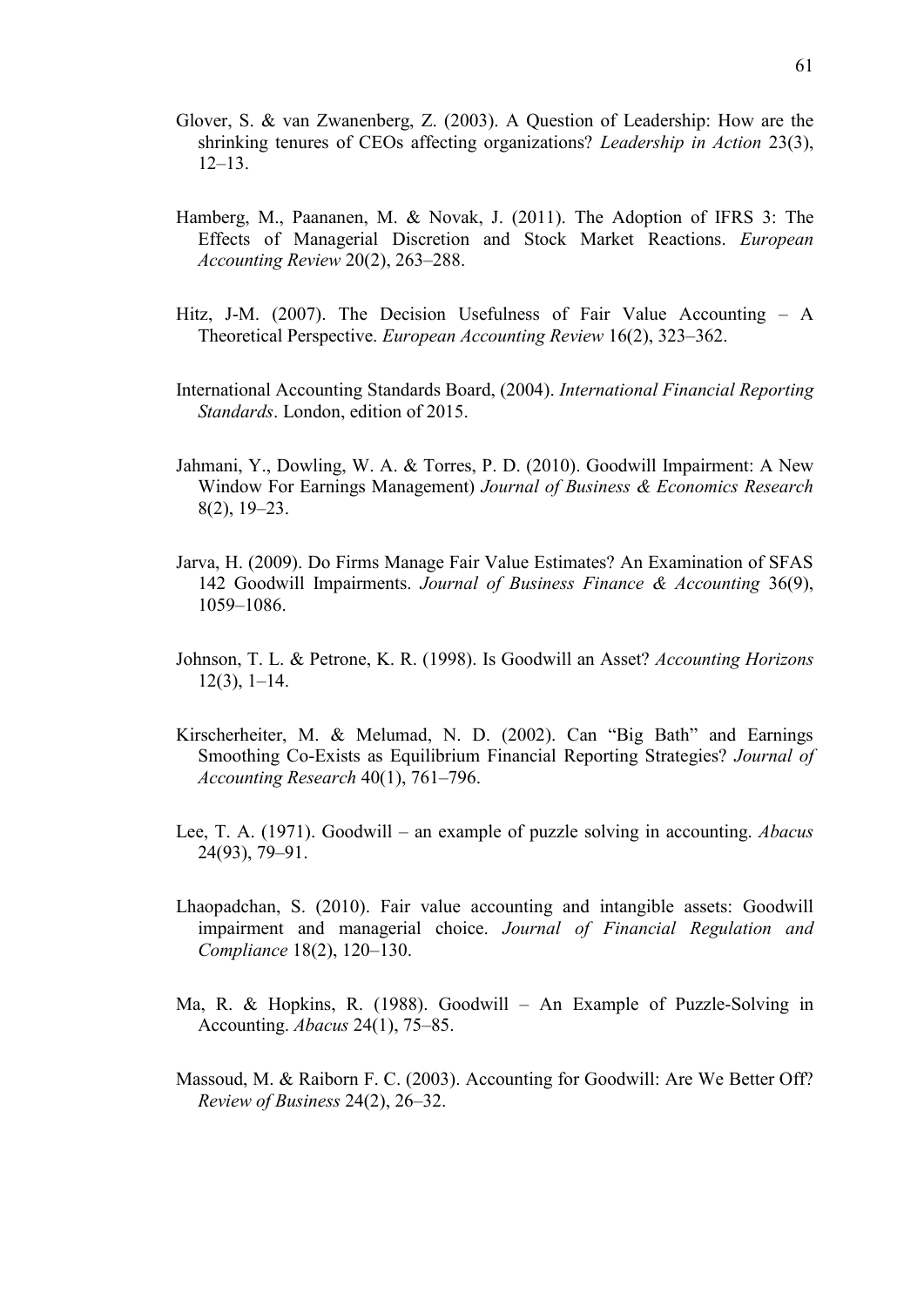- Glover, S. & van Zwanenberg, Z. (2003). A Question of Leadership: How are the shrinking tenures of CEOs affecting organizations? *Leadership in Action* 23(3),  $12-13$ .
- Hamberg, M., Paananen, M. & Novak, J. (2011). The Adoption of IFRS 3: The Effects of Managerial Discretion and Stock Market Reactions. *European Accounting Review* 20(2), 263–288.
- Hitz, J-M. (2007). The Decision Usefulness of Fair Value Accounting A Theoretical Perspective. *European Accounting Review* 16(2), 323–362.
- International Accounting Standards Board, (2004). *International Financial Reporting Standards*. London, edition of 2015.
- Jahmani, Y., Dowling, W. A. & Torres, P. D. (2010). Goodwill Impairment: A New Window For Earnings Management) *Journal of Business & Economics Research*  8(2), 19–23.
- Jarva, H. (2009). Do Firms Manage Fair Value Estimates? An Examination of SFAS 142 Goodwill Impairments. *Journal of Business Finance & Accounting* 36(9), 1059–1086.
- Johnson, T. L. & Petrone, K. R. (1998). Is Goodwill an Asset? *Accounting Horizons*  $12(3)$ , 1–14.
- Kirscherheiter, M. & Melumad, N. D. (2002). Can "Big Bath" and Earnings Smoothing Co-Exists as Equilibrium Financial Reporting Strategies? *Journal of Accounting Research* 40(1), 761–796.
- Lee, T. A. (1971). Goodwill an example of puzzle solving in accounting. *Abacus*  24(93), 79–91.
- Lhaopadchan, S. (2010). Fair value accounting and intangible assets: Goodwill impairment and managerial choice. *Journal of Financial Regulation and Compliance* 18(2), 120–130.
- Ma, R. & Hopkins, R. (1988). Goodwill An Example of Puzzle-Solving in Accounting. *Abacus* 24(1), 75–85.
- Massoud, M. & Raiborn F. C. (2003). Accounting for Goodwill: Are We Better Off? *Review of Business* 24(2), 26–32.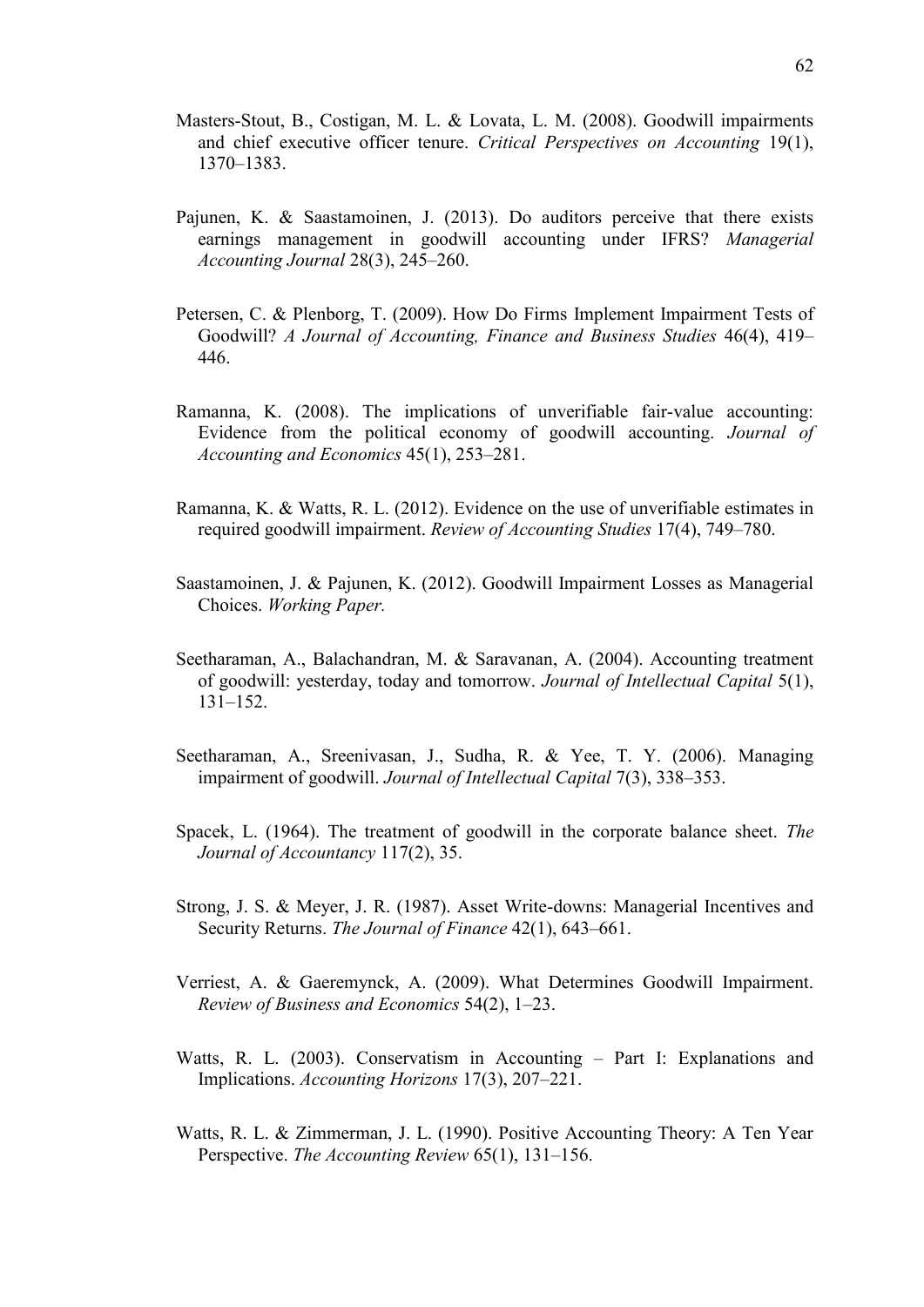- Masters-Stout, B., Costigan, M. L. & Lovata, L. M. (2008). Goodwill impairments and chief executive officer tenure. *Critical Perspectives on Accounting* 19(1), 1370–1383.
- Pajunen, K. & Saastamoinen, J. (2013). Do auditors perceive that there exists earnings management in goodwill accounting under IFRS? *Managerial Accounting Journal* 28(3), 245–260.
- Petersen, C. & Plenborg, T. (2009). How Do Firms Implement Impairment Tests of Goodwill? *A Journal of Accounting, Finance and Business Studies* 46(4), 419– 446.
- Ramanna, K. (2008). The implications of unverifiable fair-value accounting: Evidence from the political economy of goodwill accounting. *Journal of Accounting and Economics* 45(1), 253–281.
- Ramanna, K. & Watts, R. L. (2012). Evidence on the use of unverifiable estimates in required goodwill impairment. *Review of Accounting Studies* 17(4), 749–780.
- Saastamoinen, J. & Pajunen, K. (2012). Goodwill Impairment Losses as Managerial Choices. *Working Paper.*
- Seetharaman, A., Balachandran, M. & Saravanan, A. (2004). Accounting treatment of goodwill: yesterday, today and tomorrow. *Journal of Intellectual Capital* 5(1), 131–152.
- Seetharaman, A., Sreenivasan, J., Sudha, R. & Yee, T. Y. (2006). Managing impairment of goodwill. *Journal of Intellectual Capital* 7(3), 338–353.
- Spacek, L. (1964). The treatment of goodwill in the corporate balance sheet. *The Journal of Accountancy* 117(2), 35.
- Strong, J. S. & Meyer, J. R. (1987). Asset Write-downs: Managerial Incentives and Security Returns. *The Journal of Finance* 42(1), 643–661.
- Verriest, A. & Gaeremynck, A. (2009). What Determines Goodwill Impairment. *Review of Business and Economics* 54(2), 1–23.
- Watts, R. L. (2003). Conservatism in Accounting Part I: Explanations and Implications. *Accounting Horizons* 17(3), 207–221.
- Watts, R. L. & Zimmerman, J. L. (1990). Positive Accounting Theory: A Ten Year Perspective. *The Accounting Review* 65(1), 131–156.